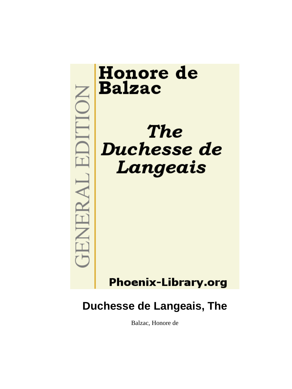

## **Duchesse de Langeais, The**

Balzac, Honore de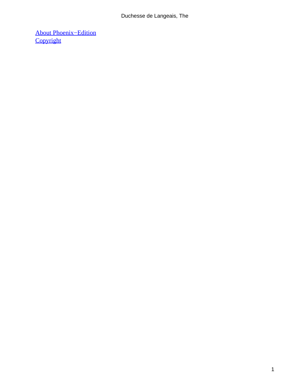[About Phoenix−Edition](#page-109-0) **[Copyright](#page-110-0)**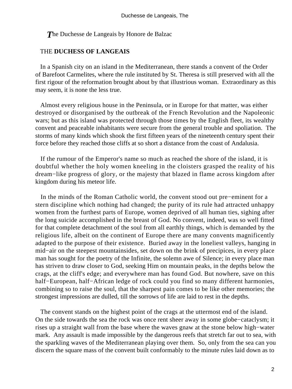**The Duchesse de Langeais by Honore de Balzac** 

## THE **DUCHESS OF LANGEAIS**

 In a Spanish city on an island in the Mediterranean, there stands a convent of the Order of Barefoot Carmelites, where the rule instituted by St. Theresa is still preserved with all the first rigour of the reformation brought about by that illustrious woman. Extraordinary as this may seem, it is none the less true.

 Almost every religious house in the Peninsula, or in Europe for that matter, was either destroyed or disorganised by the outbreak of the French Revolution and the Napoleonic wars; but as this island was protected through those times by the English fleet, its wealthy convent and peaceable inhabitants were secure from the general trouble and spoliation. The storms of many kinds which shook the first fifteen years of the nineteenth century spent their force before they reached those cliffs at so short a distance from the coast of Andalusia.

 If the rumour of the Emperor's name so much as reached the shore of the island, it is doubtful whether the holy women kneeling in the cloisters grasped the reality of his dream−like progress of glory, or the majesty that blazed in flame across kingdom after kingdom during his meteor life.

 In the minds of the Roman Catholic world, the convent stood out pre−eminent for a stern discipline which nothing had changed; the purity of its rule had attracted unhappy women from the furthest parts of Europe, women deprived of all human ties, sighing after the long suicide accomplished in the breast of God. No convent, indeed, was so well fitted for that complete detachment of the soul from all earthly things, which is demanded by the religious life, albeit on the continent of Europe there are many convents magnificently adapted to the purpose of their existence. Buried away in the loneliest valleys, hanging in mid−air on the steepest mountainsides, set down on the brink of precipices, in every place man has sought for the poetry of the Infinite, the solemn awe of Silence; in every place man has striven to draw closer to God, seeking Him on mountain peaks, in the depths below the crags, at the cliff's edge; and everywhere man has found God. But nowhere, save on this half−European, half−African ledge of rock could you find so many different harmonies, combining so to raise the soul, that the sharpest pain comes to be like other memories; the strongest impressions are dulled, till the sorrows of life are laid to rest in the depths.

 The convent stands on the highest point of the crags at the uttermost end of the island. On the side towards the sea the rock was once rent sheer away in some globe−cataclysm; it rises up a straight wall from the base where the waves gnaw at the stone below high−water mark. Any assault is made impossible by the dangerous reefs that stretch far out to sea, with the sparkling waves of the Mediterranean playing over them. So, only from the sea can you discern the square mass of the convent built conformably to the minute rules laid down as to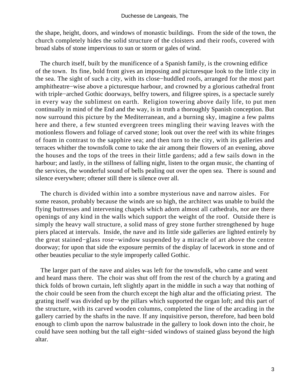the shape, height, doors, and windows of monastic buildings. From the side of the town, the church completely hides the solid structure of the cloisters and their roofs, covered with broad slabs of stone impervious to sun or storm or gales of wind.

 The church itself, built by the munificence of a Spanish family, is the crowning edifice of the town. Its fine, bold front gives an imposing and picturesque look to the little city in the sea. The sight of such a city, with its close−huddled roofs, arranged for the most part amphitheatre−wise above a picturesque harbour, and crowned by a glorious cathedral front with triple−arched Gothic doorways, belfry towers, and filigree spires, is a spectacle surely in every way the sublimest on earth. Religion towering above daily life, to put men continually in mind of the End and the way, is in truth a thoroughly Spanish conception. But now surround this picture by the Mediterranean, and a burning sky, imagine a few palms here and there, a few stunted evergreen trees mingling their waving leaves with the motionless flowers and foliage of carved stone; look out over the reef with its white fringes of foam in contrast to the sapphire sea; and then turn to the city, with its galleries and terraces whither the townsfolk come to take the air among their flowers of an evening, above the houses and the tops of the trees in their little gardens; add a few sails down in the harbour; and lastly, in the stillness of falling night, listen to the organ music, the chanting of the services, the wonderful sound of bells pealing out over the open sea. There is sound and silence everywhere; oftener still there is silence over all.

 The church is divided within into a sombre mysterious nave and narrow aisles. For some reason, probably because the winds are so high, the architect was unable to build the flying buttresses and intervening chapels which adorn almost all cathedrals, nor are there openings of any kind in the walls which support the weight of the roof. Outside there is simply the heavy wall structure, a solid mass of grey stone further strengthened by huge piers placed at intervals. Inside, the nave and its little side galleries are lighted entirely by the great stained−glass rose−window suspended by a miracle of art above the centre doorway; for upon that side the exposure permits of the display of lacework in stone and of other beauties peculiar to the style improperly called Gothic.

 The larger part of the nave and aisles was left for the townsfolk, who came and went and heard mass there. The choir was shut off from the rest of the church by a grating and thick folds of brown curtain, left slightly apart in the middle in such a way that nothing of the choir could be seen from the church except the high altar and the officiating priest. The grating itself was divided up by the pillars which supported the organ loft; and this part of the structure, with its carved wooden columns, completed the line of the arcading in the gallery carried by the shafts in the nave. If any inquisitive person, therefore, had been bold enough to climb upon the narrow balustrade in the gallery to look down into the choir, he could have seen nothing but the tall eight−sided windows of stained glass beyond the high altar.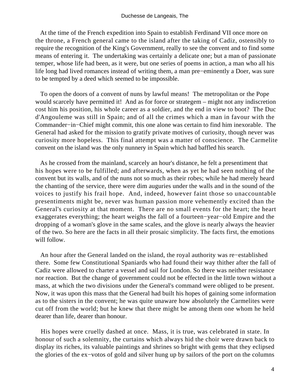At the time of the French expedition into Spain to establish Ferdinand VII once more on the throne, a French general came to the island after the taking of Cadiz, ostensibly to require the recognition of the King's Government, really to see the convent and to find some means of entering it. The undertaking was certainly a delicate one; but a man of passionate temper, whose life had been, as it were, but one series of poems in action, a man who all his life long had lived romances instead of writing them, a man pre−eminently a Doer, was sure to be tempted by a deed which seemed to be impossible.

 To open the doors of a convent of nuns by lawful means! The metropolitan or the Pope would scarcely have permitted it! And as for force or strategem – might not any indiscretion cost him his position, his whole career as a soldier, and the end in view to boot? The Duc d'Angouleme was still in Spain; and of all the crimes which a man in favour with the Commander−in−Chief might commit, this one alone was certain to find him inexorable. The General had asked for the mission to gratify private motives of curiosity, though never was curiosity more hopeless. This final attempt was a matter of conscience. The Carmelite convent on the island was the only nunnery in Spain which had baffled his search.

 As he crossed from the mainland, scarcely an hour's distance, he felt a presentiment that his hopes were to be fulfilled; and afterwards, when as yet he had seen nothing of the convent but its walls, and of the nuns not so much as their robes; while he had merely heard the chanting of the service, there were dim auguries under the walls and in the sound of the voices to justify his frail hope. And, indeed, however faint those so unaccountable presentiments might be, never was human passion more vehemently excited than the General's curiosity at that moment. There are no small events for the heart; the heart exaggerates everything; the heart weighs the fall of a fourteen−year−old Empire and the dropping of a woman's glove in the same scales, and the glove is nearly always the heavier of the two. So here are the facts in all their prosaic simplicity. The facts first, the emotions will follow.

 An hour after the General landed on the island, the royal authority was re−established there. Some few Constitutional Spaniards who had found their way thither after the fall of Cadiz were allowed to charter a vessel and sail for London. So there was neither resistance nor reaction. But the change of government could not be effected in the little town without a mass, at which the two divisions under the General's command were obliged to be present. Now, it was upon this mass that the General had built his hopes of gaining some information as to the sisters in the convent; he was quite unaware how absolutely the Carmelites were cut off from the world; but he knew that there might be among them one whom he held dearer than life, dearer than honour.

 His hopes were cruelly dashed at once. Mass, it is true, was celebrated in state. In honour of such a solemnity, the curtains which always hid the choir were drawn back to display its riches, its valuable paintings and shrines so bright with gems that they eclipsed the glories of the ex−votos of gold and silver hung up by sailors of the port on the columns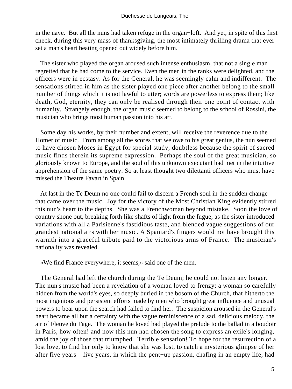in the nave. But all the nuns had taken refuge in the organ−loft. And yet, in spite of this first check, during this very mass of thanksgiving, the most intimately thrilling drama that ever set a man's heart beating opened out widely before him.

 The sister who played the organ aroused such intense enthusiasm, that not a single man regretted that he had come to the service. Even the men in the ranks were delighted, and the officers were in ecstasy. As for the General, he was seemingly calm and indifferent. The sensations stirred in him as the sister played one piece after another belong to the small number of things which it is not lawful to utter; words are powerless to express them; like death, God, eternity, they can only be realised through their one point of contact with humanity. Strangely enough, the organ music seemed to belong to the school of Rossini, the musician who brings most human passion into his art.

 Some day his works, by their number and extent, will receive the reverence due to the Homer of music. From among all the scores that we owe to his great genius, the nun seemed to have chosen Moses in Egypt for special study, doubtless because the spirit of sacred music finds therein its supreme expression. Perhaps the soul of the great musician, so gloriously known to Europe, and the soul of this unknown executant had met in the intuitive apprehension of the same poetry. So at least thought two dilettanti officers who must have missed the Theatre Favart in Spain.

 At last in the Te Deum no one could fail to discern a French soul in the sudden change that came over the music. Joy for the victory of the Most Christian King evidently stirred this nun's heart to the depths. She was a Frenchwoman beyond mistake. Soon the love of country shone out, breaking forth like shafts of light from the fugue, as the sister introduced variations with all a Parisienne's fastidious taste, and blended vague suggestions of our grandest national airs with her music. A Spaniard's fingers would not have brought this warmth into a graceful tribute paid to the victorious arms of France. The musician's nationality was revealed.

«We find France everywhere, it seems,» said one of the men.

 The General had left the church during the Te Deum; he could not listen any longer. The nun's music had been a revelation of a woman loved to frenzy; a woman so carefully hidden from the world's eyes, so deeply buried in the bosom of the Church, that hitherto the most ingenious and persistent efforts made by men who brought great influence and unusual powers to bear upon the search had failed to find her. The suspicion aroused in the General's heart became all but a certainty with the vague reminiscence of a sad, delicious melody, the air of Fleuve du Tage. The woman he loved had played the prelude to the ballad in a boudoir in Paris, how often! and now this nun had chosen the song to express an exile's longing, amid the joy of those that triumphed. Terrible sensation! To hope for the resurrection of a lost love, to find her only to know that she was lost, to catch a mysterious glimpse of her after five years – five years, in which the pent−up passion, chafing in an empty life, had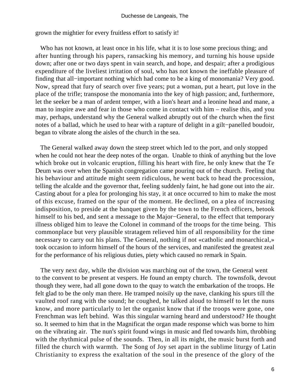grown the mightier for every fruitless effort to satisfy it!

 Who has not known, at least once in his life, what it is to lose some precious thing; and after hunting through his papers, ransacking his memory, and turning his house upside down; after one or two days spent in vain search, and hope, and despair; after a prodigious expenditure of the liveliest irritation of soul, who has not known the ineffable pleasure of finding that all−important nothing which had come to be a king of monomania? Very good. Now, spread that fury of search over five years; put a woman, put a heart, put love in the place of the trifle; transpose the monomania into the key of high passion; and, furthermore, let the seeker be a man of ardent temper, with a lion's heart and a leonine head and mane, a man to inspire awe and fear in those who come in contact with him – realise this, and you may, perhaps, understand why the General walked abruptly out of the church when the first notes of a ballad, which he used to hear with a rapture of delight in a gilt−panelled boudoir, began to vibrate along the aisles of the church in the sea.

 The General walked away down the steep street which led to the port, and only stopped when he could not hear the deep notes of the organ. Unable to think of anything but the love which broke out in volcanic eruption, filling his heart with fire, he only knew that the Te Deum was over when the Spanish congregation came pouring out of the church. Feeling that his behaviour and attitude might seem ridiculous, he went back to head the procession, telling the alcalde and the governor that, feeling suddenly faint, he had gone out into the air. Casting about for a plea for prolonging his stay, it at once occurred to him to make the most of this excuse, framed on the spur of the moment. He declined, on a plea of increasing indisposition, to preside at the banquet given by the town to the French officers, betook himself to his bed, and sent a message to the Major−General, to the effect that temporary illness obliged him to leave the Colonel in command of the troops for the time being. This commonplace but very plausible stratagem relieved him of all responsibility for the time necessary to carry out his plans. The General, nothing if not «catholic and monarchical,» took occasion to inform himself of the hours of the services, and manifested the greatest zeal for the performance of his religious duties, piety which caused no remark in Spain.

 The very next day, while the division was marching out of the town, the General went to the convent to be present at vespers. He found an empty church. The townsfolk, devout though they were, had all gone down to the quay to watch the embarkation of the troops. He felt glad to be the only man there. He tramped noisily up the nave, clanking his spurs till the vaulted roof rang with the sound; he coughed, he talked aloud to himself to let the nuns know, and more particularly to let the organist know that if the troops were gone, one Frenchman was left behind. Was this singular warning heard and understood? He thought so. It seemed to him that in the Magnificat the organ made response which was borne to him on the vibrating air. The nun's spirit found wings in music and fled towards him, throbbing with the rhythmical pulse of the sounds. Then, in all its might, the music burst forth and filled the church with warmth. The Song of Joy set apart in the sublime liturgy of Latin Christianity to express the exaltation of the soul in the presence of the glory of the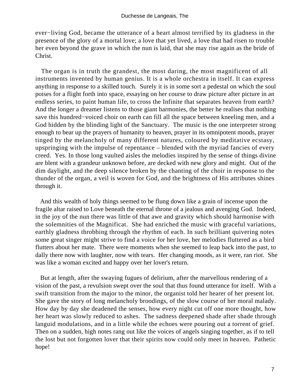ever−living God, became the utterance of a heart almost terrified by its gladness in the presence of the glory of a mortal love; a love that yet lived, a love that had risen to trouble her even beyond the grave in which the nun is laid, that she may rise again as the bride of Christ.

 The organ is in truth the grandest, the most daring, the most magnificent of all instruments invented by human genius. It is a whole orchestra in itself. It can express anything in response to a skilled touch. Surely it is in some sort a pedestal on which the soul poises for a flight forth into space, essaying on her course to draw picture after picture in an endless series, to paint human life, to cross the Infinite that separates heaven from earth? And the longer a dreamer listens to those giant harmonies, the better he realises that nothing save this hundred−voiced choir on earth can fill all the space between kneeling men, and a God hidden by the blinding light of the Sanctuary. The music is the one interpreter strong enough to bear up the prayers of humanity to heaven, prayer in its omnipotent moods, prayer tinged by the melancholy of many different natures, coloured by meditative ecstasy, upspringing with the impulse of repentance – blended with the myriad fancies of every creed. Yes. In those long vaulted aisles the melodies inspired by the sense of things divine are blent with a grandeur unknown before, are decked with new glory and might. Out of the dim daylight, and the deep silence broken by the chanting of the choir in response to the thunder of the organ, a veil is woven for God, and the brightness of His attributes shines through it.

 And this wealth of holy things seemed to be flung down like a grain of incense upon the fragile altar raised to Love beneath the eternal throne of a jealous and avenging God. Indeed, in the joy of the nun there was little of that awe and gravity which should harmonise with the solemnities of the Magnificat. She had enriched the music with graceful variations, earthly gladness throbbing through the rhythm of each. In such brilliant quivering notes some great singer might strive to find a voice for her love, her melodies fluttered as a bird flutters about her mate. There were moments when she seemed to leap back into the past, to dally there now with laughter, now with tears. Her changing moods, as it were, ran riot. She was like a woman excited and happy over her lover's return.

 But at length, after the swaying fugues of delirium, after the marvellous rendering of a vision of the past, a revulsion swept over the soul that thus found utterance for itself. With a swift transition from the major to the minor, the organist told her hearer of her present lot. She gave the story of long melancholy broodings, of the slow course of her moral malady. How day by day she deadened the senses, how every night cut off one more thought, how her heart was slowly reduced to ashes. The sadness deepened shade after shade through languid modulations, and in a little while the echoes were pouring out a torrent of grief. Then on a sudden, high notes rang out like the voices of angels singing together, as if to tell the lost but not forgotten lover that their spirits now could only meet in heaven. Pathetic hope!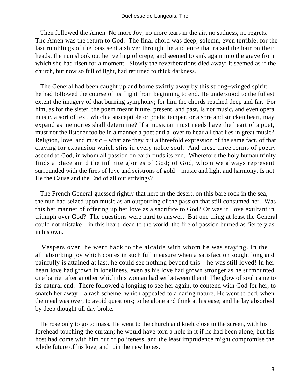Then followed the Amen. No more Joy, no more tears in the air, no sadness, no regrets. The Amen was the return to God. The final chord was deep, solemn, even terrible; for the last rumblings of the bass sent a shiver through the audience that raised the hair on their heads; the nun shook out her veiling of crepe, and seemed to sink again into the grave from which she had risen for a moment. Slowly the reverberations died away; it seemed as if the church, but now so full of light, had returned to thick darkness.

 The General had been caught up and borne swiftly away by this strong−winged spirit; he had followed the course of its flight from beginning to end. He understood to the fullest extent the imagery of that burning symphony; for him the chords reached deep and far. For him, as for the sister, the poem meant future, present, and past. Is not music, and even opera music, a sort of text, which a susceptible or poetic temper, or a sore and stricken heart, may expand as memories shall determine? If a musician must needs have the heart of a poet, must not the listener too be in a manner a poet and a lover to hear all that lies in great music? Religion, love, and music – what are they but a threefold expression of the same fact, of that craving for expansion which stirs in every noble soul. And these three forms of poetry ascend to God, in whom all passion on earth finds its end. Wherefore the holy human trinity finds a place amid the infinite glories of God; of God, whom we always represent surrounded with the fires of love and seistrons of gold – music and light and harmony. Is not He the Cause and the End of all our strivings?

 The French General guessed rightly that here in the desert, on this bare rock in the sea, the nun had seized upon music as an outpouring of the passion that still consumed her. Was this her manner of offering up her love as a sacrifice to God? Or was it Love exultant in triumph over God? The questions were hard to answer. But one thing at least the General could not mistake – in this heart, dead to the world, the fire of passion burned as fiercely as in his own.

 Vespers over, he went back to the alcalde with whom he was staying. In the all−absorbing joy which comes in such full measure when a satisfaction sought long and painfully is attained at last, he could see nothing beyond this – he was still loved! In her heart love had grown in loneliness, even as his love had grown stronger as he surmounted one barrier after another which this woman had set between them! The glow of soul came to its natural end. There followed a longing to see her again, to contend with God for her, to snatch her away – a rash scheme, which appealed to a daring nature. He went to bed, when the meal was over, to avoid questions; to be alone and think at his ease; and he lay absorbed by deep thought till day broke.

 He rose only to go to mass. He went to the church and knelt close to the screen, with his forehead touching the curtain; he would have torn a hole in it if he had been alone, but his host had come with him out of politeness, and the least imprudence might compromise the whole future of his love, and ruin the new hopes.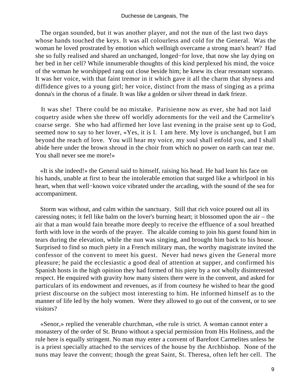The organ sounded, but it was another player, and not the nun of the last two days whose hands touched the keys. It was all colourless and cold for the General. Was the woman he loved prostrated by emotion which wellnigh overcame a strong man's heart? Had she so fully realised and shared an unchanged, longed−for love, that now she lay dying on her bed in her cell? While innumerable thoughts of this kind perplexed his mind, the voice of the woman he worshipped rang out close beside him; he knew its clear resonant soprano. It was her voice, with that faint tremor in it which gave it all the charm that shyness and diffidence gives to a young girl; her voice, distinct from the mass of singing as a prima donna's in the chorus of a finale. It was like a golden or silver thread in dark frieze.

 It was she! There could be no mistake. Parisienne now as ever, she had not laid coquetry aside when she threw off worldly adornments for the veil and the Carmelite's coarse serge. She who had affirmed her love last evening in the praise sent up to God, seemed now to say to her lover, «Yes, it is I. I am here. My love is unchanged, but I am beyond the reach of love. You will hear my voice, my soul shall enfold you, and I shall abide here under the brown shroud in the choir from which no power on earth can tear me. You shall never see me more!»

 «It is she indeed!» the General said to himself, raising his head. He had leant his face on his hands, unable at first to bear the intolerable emotion that surged like a whirlpool in his heart, when that well−known voice vibrated under the arcading, with the sound of the sea for accompaniment.

 Storm was without, and calm within the sanctuary. Still that rich voice poured out all its caressing notes; it fell like balm on the lover's burning heart; it blossomed upon the air – the air that a man would fain breathe more deeply to receive the effluence of a soul breathed forth with love in the words of the prayer. The alcalde coming to join his guest found him in tears during the elevation, while the nun was singing, and brought him back to his house. Surprised to find so much piety in a French military man, the worthy magistrate invited the confessor of the convent to meet his guest. Never had news given the General more pleasure; he paid the ecclesiastic a good deal of attention at supper, and confirmed his Spanish hosts in the high opinion they had formed of his piety by a not wholly disinterested respect. He enquired with gravity how many sisters there were in the convent, and asked for particulars of its endowment and revenues, as if from courtesy he wished to hear the good priest discourse on the subject most interesting to him. He informed himself as to the manner of life led by the holy women. Were they allowed to go out of the convent, or to see visitors?

 «Senor,» replied the venerable churchman, «the rule is strict. A woman cannot enter a monastery of the order of St. Bruno without a special permission from His Holiness, and the rule here is equally stringent. No man may enter a convent of Barefoot Carmelites unless he is a priest specially attached to the services of the house by the Archbishop. None of the nuns may leave the convent; though the great Saint, St. Theresa, often left her cell. The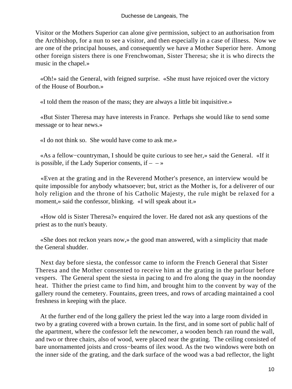Visitor or the Mothers Superior can alone give permission, subject to an authorisation from the Archbishop, for a nun to see a visitor, and then especially in a case of illness. Now we are one of the principal houses, and consequently we have a Mother Superior here. Among other foreign sisters there is one Frenchwoman, Sister Theresa; she it is who directs the music in the chapel.»

 «Oh!» said the General, with feigned surprise. «She must have rejoiced over the victory of the House of Bourbon.»

«I told them the reason of the mass; they are always a little bit inquisitive.»

 «But Sister Theresa may have interests in France. Perhaps she would like to send some message or to hear news.»

«I do not think so. She would have come to ask me.»

 «As a fellow−countryman, I should be quite curious to see her,» said the General. «If it is possible, if the Lady Superior consents, if  $-\rightarrow$ 

 «Even at the grating and in the Reverend Mother's presence, an interview would be quite impossible for anybody whatsoever; but, strict as the Mother is, for a deliverer of our holy religion and the throne of his Catholic Majesty, the rule might be relaxed for a moment,» said the confessor, blinking. «I will speak about it.»

 «How old is Sister Theresa?» enquired the lover. He dared not ask any questions of the priest as to the nun's beauty.

 «She does not reckon years now,» the good man answered, with a simplicity that made the General shudder.

 Next day before siesta, the confessor came to inform the French General that Sister Theresa and the Mother consented to receive him at the grating in the parlour before vespers. The General spent the siesta in pacing to and fro along the quay in the noonday heat. Thither the priest came to find him, and brought him to the convent by way of the gallery round the cemetery. Fountains, green trees, and rows of arcading maintained a cool freshness in keeping with the place.

 At the further end of the long gallery the priest led the way into a large room divided in two by a grating covered with a brown curtain. In the first, and in some sort of public half of the apartment, where the confessor left the newcomer, a wooden bench ran round the wall, and two or three chairs, also of wood, were placed near the grating. The ceiling consisted of bare unornamented joists and cross−beams of ilex wood. As the two windows were both on the inner side of the grating, and the dark surface of the wood was a bad reflector, the light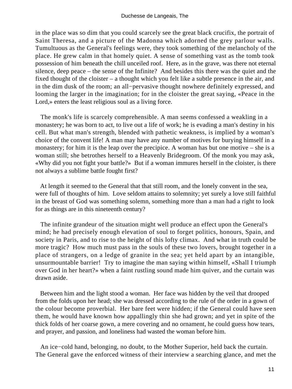in the place was so dim that you could scarcely see the great black crucifix, the portrait of Saint Theresa, and a picture of the Madonna which adorned the grey parlour walls. Tumultuous as the General's feelings were, they took something of the melancholy of the place. He grew calm in that homely quiet. A sense of something vast as the tomb took possession of him beneath the chill unceiled roof. Here, as in the grave, was there not eternal silence, deep peace – the sense of the Infinite? And besides this there was the quiet and the fixed thought of the cloister – a thought which you felt like a subtle presence in the air, and in the dim dusk of the room; an all−pervasive thought nowhere definitely expressed, and looming the larger in the imagination; for in the cloister the great saying, «Peace in the Lord,» enters the least religious soul as a living force.

 The monk's life is scarcely comprehensible. A man seems confessed a weakling in a monastery; he was born to act, to live out a life of work; he is evading a man's destiny in his cell. But what man's strength, blended with pathetic weakness, is implied by a woman's choice of the convent life! A man may have any number of motives for burying himself in a monastery; for him it is the leap over the precipice. A woman has but one motive – she is a woman still; she betrothes herself to a Heavenly Bridegroom. Of the monk you may ask, «Why did you not fight your battle?» But if a woman immures herself in the cloister, is there not always a sublime battle fought first?

 At length it seemed to the General that that still room, and the lonely convent in the sea, were full of thoughts of him. Love seldom attains to solemnity; yet surely a love still faithful in the breast of God was something solemn, something more than a man had a right to look for as things are in this nineteenth century?

 The infinite grandeur of the situation might well produce an effect upon the General's mind; he had precisely enough elevation of soul to forget politics, honours, Spain, and society in Paris, and to rise to the height of this lofty climax. And what in truth could be more tragic? How much must pass in the souls of these two lovers, brought together in a place of strangers, on a ledge of granite in the sea; yet held apart by an intangible, unsurmountable barrier! Try to imagine the man saying within himself, «Shall I triumph over God in her heart?» when a faint rustling sound made him quiver, and the curtain was drawn aside.

 Between him and the light stood a woman. Her face was hidden by the veil that drooped from the folds upon her head; she was dressed according to the rule of the order in a gown of the colour become proverbial. Her bare feet were hidden; if the General could have seen them, he would have known how appallingly thin she had grown; and yet in spite of the thick folds of her coarse gown, a mere covering and no ornament, he could guess how tears, and prayer, and passion, and loneliness had wasted the woman before him.

 An ice−cold hand, belonging, no doubt, to the Mother Superior, held back the curtain. The General gave the enforced witness of their interview a searching glance, and met the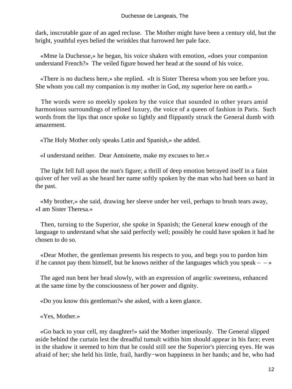dark, inscrutable gaze of an aged recluse. The Mother might have been a century old, but the bright, youthful eyes belied the wrinkles that furrowed her pale face.

 «Mme la Duchesse,» he began, his voice shaken with emotion, «does your companion understand French?» The veiled figure bowed her head at the sound of his voice.

 «There is no duchess here,» she replied. «It is Sister Theresa whom you see before you. She whom you call my companion is my mother in God, my superior here on earth.»

 The words were so meekly spoken by the voice that sounded in other years amid harmonious surroundings of refined luxury, the voice of a queen of fashion in Paris. Such words from the lips that once spoke so lightly and flippantly struck the General dumb with amazement.

«The Holy Mother only speaks Latin and Spanish,» she added.

«I understand neither. Dear Antoinette, make my excuses to her.»

 The light fell full upon the nun's figure; a thrill of deep emotion betrayed itself in a faint quiver of her veil as she heard her name softly spoken by the man who had been so hard in the past.

 «My brother,» she said, drawing her sleeve under her veil, perhaps to brush tears away, «I am Sister Theresa.»

 Then, turning to the Superior, she spoke in Spanish; the General knew enough of the language to understand what she said perfectly well; possibly he could have spoken it had he chosen to do so.

 «Dear Mother, the gentleman presents his respects to you, and begs you to pardon him if he cannot pay them himself, but he knows neither of the languages which you speak  $-\rightarrow$ 

 The aged nun bent her head slowly, with an expression of angelic sweetness, enhanced at the same time by the consciousness of her power and dignity.

«Do you know this gentleman?» she asked, with a keen glance.

«Yes, Mother.»

 «Go back to your cell, my daughter!» said the Mother imperiously. The General slipped aside behind the curtain lest the dreadful tumult within him should appear in his face; even in the shadow it seemed to him that he could still see the Superior's piercing eyes. He was afraid of her; she held his little, frail, hardly−won happiness in her hands; and he, who had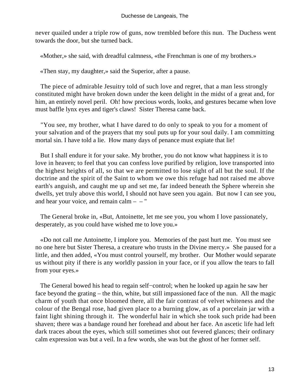never quailed under a triple row of guns, now trembled before this nun. The Duchess went towards the door, but she turned back.

«Mother,» she said, with dreadful calmness, «the Frenchman is one of my brothers.»

«Then stay, my daughter,» said the Superior, after a pause.

 The piece of admirable Jesuitry told of such love and regret, that a man less strongly constituted might have broken down under the keen delight in the midst of a great and, for him, an entirely novel peril. Oh! how precious words, looks, and gestures became when love must baffle lynx eyes and tiger's claws! Sister Theresa came back.

 "You see, my brother, what I have dared to do only to speak to you for a moment of your salvation and of the prayers that my soul puts up for your soul daily. I am committing mortal sin. I have told a lie. How many days of penance must expiate that lie!

 But I shall endure it for your sake. My brother, you do not know what happiness it is to love in heaven; to feel that you can confess love purified by religion, love transported into the highest heights of all, so that we are permitted to lose sight of all but the soul. If the doctrine and the spirit of the Saint to whom we owe this refuge had not raised me above earth's anguish, and caught me up and set me, far indeed beneath the Sphere wherein she dwells, yet truly above this world, I should not have seen you again. But now I can see you, and hear your voice, and remain calm  $-$  – "

 The General broke in, «But, Antoinette, let me see you, you whom I love passionately, desperately, as you could have wished me to love you.»

 «Do not call me Antoinette, I implore you. Memories of the past hurt me. You must see no one here but Sister Theresa, a creature who trusts in the Divine mercy.» She paused for a little, and then added, «You must control yourself, my brother. Our Mother would separate us without pity if there is any worldly passion in your face, or if you allow the tears to fall from your eyes.»

 The General bowed his head to regain self−control; when he looked up again he saw her face beyond the grating – the thin, white, but still impassioned face of the nun. All the magic charm of youth that once bloomed there, all the fair contrast of velvet whiteness and the colour of the Bengal rose, had given place to a burning glow, as of a porcelain jar with a faint light shining through it. The wonderful hair in which she took such pride had been shaven; there was a bandage round her forehead and about her face. An ascetic life had left dark traces about the eyes, which still sometimes shot out fevered glances; their ordinary calm expression was but a veil. In a few words, she was but the ghost of her former self.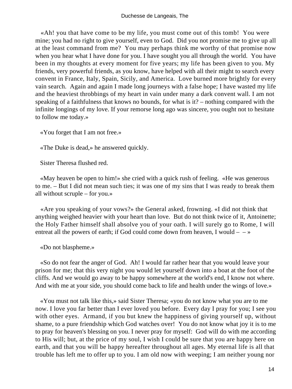«Ah! you that have come to be my life, you must come out of this tomb! You were mine; you had no right to give yourself, even to God. Did you not promise me to give up all at the least command from me? You may perhaps think me worthy of that promise now when you hear what I have done for you. I have sought you all through the world. You have been in my thoughts at every moment for five years; my life has been given to you. My friends, very powerful friends, as you know, have helped with all their might to search every convent in France, Italy, Spain, Sicily, and America. Love burned more brightly for every vain search. Again and again I made long journeys with a false hope; I have wasted my life and the heaviest throbbings of my heart in vain under many a dark convent wall. I am not speaking of a faithfulness that knows no bounds, for what is it? – nothing compared with the infinite longings of my love. If your remorse long ago was sincere, you ought not to hesitate to follow me today.»

«You forget that I am not free.»

«The Duke is dead,» he answered quickly.

Sister Theresa flushed red.

 «May heaven be open to him!» she cried with a quick rush of feeling. «He was generous to me. – But I did not mean such ties; it was one of my sins that I was ready to break them all without scruple – for you.»

 «Are you speaking of your vows?» the General asked, frowning. «I did not think that anything weighed heavier with your heart than love. But do not think twice of it, Antoinette; the Holy Father himself shall absolve you of your oath. I will surely go to Rome, I will entreat all the powers of earth; if God could come down from heaven, I would  $- \rightarrow \infty$ 

«Do not blaspheme.»

 «So do not fear the anger of God. Ah! I would far rather hear that you would leave your prison for me; that this very night you would let yourself down into a boat at the foot of the cliffs. And we would go away to be happy somewhere at the world's end, I know not where. And with me at your side, you should come back to life and health under the wings of love.»

 «You must not talk like this,» said Sister Theresa; «you do not know what you are to me now. I love you far better than I ever loved you before. Every day I pray for you; I see you with other eyes. Armand, if you but knew the happiness of giving yourself up, without shame, to a pure friendship which God watches over! You do not know what joy it is to me to pray for heaven's blessing on you. I never pray for myself: God will do with me according to His will; but, at the price of my soul, I wish I could be sure that you are happy here on earth, and that you will be happy hereafter throughout all ages. My eternal life is all that trouble has left me to offer up to you. I am old now with weeping; I am neither young nor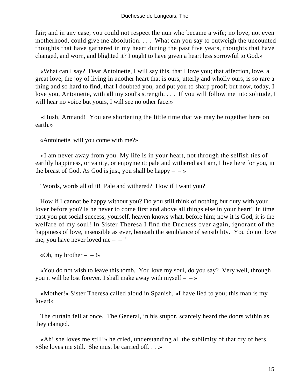fair; and in any case, you could not respect the nun who became a wife; no love, not even motherhood, could give me absolution. . . . What can you say to outweigh the uncounted thoughts that have gathered in my heart during the past five years, thoughts that have changed, and worn, and blighted it? I ought to have given a heart less sorrowful to God.»

 «What can I say? Dear Antoinette, I will say this, that I love you; that affection, love, a great love, the joy of living in another heart that is ours, utterly and wholly ours, is so rare a thing and so hard to find, that I doubted you, and put you to sharp proof; but now, today, I love you, Antoinette, with all my soul's strength. . . . If you will follow me into solitude, I will hear no voice but yours, I will see no other face.»

 «Hush, Armand! You are shortening the little time that we may be together here on earth.»

«Antoinette, will you come with me?»

 «I am never away from you. My life is in your heart, not through the selfish ties of earthly happiness, or vanity, or enjoyment; pale and withered as I am, I live here for you, in the breast of God. As God is just, you shall be happy  $-\rightarrow \infty$ 

"Words, words all of it! Pale and withered? How if I want you?

 How if I cannot be happy without you? Do you still think of nothing but duty with your lover before you? Is he never to come first and above all things else in your heart? In time past you put social success, yourself, heaven knows what, before him; now it is God, it is the welfare of my soul! In Sister Theresa I find the Duchess over again, ignorant of the happiness of love, insensible as ever, beneath the semblance of sensibility. You do not love me; you have never loved me – – "

«Oh, my brother  $- - !$ »

 «You do not wish to leave this tomb. You love my soul, do you say? Very well, through you it will be lost forever. I shall make away with myself  $- \rightarrow \infty$ 

 «Mother!» Sister Theresa called aloud in Spanish, «I have lied to you; this man is my lover!»

 The curtain fell at once. The General, in his stupor, scarcely heard the doors within as they clanged.

 «Ah! she loves me still!» he cried, understanding all the sublimity of that cry of hers. «She loves me still. She must be carried off. . . .»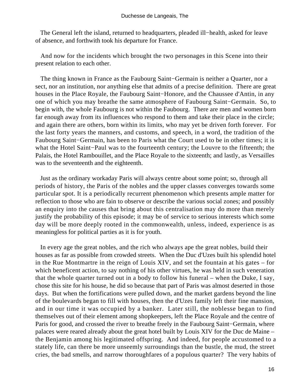The General left the island, returned to headquarters, pleaded ill−health, asked for leave of absence, and forthwith took his departure for France.

 And now for the incidents which brought the two personages in this Scene into their present relation to each other.

 The thing known in France as the Faubourg Saint−Germain is neither a Quarter, nor a sect, nor an institution, nor anything else that admits of a precise definition. There are great houses in the Place Royale, the Faubourg Saint−Honore, and the Chaussee d'Antin, in any one of which you may breathe the same atmosphere of Faubourg Saint−Germain. So, to begin with, the whole Faubourg is not within the Faubourg. There are men and women born far enough away from its influences who respond to them and take their place in the circle; and again there are others, born within its limits, who may yet be driven forth forever. For the last forty years the manners, and customs, and speech, in a word, the tradition of the Faubourg Saint−Germain, has been to Paris what the Court used to be in other times; it is what the Hotel Saint−Paul was to the fourteenth century; the Louvre to the fifteenth; the Palais, the Hotel Rambouillet, and the Place Royale to the sixteenth; and lastly, as Versailles was to the seventeenth and the eighteenth.

 Just as the ordinary workaday Paris will always centre about some point; so, through all periods of history, the Paris of the nobles and the upper classes converges towards some particular spot. It is a periodically recurrent phenomenon which presents ample matter for reflection to those who are fain to observe or describe the various social zones; and possibly an enquiry into the causes that bring about this centralisation may do more than merely justify the probability of this episode; it may be of service to serious interests which some day will be more deeply rooted in the commonwealth, unless, indeed, experience is as meaningless for political parties as it is for youth.

 In every age the great nobles, and the rich who always ape the great nobles, build their houses as far as possible from crowded streets. When the Duc d'Uzes built his splendid hotel in the Rue Montmartre in the reign of Louis XIV, and set the fountain at his gates – for which beneficent action, to say nothing of his other virtues, he was held in such veneration that the whole quarter turned out in a body to follow his funeral – when the Duke, I say, chose this site for his house, he did so because that part of Paris was almost deserted in those days. But when the fortifications were pulled down, and the market gardens beyond the line of the boulevards began to fill with houses, then the d'Uzes family left their fine mansion, and in our time it was occupied by a banker. Later still, the noblesse began to find themselves out of their element among shopkeepers, left the Place Royale and the centre of Paris for good, and crossed the river to breathe freely in the Faubourg Saint−Germain, where palaces were reared already about the great hotel built by Louis XIV for the Duc de Maine – the Benjamin among his legitimated offspring. And indeed, for people accustomed to a stately life, can there be more unseemly surroundings than the bustle, the mud, the street cries, the bad smells, and narrow thoroughfares of a populous quarter? The very habits of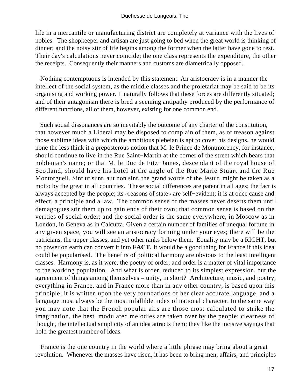life in a mercantile or manufacturing district are completely at variance with the lives of nobles. The shopkeeper and artisan are just going to bed when the great world is thinking of dinner; and the noisy stir of life begins among the former when the latter have gone to rest. Their day's calculations never coincide; the one class represents the expenditure, the other the receipts. Consequently their manners and customs are diametrically opposed.

 Nothing contemptuous is intended by this statement. An aristocracy is in a manner the intellect of the social system, as the middle classes and the proletariat may be said to be its organising and working power. It naturally follows that these forces are differently situated; and of their antagonism there is bred a seeming antipathy produced by the performance of different functions, all of them, however, existing for one common end.

 Such social dissonances are so inevitably the outcome of any charter of the constitution, that however much a Liberal may be disposed to complain of them, as of treason against those sublime ideas with which the ambitious plebeian is apt to cover his designs, he would none the less think it a preposterous notion that M. le Prince de Montmorency, for instance, should continue to live in the Rue Saint−Martin at the corner of the street which bears that nobleman's name; or that M. le Duc de Fitz−James, descendant of the royal house of Scotland, should have his hotel at the angle of the Rue Marie Stuart and the Rue Montorgueil. Sint ut sunt, aut non sint, the grand words of the Jesuit, might be taken as a motto by the great in all countries. These social differences are patent in all ages; the fact is always accepted by the people; its «reasons of state» are self−evident; it is at once cause and effect, a principle and a law. The common sense of the masses never deserts them until demagogues stir them up to gain ends of their own; that common sense is based on the verities of social order; and the social order is the same everywhere, in Moscow as in London, in Geneva as in Calcutta. Given a certain number of families of unequal fortune in any given space, you will see an aristocracy forming under your eyes; there will be the patricians, the upper classes, and yet other ranks below them. Equality may be a RIGHT, but no power on earth can convert it into **FACT.** It would be a good thing for France if this idea could be popularised. The benefits of political harmony are obvious to the least intelligent classes. Harmony is, as it were, the poetry of order, and order is a matter of vital importance to the working population. And what is order, reduced to its simplest expression, but the agreement of things among themselves – unity, in short? Architecture, music, and poetry, everything in France, and in France more than in any other country, is based upon this principle; it is written upon the very foundations of her clear accurate language, and a language must always be the most infallible index of national character. In the same way you may note that the French popular airs are those most calculated to strike the imagination, the best−modulated melodies are taken over by the people; clearness of thought, the intellectual simplicity of an idea attracts them; they like the incisive sayings that hold the greatest number of ideas.

 France is the one country in the world where a little phrase may bring about a great revolution. Whenever the masses have risen, it has been to bring men, affairs, and principles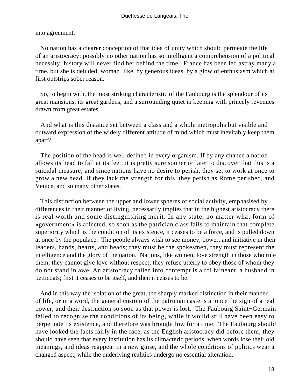into agreement.

 No nation has a clearer conception of that idea of unity which should permeate the life of an aristocracy; possibly no other nation has so intelligent a comprehension of a political necessity; history will never find her behind the time. France has been led astray many a time, but she is deluded, woman−like, by generous ideas, by a glow of enthusiasm which at first outstrips sober reason.

 So, to begin with, the most striking characteristic of the Faubourg is the splendour of its great mansions, its great gardens, and a surrounding quiet in keeping with princely revenues drawn from great estates.

 And what is this distance set between a class and a whole metropolis but visible and outward expression of the widely different attitude of mind which must inevitably keep them apart?

 The position of the head is well defined in every organism. If by any chance a nation allows its head to fall at its feet, it is pretty sure sooner or later to discover that this is a suicidal measure; and since nations have no desire to perish, they set to work at once to grow a new head. If they lack the strength for this, they perish as Rome perished, and Venice, and so many other states.

 This distinction between the upper and lower spheres of social activity, emphasised by differences in their manner of living, necessarily implies that in the highest aristocracy there is real worth and some distinguishing merit. In any state, no matter what form of «government» is affected, so soon as the patrician class fails to maintain that complete superiority which is the condition of its existence, it ceases to be a force, and is pulled down at once by the populace. The people always wish to see money, power, and initiative in their leaders, hands, hearts, and heads; they must be the spokesmen, they must represent the intelligence and the glory of the nation. Nations, like women, love strength in those who rule them; they cannot give love without respect; they refuse utterly to obey those of whom they do not stand in awe. An aristocracy fallen into contempt is a roi faineant, a husband in petticoats; first it ceases to be itself, and then it ceases to be.

 And in this way the isolation of the great, the sharply marked distinction in their manner of life, or in a word, the general custom of the patrician caste is at once the sign of a real power, and their destruction so soon as that power is lost. The Faubourg Saint−Germain failed to recognise the conditions of its being, while it would still have been easy to perpetuate its existence, and therefore was brought low for a time. The Faubourg should have looked the facts fairly in the face, as the English aristocracy did before them; they should have seen that every institution has its climacteric periods, when words lose their old meanings, and ideas reappear in a new guise, and the whole conditions of politics wear a changed aspect, while the underlying realities undergo no essential alteration.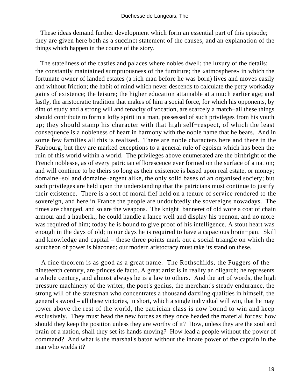These ideas demand further development which form an essential part of this episode; they are given here both as a succinct statement of the causes, and an explanation of the things which happen in the course of the story.

 The stateliness of the castles and palaces where nobles dwell; the luxury of the details; the constantly maintained sumptuousness of the furniture; the «atmosphere» in which the fortunate owner of landed estates (a rich man before he was born) lives and moves easily and without friction; the habit of mind which never descends to calculate the petty workaday gains of existence; the leisure; the higher education attainable at a much earlier age; and lastly, the aristocratic tradition that makes of him a social force, for which his opponents, by dint of study and a strong will and tenacity of vocation, are scarcely a match−all these things should contribute to form a lofty spirit in a man, possessed of such privileges from his youth up; they should stamp his character with that high self−respect, of which the least consequence is a nobleness of heart in harmony with the noble name that he bears. And in some few families all this is realised. There are noble characters here and there in the Faubourg, but they are marked exceptions to a general rule of egoism which has been the ruin of this world within a world. The privileges above enumerated are the birthright of the French noblesse, as of every patrician efflorescence ever formed on the surface of a nation; and will continue to be theirs so long as their existence is based upon real estate, or money; domaine−sol and domaine−argent alike, the only solid bases of an organised society; but such privileges are held upon the understanding that the patricians must continue to justify their existence. There is a sort of moral fief held on a tenure of service rendered to the sovereign, and here in France the people are undoubtedly the sovereigns nowadays. The times are changed, and so are the weapons. The knight−banneret of old wore a coat of chain armour and a hauberk,; he could handle a lance well and display his pennon, and no more was required of him; today he is bound to give proof of his intelligence. A stout heart was enough in the days of old; in our days he is required to have a capacious brain−pan. Skill and knowledge and capital – these three points mark out a social triangle on which the scutcheon of power is blazoned; our modern aristocracy must take its stand on these.

 A fine theorem is as good as a great name. The Rothschilds, the Fuggers of the nineteenth century, are princes de facto. A great artist is in reality an oligarch; he represents a whole century, and almost always he is a law to others. And the art of words, the high pressure machinery of the writer, the poet's genius, the merchant's steady endurance, the strong will of the statesman who concentrates a thousand dazzling qualities in himself, the general's sword – all these victories, in short, which a single individual will win, that he may tower above the rest of the world, the patrician class is now bound to win and keep exclusively. They must head the new forces as they once headed the material forces; how should they keep the position unless they are worthy of it? How, unless they are the soul and brain of a nation, shall they set its hands moving? How lead a people without the power of command? And what is the marshal's baton without the innate power of the captain in the man who wields it?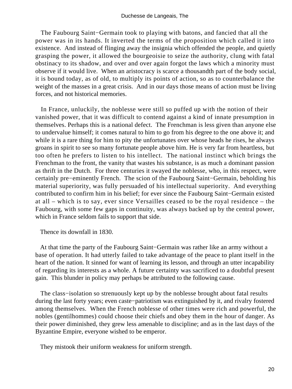The Faubourg Saint−Germain took to playing with batons, and fancied that all the power was in its hands. It inverted the terms of the proposition which called it into existence. And instead of flinging away the insignia which offended the people, and quietly grasping the power, it allowed the bourgeoisie to seize the authority, clung with fatal obstinacy to its shadow, and over and over again forgot the laws which a minority must observe if it would live. When an aristocracy is scarce a thousandth part of the body social, it is bound today, as of old, to multiply its points of action, so as to counterbalance the weight of the masses in a great crisis. And in our days those means of action must be living forces, and not historical memories.

 In France, unluckily, the noblesse were still so puffed up with the notion of their vanished power, that it was difficult to contend against a kind of innate presumption in themselves. Perhaps this is a national defect. The Frenchman is less given than anyone else to undervalue himself; it comes natural to him to go from his degree to the one above it; and while it is a rare thing for him to pity the unfortunates over whose heads he rises, he always groans in spirit to see so many fortunate people above him. He is very far from heartless, but too often he prefers to listen to his intellect. The national instinct which brings the Frenchman to the front, the vanity that wastes his substance, is as much a dominant passion as thrift in the Dutch. For three centuries it swayed the noblesse, who, in this respect, were certainly pre−eminently French. The scion of the Faubourg Saint−Germain, beholding his material superiority, was fully persuaded of his intellectual superiority. And everything contributed to confirm him in his belief; for ever since the Faubourg Saint−Germain existed at all – which is to say, ever since Versailles ceased to be the royal residence – the Faubourg, with some few gaps in continuity, was always backed up by the central power, which in France seldom fails to support that side.

Thence its downfall in 1830.

 At that time the party of the Faubourg Saint−Germain was rather like an army without a base of operation. It had utterly failed to take advantage of the peace to plant itself in the heart of the nation. It sinned for want of learning its lesson, and through an utter incapability of regarding its interests as a whole. A future certainty was sacrificed to a doubtful present gain. This blunder in policy may perhaps be attributed to the following cause.

The class–isolation so strenuously kept up by the noblesse brought about fatal results during the last forty years; even caste−patriotism was extinguished by it, and rivalry fostered among themselves. When the French noblesse of other times were rich and powerful, the nobles (gentilhommes) could choose their chiefs and obey them in the hour of danger. As their power diminished, they grew less amenable to discipline; and as in the last days of the Byzantine Empire, everyone wished to be emperor.

They mistook their uniform weakness for uniform strength.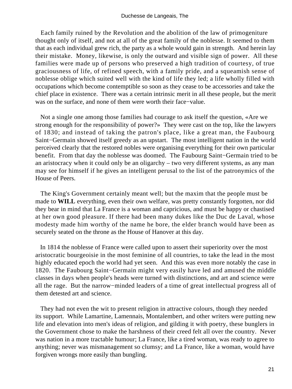Each family ruined by the Revolution and the abolition of the law of primogeniture thought only of itself, and not at all of the great family of the noblesse. It seemed to them that as each individual grew rich, the party as a whole would gain in strength. And herein lay their mistake. Money, likewise, is only the outward and visible sign of power. All these families were made up of persons who preserved a high tradition of courtesy, of true graciousness of life, of refined speech, with a family pride, and a squeamish sense of noblesse oblige which suited well with the kind of life they led; a life wholly filled with occupations which become contemptible so soon as they cease to be accessories and take the chief place in existence. There was a certain intrinsic merit in all these people, but the merit was on the surface, and none of them were worth their face−value.

 Not a single one among those families had courage to ask itself the question, «Are we strong enough for the responsibility of power?» They were cast on the top, like the lawyers of 1830; and instead of taking the patron's place, like a great man, the Faubourg Saint−Germain showed itself greedy as an upstart. The most intelligent nation in the world perceived clearly that the restored nobles were organising everything for their own particular benefit. From that day the noblesse was doomed. The Faubourg Saint−Germain tried to be an aristocracy when it could only be an oligarchy – two very different systems, as any man may see for himself if he gives an intelligent perusal to the list of the patronymics of the House of Peers.

 The King's Government certainly meant well; but the maxim that the people must be made to **WILL** everything, even their own welfare, was pretty constantly forgotten, nor did they bear in mind that La France is a woman and capricious, and must be happy or chastised at her own good pleasure. If there had been many dukes like the Duc de Laval, whose modesty made him worthy of the name he bore, the elder branch would have been as securely seated on the throne as the House of Hanover at this day.

 In 1814 the noblesse of France were called upon to assert their superiority over the most aristocratic bourgeoisie in the most feminine of all countries, to take the lead in the most highly educated epoch the world had yet seen. And this was even more notably the case in 1820. The Faubourg Saint−Germain might very easily have led and amused the middle classes in days when people's heads were turned with distinctions, and art and science were all the rage. But the narrow−minded leaders of a time of great intellectual progress all of them detested art and science.

 They had not even the wit to present religion in attractive colours, though they needed its support. While Lamartine, Lamennais, Montalembert, and other writers were putting new life and elevation into men's ideas of religion, and gilding it with poetry, these bunglers in the Government chose to make the harshness of their creed felt all over the country. Never was nation in a more tractable humour; La France, like a tired woman, was ready to agree to anything; never was mismanagement so clumsy; and La France, like a woman, would have forgiven wrongs more easily than bungling.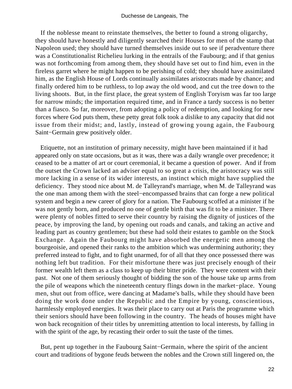If the noblesse meant to reinstate themselves, the better to found a strong oligarchy, they should have honestly and diligently searched their Houses for men of the stamp that Napoleon used; they should have turned themselves inside out to see if peradventure there was a Constitutionalist Richelieu lurking in the entrails of the Faubourg; and if that genius was not forthcoming from among them, they should have set out to find him, even in the fireless garret where he might happen to be perishing of cold; they should have assimilated him, as the English House of Lords continually assimilates aristocrats made by chance; and finally ordered him to be ruthless, to lop away the old wood, and cut the tree down to the living shoots. But, in the first place, the great system of English Toryism was far too large for narrow minds; the importation required time, and in France a tardy success is no better than a fiasco. So far, moreover, from adopting a policy of redemption, and looking for new forces where God puts them, these petty great folk took a dislike to any capacity that did not issue from their midst; and, lastly, instead of growing young again, the Faubourg Saint−Germain grew positively older.

 Etiquette, not an institution of primary necessity, might have been maintained if it had appeared only on state occasions, but as it was, there was a daily wrangle over precedence; it ceased to be a matter of art or court ceremonial, it became a question of power. And if from the outset the Crown lacked an adviser equal to so great a crisis, the aristocracy was still more lacking in a sense of its wider interests, an instinct which might have supplied the deficiency. They stood nice about M. de Talleyrand's marriage, when M. de Talleyrand was the one man among them with the steel−encompassed brains that can forge a new political system and begin a new career of glory for a nation. The Faubourg scoffed at a minister if he was not gently born, and produced no one of gentle birth that was fit to be a minister. There were plenty of nobles fitted to serve their country by raising the dignity of justices of the peace, by improving the land, by opening out roads and canals, and taking an active and leading part as country gentlemen; but these had sold their estates to gamble on the Stock Exchange. Again the Faubourg might have absorbed the energetic men among the bourgeoisie, and opened their ranks to the ambition which was undermining authority; they preferred instead to fight, and to fight unarmed, for of all that they once possessed there was nothing left but tradition. For their misfortune there was just precisely enough of their former wealth left them as a class to keep up their bitter pride. They were content with their past. Not one of them seriously thought of bidding the son of the house take up arms from the pile of weapons which the nineteenth century flings down in the market−place. Young men, shut out from office, were dancing at Madame's balls, while they should have been doing the work done under the Republic and the Empire by young, conscientious, harmlessly employed energies. It was their place to carry out at Paris the programme which their seniors should have been following in the country. The heads of houses might have won back recognition of their titles by unremitting attention to local interests, by falling in with the spirit of the age, by recasting their order to suit the taste of the times.

 But, pent up together in the Faubourg Saint−Germain, where the spirit of the ancient court and traditions of bygone feuds between the nobles and the Crown still lingered on, the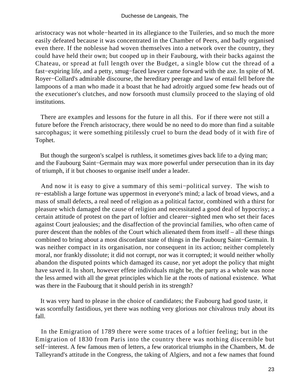aristocracy was not whole−hearted in its allegiance to the Tuileries, and so much the more easily defeated because it was concentrated in the Chamber of Peers, and badly organised even there. If the noblesse had woven themselves into a network over the country, they could have held their own; but cooped up in their Faubourg, with their backs against the Chateau, or spread at full length over the Budget, a single blow cut the thread of a fast−expiring life, and a petty, smug−faced lawyer came forward with the axe. In spite of M. Royer−Collard's admirable discourse, the hereditary peerage and law of entail fell before the lampoons of a man who made it a boast that he had adroitly argued some few heads out of the executioner's clutches, and now forsooth must clumsily proceed to the slaying of old institutions.

 There are examples and lessons for the future in all this. For if there were not still a future before the French aristocracy, there would be no need to do more than find a suitable sarcophagus; it were something pitilessly cruel to burn the dead body of it with fire of Tophet.

 But though the surgeon's scalpel is ruthless, it sometimes gives back life to a dying man; and the Faubourg Saint−Germain may wax more powerful under persecution than in its day of triumph, if it but chooses to organise itself under a leader.

 And now it is easy to give a summary of this semi−political survey. The wish to re−establish a large fortune was uppermost in everyone's mind; a lack of broad views, and a mass of small defects, a real need of religion as a political factor, combined with a thirst for pleasure which damaged the cause of religion and necessitated a good deal of hypocrisy; a certain attitude of protest on the part of loftier and clearer−sighted men who set their faces against Court jealousies; and the disaffection of the provincial families, who often came of purer descent than the nobles of the Court which alienated them from itself – all these things combined to bring about a most discordant state of things in the Faubourg Saint−Germain. It was neither compact in its organisation, nor consequent in its action; neither completely moral, nor frankly dissolute; it did not corrupt, nor was it corrupted; it would neither wholly abandon the disputed points which damaged its cause, nor yet adopt the policy that might have saved it. In short, however effete individuals might be, the party as a whole was none the less armed with all the great principles which lie at the roots of national existence. What was there in the Faubourg that it should perish in its strength?

 It was very hard to please in the choice of candidates; the Faubourg had good taste, it was scornfully fastidious, yet there was nothing very glorious nor chivalrous truly about its fall.

 In the Emigration of 1789 there were some traces of a loftier feeling; but in the Emigration of 1830 from Paris into the country there was nothing discernible but self−interest. A few famous men of letters, a few oratorical triumphs in the Chambers, M. de Talleyrand's attitude in the Congress, the taking of Algiers, and not a few names that found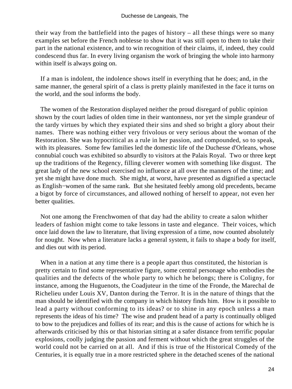their way from the battlefield into the pages of history – all these things were so many examples set before the French noblesse to show that it was still open to them to take their part in the national existence, and to win recognition of their claims, if, indeed, they could condescend thus far. In every living organism the work of bringing the whole into harmony within itself is always going on.

 If a man is indolent, the indolence shows itself in everything that he does; and, in the same manner, the general spirit of a class is pretty plainly manifested in the face it turns on the world, and the soul informs the body.

 The women of the Restoration displayed neither the proud disregard of public opinion shown by the court ladies of olden time in their wantonness, nor yet the simple grandeur of the tardy virtues by which they expiated their sins and shed so bright a glory about their names. There was nothing either very frivolous or very serious about the woman of the Restoration. She was hypocritical as a rule in her passion, and compounded, so to speak, with its pleasures. Some few families led the domestic life of the Duchesse d'Orleans, whose connubial couch was exhibited so absurdly to visitors at the Palais Royal. Two or three kept up the traditions of the Regency, filling cleverer women with something like disgust. The great lady of the new school exercised no influence at all over the manners of the time; and yet she might have done much. She might, at worst, have presented as dignified a spectacle as English−women of the same rank. But she hesitated feebly among old precedents, became a bigot by force of circumstances, and allowed nothing of herself to appear, not even her better qualities.

 Not one among the Frenchwomen of that day had the ability to create a salon whither leaders of fashion might come to take lessons in taste and elegance. Their voices, which once laid down the law to literature, that living expression of a time, now counted absolutely for nought. Now when a literature lacks a general system, it fails to shape a body for itself, and dies out with its period.

When in a nation at any time there is a people apart thus constituted, the historian is pretty certain to find some representative figure, some central personage who embodies the qualities and the defects of the whole party to which he belongs; there is Coligny, for instance, among the Huguenots, the Coadjuteur in the time of the Fronde, the Marechal de Richelieu under Louis XV, Danton during the Terror. It is in the nature of things that the man should be identified with the company in which history finds him. How is it possible to lead a party without conforming to its ideas? or to shine in any epoch unless a man represents the ideas of his time? The wise and prudent head of a party is continually obliged to bow to the prejudices and follies of its rear; and this is the cause of actions for which he is afterwards criticised by this or that historian sitting at a safer distance from terrific popular explosions, coolly judging the passion and ferment without which the great struggles of the world could not be carried on at all. And if this is true of the Historical Comedy of the Centuries, it is equally true in a more restricted sphere in the detached scenes of the national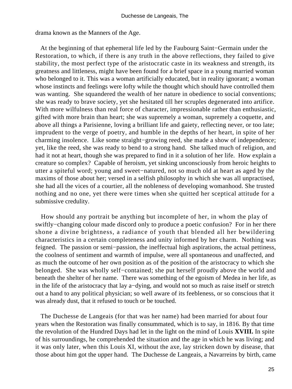drama known as the Manners of the Age.

 At the beginning of that ephemeral life led by the Faubourg Saint−Germain under the Restoration, to which, if there is any truth in the above reflections, they failed to give stability, the most perfect type of the aristocratic caste in its weakness and strength, its greatness and littleness, might have been found for a brief space in a young married woman who belonged to it. This was a woman artificially educated, but in reality ignorant; a woman whose instincts and feelings were lofty while the thought which should have controlled them was wanting. She squandered the wealth of her nature in obedience to social conventions; she was ready to brave society, yet she hesitated till her scruples degenerated into artifice. With more wilfulness than real force of character, impressionable rather than enthusiastic, gifted with more brain than heart; she was supremely a woman, supremely a coquette, and above all things a Parisienne, loving a brilliant life and gaiety, reflecting never, or too late; imprudent to the verge of poetry, and humble in the depths of her heart, in spite of her charming insolence. Like some straight−growing reed, she made a show of independence; yet, like the reed, she was ready to bend to a strong hand. She talked much of religion, and had it not at heart, though she was prepared to find in it a solution of her life. How explain a creature so complex? Capable of heroism, yet sinking unconsciously from heroic heights to utter a spiteful word; young and sweet−natured, not so much old at heart as aged by the maxims of those about her; versed in a selfish philosophy in which she was all unpractised, she had all the vices of a courtier, all the nobleness of developing womanhood. She trusted nothing and no one, yet there were times when she quitted her sceptical attitude for a submissive credulity.

 How should any portrait be anything but incomplete of her, in whom the play of swiftly−changing colour made discord only to produce a poetic confusion? For in her there shone a divine brightness, a radiance of youth that blended all her bewildering characteristics in a certain completeness and unity informed by her charm. Nothing was feigned. The passion or semi−passion, the ineffectual high aspirations, the actual pettiness, the coolness of sentiment and warmth of impulse, were all spontaneous and unaffected, and as much the outcome of her own position as of the position of the aristocracy to which she belonged. She was wholly self−contained; she put herself proudly above the world and beneath the shelter of her name. There was something of the egoism of Medea in her life, as in the life of the aristocracy that lay a−dying, and would not so much as raise itself or stretch out a hand to any political physician; so well aware of its feebleness, or so conscious that it was already dust, that it refused to touch or be touched.

 The Duchesse de Langeais (for that was her name) had been married for about four years when the Restoration was finally consummated, which is to say, in 1816. By that time the revolution of the Hundred Days had let in the light on the mind of Louis **XVIII.** In spite of his surroundings, he comprehended the situation and the age in which he was living; and it was only later, when this Louis XI, without the axe, lay stricken down by disease, that those about him got the upper hand. The Duchesse de Langeais, a Navarreins by birth, came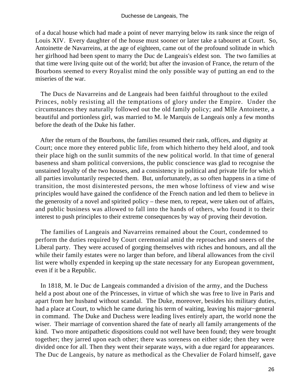of a ducal house which had made a point of never marrying below its rank since the reign of Louis XIV. Every daughter of the house must sooner or later take a tabouret at Court. So, Antoinette de Navarreins, at the age of eighteen, came out of the profound solitude in which her girlhood had been spent to marry the Duc de Langeais's eldest son. The two families at that time were living quite out of the world; but after the invasion of France, the return of the Bourbons seemed to every Royalist mind the only possible way of putting an end to the miseries of the war.

 The Ducs de Navarreins and de Langeais had been faithful throughout to the exiled Princes, nobly resisting all the temptations of glory under the Empire. Under the circumstances they naturally followed out the old family policy; and Mlle Antoinette, a beautiful and portionless girl, was married to M. le Marquis de Langeais only a few months before the death of the Duke his father.

 After the return of the Bourbons, the families resumed their rank, offices, and dignity at Court; once more they entered public life, from which hitherto they held aloof, and took their place high on the sunlit summits of the new political world. In that time of general baseness and sham political conversions, the public conscience was glad to recognise the unstained loyalty of the two houses, and a consistency in political and private life for which all parties involuntarily respected them. But, unfortunately, as so often happens in a time of transition, the most disinterested persons, the men whose loftiness of view and wise principles would have gained the confidence of the French nation and led them to believe in the generosity of a novel and spirited policy – these men, to repeat, were taken out of affairs, and public business was allowed to fall into the hands of others, who found it to their interest to push principles to their extreme consequences by way of proving their devotion.

 The families of Langeais and Navarreins remained about the Court, condemned to perform the duties required by Court ceremonial amid the reproaches and sneers of the Liberal party. They were accused of gorging themselves with riches and honours, and all the while their family estates were no larger than before, and liberal allowances from the civil list were wholly expended in keeping up the state necessary for any European government, even if it be a Republic.

 In 1818, M. le Duc de Langeais commanded a division of the army, and the Duchess held a post about one of the Princesses, in virtue of which she was free to live in Paris and apart from her husband without scandal. The Duke, moreover, besides his military duties, had a place at Court, to which he came during his term of waiting, leaving his major−general in command. The Duke and Duchess were leading lives entirely apart, the world none the wiser. Their marriage of convention shared the fate of nearly all family arrangements of the kind. Two more antipathetic dispositions could not well have been found; they were brought together; they jarred upon each other; there was soreness on either side; then they were divided once for all. Then they went their separate ways, with a due regard for appearances. The Duc de Langeais, by nature as methodical as the Chevalier de Folard himself, gave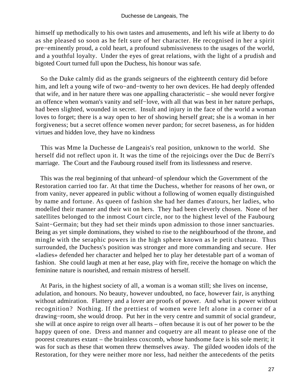himself up methodically to his own tastes and amusements, and left his wife at liberty to do as she pleased so soon as he felt sure of her character. He recognised in her a spirit pre−eminently proud, a cold heart, a profound submissiveness to the usages of the world, and a youthful loyalty. Under the eyes of great relations, with the light of a prudish and bigoted Court turned full upon the Duchess, his honour was safe.

 So the Duke calmly did as the grands seigneurs of the eighteenth century did before him, and left a young wife of two−and−twenty to her own devices. He had deeply offended that wife, and in her nature there was one appalling characteristic – she would never forgive an offence when woman's vanity and self−love, with all that was best in her nature perhaps, had been slighted, wounded in secret. Insult and injury in the face of the world a woman loves to forget; there is a way open to her of showing herself great; she is a woman in her forgiveness; but a secret offence women never pardon; for secret baseness, as for hidden virtues and hidden love, they have no kindness

 This was Mme la Duchesse de Langeais's real position, unknown to the world. She herself did not reflect upon it. It was the time of the rejoicings over the Duc de Berri's marriage. The Court and the Faubourg roused itself from its listlessness and reserve.

 This was the real beginning of that unheard−of splendour which the Government of the Restoration carried too far. At that time the Duchess, whether for reasons of her own, or from vanity, never appeared in public without a following of women equally distinguished by name and fortune. As queen of fashion she had her dames d'atours, her ladies, who modelled their manner and their wit on hers. They had been cleverly chosen. None of her satellites belonged to the inmost Court circle, nor to the highest level of the Faubourg Saint−Germain; but they had set their minds upon admission to those inner sanctuaries. Being as yet simple dominations, they wished to rise to the neighbourhood of the throne, and mingle with the seraphic powers in the high sphere known as le petit chateau. Thus surrounded, the Duchess's position was stronger and more commanding and secure. Her «ladies» defended her character and helped her to play her detestable part of a woman of fashion. She could laugh at men at her ease, play with fire, receive the homage on which the feminine nature is nourished, and remain mistress of herself.

 At Paris, in the highest society of all, a woman is a woman still; she lives on incense, adulation, and honours. No beauty, however undoubted, no face, however fair, is anything without admiration. Flattery and a lover are proofs of power. And what is power without recognition? Nothing. If the prettiest of women were left alone in a corner of a drawing−room, she would droop. Put her in the very centre and summit of social grandeur, she will at once aspire to reign over all hearts – often because it is out of her power to be the happy queen of one. Dress and manner and coquetry are all meant to please one of the poorest creatures extant – the brainless coxcomb, whose handsome face is his sole merit; it was for such as these that women threw themselves away. The gilded wooden idols of the Restoration, for they were neither more nor less, had neither the antecedents of the petits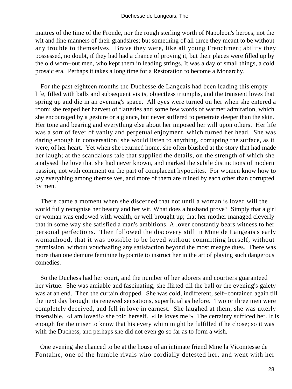maitres of the time of the Fronde, nor the rough sterling worth of Napoleon's heroes, not the wit and fine manners of their grandsires; but something of all three they meant to be without any trouble to themselves. Brave they were, like all young Frenchmen; ability they possessed, no doubt, if they had had a chance of proving it, but their places were filled up by the old worn−out men, who kept them in leading strings. It was a day of small things, a cold prosaic era. Perhaps it takes a long time for a Restoration to become a Monarchy.

 For the past eighteen months the Duchesse de Langeais had been leading this empty life, filled with balls and subsequent visits, objectless triumphs, and the transient loves that spring up and die in an evening's space. All eyes were turned on her when she entered a room; she reaped her harvest of flatteries and some few words of warmer admiration, which she encouraged by a gesture or a glance, but never suffered to penetrate deeper than the skin. Her tone and bearing and everything else about her imposed her will upon others. Her life was a sort of fever of vanity and perpetual enjoyment, which turned her head. She was daring enough in conversation; she would listen to anything, corrupting the surface, as it were, of her heart. Yet when she returned home, she often blushed at the story that had made her laugh; at the scandalous tale that supplied the details, on the strength of which she analysed the love that she had never known, and marked the subtle distinctions of modern passion, not with comment on the part of complacent hypocrites. For women know how to say everything among themselves, and more of them are ruined by each other than corrupted by men.

 There came a moment when she discerned that not until a woman is loved will the world fully recognise her beauty and her wit. What does a husband prove? Simply that a girl or woman was endowed with wealth, or well brought up; that her mother managed cleverly that in some way she satisfied a man's ambitions. A lover constantly bears witness to her personal perfections. Then followed the discovery still in Mme de Langeais's early womanhood, that it was possible to be loved without committing herself, without permission, without vouchsafing any satisfaction beyond the most meagre dues. There was more than one demure feminine hypocrite to instruct her in the art of playing such dangerous comedies.

 So the Duchess had her court, and the number of her adorers and courtiers guaranteed her virtue. She was amiable and fascinating; she flirted till the ball or the evening's gaiety was at an end. Then the curtain dropped. She was cold, indifferent, self−contained again till the next day brought its renewed sensations, superficial as before. Two or three men were completely deceived, and fell in love in earnest. She laughed at them, she was utterly insensible. «I am loved!» she told herself. «He loves me!» The certainty sufficed her. It is enough for the miser to know that his every whim might be fulfilled if he chose; so it was with the Duchess, and perhaps she did not even go so far as to form a wish.

 One evening she chanced to be at the house of an intimate friend Mme la Vicomtesse de Fontaine, one of the humble rivals who cordially detested her, and went with her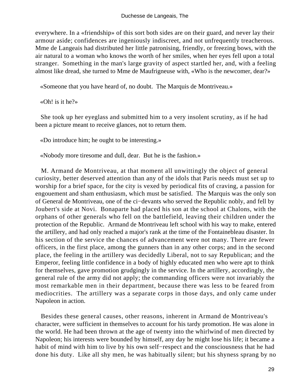everywhere. In a «friendship» of this sort both sides are on their guard, and never lay their armour aside; confidences are ingeniously indiscreet, and not unfrequently treacherous. Mme de Langeais had distributed her little patronising, friendly, or freezing bows, with the air natural to a woman who knows the worth of her smiles, when her eyes fell upon a total stranger. Something in the man's large gravity of aspect startled her, and, with a feeling almost like dread, she turned to Mme de Maufrigneuse with, «Who is the newcomer, dear?»

«Someone that you have heard of, no doubt. The Marquis de Montriveau.»

«Oh! is it he?»

 She took up her eyeglass and submitted him to a very insolent scrutiny, as if he had been a picture meant to receive glances, not to return them.

«Do introduce him; he ought to be interesting.»

«Nobody more tiresome and dull, dear. But he is the fashion.»

 M. Armand de Montriveau, at that moment all unwittingly the object of general curiosity, better deserved attention than any of the idols that Paris needs must set up to worship for a brief space, for the city is vexed by periodical fits of craving, a passion for engouement and sham enthusiasm, which must be satisfied. The Marquis was the only son of General de Montriveau, one of the ci−devants who served the Republic nobly, and fell by Joubert's side at Novi. Bonaparte had placed his son at the school at Chalons, with the orphans of other generals who fell on the battlefield, leaving their children under the protection of the Republic. Armand de Montriveau left school with his way to make, entered the artillery, and had only reached a major's rank at the time of the Fontainebleau disaster. In his section of the service the chances of advancement were not many. There are fewer officers, in the first place, among the gunners than in any other corps; and in the second place, the feeling in the artillery was decidedly Liberal, not to say Republican; and the Emperor, feeling little confidence in a body of highly educated men who were apt to think for themselves, gave promotion grudgingly in the service. In the artillery, accordingly, the general rule of the army did not apply; the commanding officers were not invariably the most remarkable men in their department, because there was less to be feared from mediocrities. The artillery was a separate corps in those days, and only came under Napoleon in action.

 Besides these general causes, other reasons, inherent in Armand de Montriveau's character, were sufficient in themselves to account for his tardy promotion. He was alone in the world. He had been thrown at the age of twenty into the whirlwind of men directed by Napoleon; his interests were bounded by himself, any day he might lose his life; it became a habit of mind with him to live by his own self−respect and the consciousness that he had done his duty. Like all shy men, he was habitually silent; but his shyness sprang by no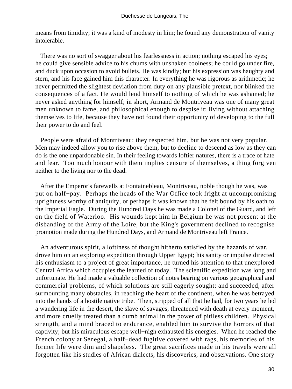means from timidity; it was a kind of modesty in him; he found any demonstration of vanity intolerable.

 There was no sort of swagger about his fearlessness in action; nothing escaped his eyes; he could give sensible advice to his chums with unshaken coolness; he could go under fire, and duck upon occasion to avoid bullets. He was kindly; but his expression was haughty and stern, and his face gained him this character. In everything he was rigorous as arithmetic; he never permitted the slightest deviation from duty on any plausible pretext, nor blinked the consequences of a fact. He would lend himself to nothing of which he was ashamed; he never asked anything for himself; in short, Armand de Montriveau was one of many great men unknown to fame, and philosophical enough to despise it; living without attaching themselves to life, because they have not found their opportunity of developing to the full their power to do and feel.

 People were afraid of Montriveau; they respected him, but he was not very popular. Men may indeed allow you to rise above them, but to decline to descend as low as they can do is the one unpardonable sin. In their feeling towards loftier natures, there is a trace of hate and fear. Too much honour with them implies censure of themselves, a thing forgiven neither to the living nor to the dead.

 After the Emperor's farewells at Fontainebleau, Montriveau, noble though he was, was put on half−pay. Perhaps the heads of the War Office took fright at uncompromising uprightness worthy of antiquity, or perhaps it was known that he felt bound by his oath to the Imperial Eagle. During the Hundred Days he was made a Colonel of the Guard, and left on the field of Waterloo. His wounds kept him in Belgium he was not present at the disbanding of the Army of the Loire, but the King's government declined to recognise promotion made during the Hundred Days, and Armand de Montriveau left France.

 An adventurous spirit, a loftiness of thought hitherto satisfied by the hazards of war, drove him on an exploring expedition through Upper Egypt; his sanity or impulse directed his enthusiasm to a project of great importance, he turned his attention to that unexplored Central Africa which occupies the learned of today. The scientific expedition was long and unfortunate. He had made a valuable collection of notes bearing on various geographical and commercial problems, of which solutions are still eagerly sought; and succeeded, after surmounting many obstacles, in reaching the heart of the continent, when he was betrayed into the hands of a hostile native tribe. Then, stripped of all that he had, for two years he led a wandering life in the desert, the slave of savages, threatened with death at every moment, and more cruelly treated than a dumb animal in the power of pitiless children. Physical strength, and a mind braced to endurance, enabled him to survive the horrors of that captivity; but his miraculous escape well−nigh exhausted his energies. When he reached the French colony at Senegal, a half−dead fugitive covered with rags, his memories of his former life were dim and shapeless. The great sacrifices made in his travels were all forgotten like his studies of African dialects, his discoveries, and observations. One story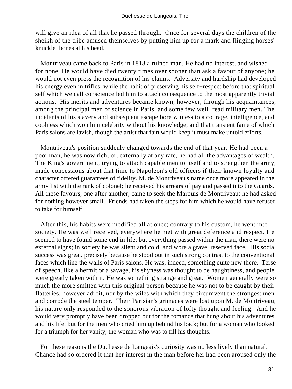will give an idea of all that he passed through. Once for several days the children of the sheikh of the tribe amused themselves by putting him up for a mark and flinging horses' knuckle−bones at his head.

 Montriveau came back to Paris in 1818 a ruined man. He had no interest, and wished for none. He would have died twenty times over sooner than ask a favour of anyone; he would not even press the recognition of his claims. Adversity and hardship had developed his energy even in trifles, while the habit of preserving his self−respect before that spiritual self which we call conscience led him to attach consequence to the most apparently trivial actions. His merits and adventures became known, however, through his acquaintances, among the principal men of science in Paris, and some few well−read military men. The incidents of his slavery and subsequent escape bore witness to a courage, intelligence, and coolness which won him celebrity without his knowledge, and that transient fame of which Paris salons are lavish, though the artist that fain would keep it must make untold efforts.

 Montriveau's position suddenly changed towards the end of that year. He had been a poor man, he was now rich; or, externally at any rate, he had all the advantages of wealth. The King's government, trying to attach capable men to itself and to strengthen the army, made concessions about that time to Napoleon's old officers if their known loyalty and character offered guarantees of fidelity. M. de Montriveau's name once more appeared in the army list with the rank of colonel; he received his arrears of pay and passed into the Guards. All these favours, one after another, came to seek the Marquis de Montriveau; he had asked for nothing however small. Friends had taken the steps for him which he would have refused to take for himself.

 After this, his habits were modified all at once; contrary to his custom, he went into society. He was well received, everywhere he met with great deference and respect. He seemed to have found some end in life; but everything passed within the man, there were no external signs; in society he was silent and cold, and wore a grave, reserved face. His social success was great, precisely because he stood out in such strong contrast to the conventional faces which line the walls of Paris salons. He was, indeed, something quite new there. Terse of speech, like a hermit or a savage, his shyness was thought to be haughtiness, and people were greatly taken with it. He was something strange and great. Women generally were so much the more smitten with this original person because he was not to be caught by their flatteries, however adroit, nor by the wiles with which they circumvent the strongest men and corrode the steel temper. Their Parisian's grimaces were lost upon M. de Montriveau; his nature only responded to the sonorous vibration of lofty thought and feeling. And he would very promptly have been dropped but for the romance that hung about his adventures and his life; but for the men who cried him up behind his back; but for a woman who looked for a triumph for her vanity, the woman who was to fill his thoughts.

 For these reasons the Duchesse de Langeais's curiosity was no less lively than natural. Chance had so ordered it that her interest in the man before her had been aroused only the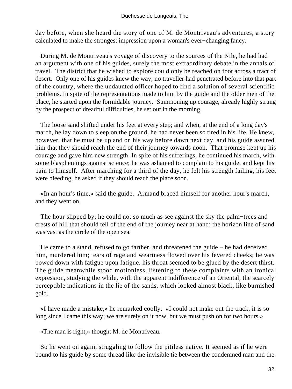day before, when she heard the story of one of M. de Montriveau's adventures, a story calculated to make the strongest impression upon a woman's ever−changing fancy.

 During M. de Montriveau's voyage of discovery to the sources of the Nile, he had had an argument with one of his guides, surely the most extraordinary debate in the annals of travel. The district that he wished to explore could only be reached on foot across a tract of desert. Only one of his guides knew the way; no traveller had penetrated before into that part of the country, where the undaunted officer hoped to find a solution of several scientific problems. In spite of the representations made to him by the guide and the older men of the place, he started upon the formidable journey. Summoning up courage, already highly strung by the prospect of dreadful difficulties, he set out in the morning.

 The loose sand shifted under his feet at every step; and when, at the end of a long day's march, he lay down to sleep on the ground, he had never been so tired in his life. He knew, however, that he must be up and on his way before dawn next day, and his guide assured him that they should reach the end of their journey towards noon. That promise kept up his courage and gave him new strength. In spite of his sufferings, he continued his march, with some blasphemings against science; he was ashamed to complain to his guide, and kept his pain to himself. After marching for a third of the day, he felt his strength failing, his feet were bleeding, he asked if they should reach the place soon.

 «In an hour's time,» said the guide. Armand braced himself for another hour's march, and they went on.

 The hour slipped by; he could not so much as see against the sky the palm−trees and crests of hill that should tell of the end of the journey near at hand; the horizon line of sand was vast as the circle of the open sea.

 He came to a stand, refused to go farther, and threatened the guide – he had deceived him, murdered him; tears of rage and weariness flowed over his fevered cheeks; he was bowed down with fatigue upon fatigue, his throat seemed to be glued by the desert thirst. The guide meanwhile stood motionless, listening to these complaints with an ironical expression, studying the while, with the apparent indifference of an Oriental, the scarcely perceptible indications in the lie of the sands, which looked almost black, like burnished gold.

 «I have made a mistake,» he remarked coolly. «I could not make out the track, it is so long since I came this way; we are surely on it now, but we must push on for two hours.»

«The man is right,» thought M. de Montriveau.

 So he went on again, struggling to follow the pitiless native. It seemed as if he were bound to his guide by some thread like the invisible tie between the condemned man and the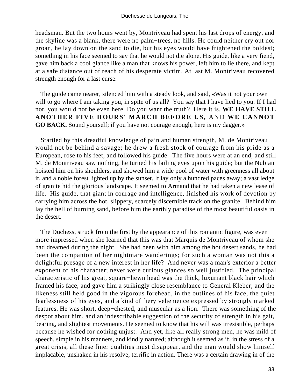headsman. But the two hours went by, Montriveau had spent his last drops of energy, and the skyline was a blank, there were no palm−trees, no hills. He could neither cry out nor groan, he lay down on the sand to die, but his eyes would have frightened the boldest; something in his face seemed to say that he would not die alone. His guide, like a very fiend, gave him back a cool glance like a man that knows his power, left him to lie there, and kept at a safe distance out of reach of his desperate victim. At last M. Montriveau recovered strength enough for a last curse.

 The guide came nearer, silenced him with a steady look, and said, «Was it not your own will to go where I am taking you, in spite of us all? You say that I have lied to you. If I had not, you would not be even here. Do you want the truth? Here it is. **WE HAVE STILL ANOTHER FIVE HOURS' MARCH BEFORE US,** AND **WE CANNOT GO BACK.** Sound yourself; if you have not courage enough, here is my dagger.»

 Startled by this dreadful knowledge of pain and human strength, M. de Montriveau would not be behind a savage; he drew a fresh stock of courage from his pride as a European, rose to his feet, and followed his guide. The five hours were at an end, and still M. de Montriveau saw nothing, he turned his failing eyes upon his guide; but the Nubian hoisted him on his shoulders, and showed him a wide pool of water with greenness all about it, and a noble forest lighted up by the sunset. It lay only a hundred paces away; a vast ledge of granite hid the glorious landscape. It seemed to Armand that he had taken a new lease of life. His guide, that giant in courage and intelligence, finished his work of devotion by carrying him across the hot, slippery, scarcely discernible track on the granite. Behind him lay the hell of burning sand, before him the earthly paradise of the most beautiful oasis in the desert.

 The Duchess, struck from the first by the appearance of this romantic figure, was even more impressed when she learned that this was that Marquis de Montriveau of whom she had dreamed during the night. She had been with him among the hot desert sands, he had been the companion of her nightmare wanderings; for such a woman was not this a delightful presage of a new interest in her life? And never was a man's exterior a better exponent of his character; never were curious glances so well justified. The principal characteristic of his great, square−hewn head was the thick, luxuriant black hair which framed his face, and gave him a strikingly close resemblance to General Kleber; and the likeness still held good in the vigorous forehead, in the outlines of his face, the quiet fearlessness of his eyes, and a kind of fiery vehemence expressed by strongly marked features. He was short, deep−chested, and muscular as a lion. There was something of the despot about him, and an indescribable suggestion of the security of strength in his gait, bearing, and slightest movements. He seemed to know that his will was irresistible, perhaps because he wished for nothing unjust. And yet, like all really strong men, he was mild of speech, simple in his manners, and kindly natured; although it seemed as if, in the stress of a great crisis, all these finer qualities must disappear, and the man would show himself implacable, unshaken in his resolve, terrific in action. There was a certain drawing in of the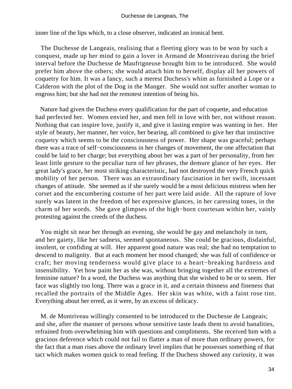## Duchesse de Langeais, The

inner line of the lips which, to a close observer, indicated an ironical bent.

 The Duchesse de Langeais, realising that a fleeting glory was to be won by such a conquest, made up her mind to gain a lover in Armand de Montriveau during the brief interval before the Duchesse de Maufrigneuse brought him to be introduced. She would prefer him above the others; she would attach him to herself, display all her powers of coquetry for him. It was a fancy, such a merest Duchess's whim as furnished a Lope or a Calderon with the plot of the Dog in the Manger. She would not suffer another woman to engross him; but she had not the remotest intention of being his.

 Nature had given the Duchess every qualification for the part of coquette, and education had perfected her. Women envied her, and men fell in love with her, not without reason. Nothing that can inspire love, justify it, and give it lasting empire was wanting in her. Her style of beauty, her manner, her voice, her bearing, all combined to give her that instinctive coquetry which seems to be the consciousness of power. Her shape was graceful; perhaps there was a trace of self−consciousness in her changes of movement, the one affectation that could be laid to her charge; but everything about her was a part of her personality, from her least little gesture to the peculiar turn of her phrases, the demure glance of her eyes. Her great lady's grace, her most striking characteristic, had not destroyed the very French quick mobility of her person. There was an extraordinary fascination in her swift, incessant changes of attitude. She seemed as if she surely would be a most delicious mistress when her corset and the encumbering costume of her part were laid aside. All the rapture of love surely was latent in the freedom of her expressive glances, in her caressing tones, in the charm of her words. She gave glimpses of the high−born courtesan within her, vainly protesting against the creeds of the duchess.

 You might sit near her through an evening, she would be gay and melancholy in turn, and her gaiety, like her sadness, seemed spontaneous. She could be gracious, disdainful, insolent, or confiding at will. Her apparent good nature was real; she had no temptation to descend to malignity. But at each moment her mood changed; she was full of confidence or craft; her moving tenderness would give place to a heart−breaking hardness and insensibility. Yet how paint her as she was, without bringing together all the extremes of feminine nature? In a word, the Duchess was anything that she wished to be or to seem. Her face was slightly too long. There was a grace in it, and a certain thinness and fineness that recalled the portraits of the Middle Ages. Her skin was white, with a faint rose tint. Everything about her erred, as it were, by an excess of delicacy.

 M. de Montriveau willingly consented to be introduced to the Duchesse de Langeais; and she, after the manner of persons whose sensitive taste leads them to avoid banalities, refrained from overwhelming him with questions and compliments. She received him with a gracious deference which could not fail to flatter a man of more than ordinary powers, for the fact that a man rises above the ordinary level implies that he possesses something of that tact which makes women quick to read feeling. If the Duchess showed any curiosity, it was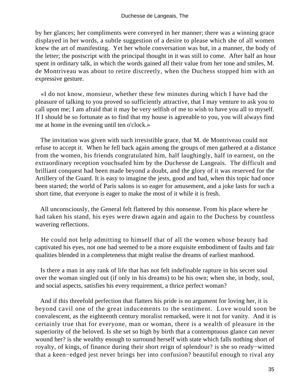by her glances; her compliments were conveyed in her manner; there was a winning grace displayed in her words, a subtle suggestion of a desire to please which she of all women knew the art of manifesting. Yet her whole conversation was but, in a manner, the body of the letter; the postscript with the principal thought in it was still to come. After half an hour spent in ordinary talk, in which the words gained all their value from her tone and smiles, M. de Montriveau was about to retire discreetly, when the Duchess stopped him with an expressive gesture.

 «I do not know, monsieur, whether these few minutes during which I have had the pleasure of talking to you proved so sufficiently attractive, that I may venture to ask you to call upon me; I am afraid that it may be very selfish of me to wish to have you all to myself. If I should be so fortunate as to find that my house is agreeable to you, you will always find me at home in the evening until ten o'clock.»

 The invitation was given with such irresistible grace, that M. de Montriveau could not refuse to accept it. When he fell back again among the groups of men gathered at a distance from the women, his friends congratulated him, half laughingly, half in earnest, on the extraordinary reception vouchsafed him by the Duchesse de Langeais. The difficult and brilliant conquest had been made beyond a doubt, and the glory of it was reserved for the Artillery of the Guard. It is easy to imagine the jests, good and bad, when this topic had once been started; the world of Paris salons is so eager for amusement, and a joke lasts for such a short time, that everyone is eager to make the most of it while it is fresh.

 All unconsciously, the General felt flattered by this nonsense. From his place where he had taken his stand, his eyes were drawn again and again to the Duchess by countless wavering reflections.

 He could not help admitting to himself that of all the women whose beauty had captivated his eyes, not one had seemed to be a more exquisite embodiment of faults and fair qualities blended in a completeness that might realise the dreams of earliest manhood.

 Is there a man in any rank of life that has not felt indefinable rapture in his secret soul over the woman singled out (if only in his dreams) to be his own; when she, in body, soul, and social aspects, satisfies his every requirement, a thrice perfect woman?

 And if this threefold perfection that flatters his pride is no argument for loving her, it is beyond cavil one of the great inducements to the sentiment. Love would soon be convalescent, as the eighteenth century moralist remarked, were it not for vanity. And it is certainly true that for everyone, man or woman, there is a wealth of pleasure in the superiority of the beloved. Is she set so high by birth that a contemptuous glance can never wound her? is she wealthy enough to surround herself with state which falls nothing short of royalty, of kings, of finance during their short reign of splendour? is she so ready−witted that a keen−edged jest never brings her into confusion? beautiful enough to rival any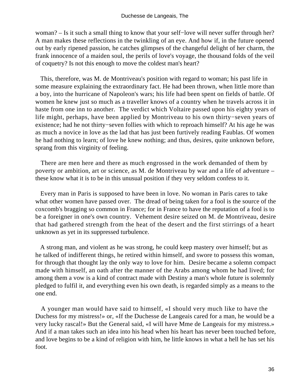woman? – Is it such a small thing to know that your self−love will never suffer through her? A man makes these reflections in the twinkling of an eye. And how if, in the future opened out by early ripened passion, he catches glimpses of the changeful delight of her charm, the frank innocence of a maiden soul, the perils of love's voyage, the thousand folds of the veil of coquetry? Is not this enough to move the coldest man's heart?

 This, therefore, was M. de Montriveau's position with regard to woman; his past life in some measure explaining the extraordinary fact. He had been thrown, when little more than a boy, into the hurricane of Napoleon's wars; his life had been spent on fields of battle. Of women he knew just so much as a traveller knows of a country when he travels across it in haste from one inn to another. The verdict which Voltaire passed upon his eighty years of life might, perhaps, have been applied by Montriveau to his own thirty−seven years of existence; had he not thirty−seven follies with which to reproach himself? At his age he was as much a novice in love as the lad that has just been furtively reading Faublas. Of women he had nothing to learn; of love he knew nothing; and thus, desires, quite unknown before, sprang from this virginity of feeling.

 There are men here and there as much engrossed in the work demanded of them by poverty or ambition, art or science, as M. de Montriveau by war and a life of adventure – these know what it is to be in this unusual position if they very seldom confess to it.

 Every man in Paris is supposed to have been in love. No woman in Paris cares to take what other women have passed over. The dread of being taken for a fool is the source of the coxcomb's bragging so common in France; for in France to have the reputation of a fool is to be a foreigner in one's own country. Vehement desire seized on M. de Montriveau, desire that had gathered strength from the heat of the desert and the first stirrings of a heart unknown as yet in its suppressed turbulence.

 A strong man, and violent as he was strong, he could keep mastery over himself; but as he talked of indifferent things, he retired within himself, and swore to possess this woman, for through that thought lay the only way to love for him. Desire became a solemn compact made with himself, an oath after the manner of the Arabs among whom he had lived; for among them a vow is a kind of contract made with Destiny a man's whole future is solemnly pledged to fulfil it, and everything even his own death, is regarded simply as a means to the one end.

 A younger man would have said to himself, «I should very much like to have the Duchess for my mistress!» or, «If the Duchesse de Langeais cared for a man, he would be a very lucky rascal!» But the General said, «I will have Mme de Langeais for my mistress.» And if a man takes such an idea into his head when his heart has never been touched before, and love begins to be a kind of religion with him, he little knows in what a hell he has set his foot.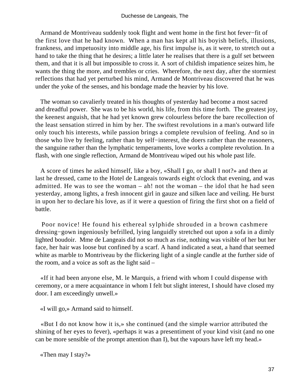## Duchesse de Langeais, The

 Armand de Montriveau suddenly took flight and went home in the first hot fever−fit of the first love that he had known. When a man has kept all his boyish beliefs, illusions, frankness, and impetuosity into middle age, his first impulse is, as it were, to stretch out a hand to take the thing that he desires; a little later he realises that there is a gulf set between them, and that it is all but impossible to cross it. A sort of childish impatience seizes him, he wants the thing the more, and trembles or cries. Wherefore, the next day, after the stormiest reflections that had yet perturbed his mind, Armand de Montriveau discovered that he was under the yoke of the senses, and his bondage made the heavier by his love.

 The woman so cavalierly treated in his thoughts of yesterday had become a most sacred and dreadful power. She was to be his world, his life, from this time forth. The greatest joy, the keenest anguish, that he had yet known grew colourless before the bare recollection of the least sensation stirred in him by her. The swiftest revolutions in a man's outward life only touch his interests, while passion brings a complete revulsion of feeling. And so in those who live by feeling, rather than by self−interest, the doers rather than the reasoners, the sanguine rather than the lymphatic temperaments, love works a complete revolution. In a flash, with one single reflection, Armand de Montriveau wiped out his whole past life.

 A score of times he asked himself, like a boy, «Shall I go, or shall I not?» and then at last he dressed, came to the Hotel de Langeais towards eight o'clock that evening, and was admitted. He was to see the woman – ah! not the woman – the idol that he had seen yesterday, among lights, a fresh innocent girl in gauze and silken lace and veiling. He burst in upon her to declare his love, as if it were a question of firing the first shot on a field of battle.

 Poor novice! He found his ethereal sylphide shrouded in a brown cashmere dressing−gown ingeniously befrilled, lying languidly stretched out upon a sofa in a dimly lighted boudoir. Mme de Langeais did not so much as rise, nothing was visible of her but her face, her hair was loose but confined by a scarf. A hand indicated a seat, a hand that seemed white as marble to Montriveau by the flickering light of a single candle at the further side of the room, and a voice as soft as the light said –

 «If it had been anyone else, M. le Marquis, a friend with whom I could dispense with ceremony, or a mere acquaintance in whom I felt but slight interest, I should have closed my door. I am exceedingly unwell.»

«I will go,» Armand said to himself.

 «But I do not know how it is,» she continued (and the simple warrior attributed the shining of her eyes to fever), «perhaps it was a presentiment of your kind visit (and no one can be more sensible of the prompt attention than I), but the vapours have left my head.»

«Then may I stay?»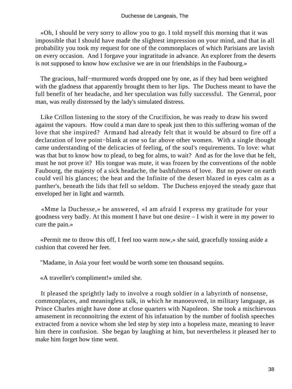«Oh, I should be very sorry to allow you to go. I told myself this morning that it was impossible that I should have made the slightest impression on your mind, and that in all probability you took my request for one of the commonplaces of which Parisians are lavish on every occasion. And I forgave your ingratitude in advance. An explorer from the deserts is not supposed to know how exclusive we are in our friendships in the Faubourg.»

 The gracious, half−murmured words dropped one by one, as if they had been weighted with the gladness that apparently brought them to her lips. The Duchess meant to have the full benefit of her headache, and her speculation was fully successful. The General, poor man, was really distressed by the lady's simulated distress.

 Like Crillon listening to the story of the Crucifixion, he was ready to draw his sword against the vapours. How could a man dare to speak just then to this suffering woman of the love that she inspired? Armand had already felt that it would be absurd to fire off a declaration of love point−blank at one so far above other women. With a single thought came understanding of the delicacies of feeling, of the soul's requirements. To love: what was that but to know how to plead, to beg for alms, to wait? And as for the love that he felt, must he not prove it? His tongue was mute, it was frozen by the conventions of the noble Faubourg, the majesty of a sick headache, the bashfulness of love. But no power on earth could veil his glances; the heat and the Infinite of the desert blazed in eyes calm as a panther's, beneath the lids that fell so seldom. The Duchess enjoyed the steady gaze that enveloped her in light and warmth.

 «Mme la Duchesse,» he answered, «I am afraid I express my gratitude for your goodness very badly. At this moment I have but one desire – I wish it were in my power to cure the pain.»

 «Permit me to throw this off, I feel too warm now,» she said, gracefully tossing aside a cushion that covered her feet.

"Madame, in Asia your feet would be worth some ten thousand sequins.

«A traveller's compliment!» smiled she.

 It pleased the sprightly lady to involve a rough soldier in a labyrinth of nonsense, commonplaces, and meaningless talk, in which he manoeuvred, in military language, as Prince Charles might have done at close quarters with Napoleon. She took a mischievous amusement in reconnoitring the extent of his infatuation by the number of foolish speeches extracted from a novice whom she led step by step into a hopeless maze, meaning to leave him there in confusion. She began by laughing at him, but nevertheless it pleased her to make him forget how time went.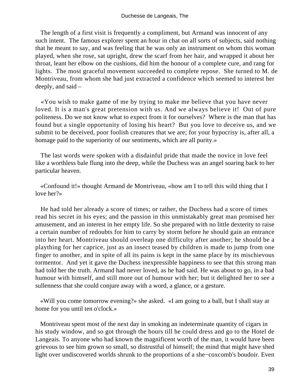The length of a first visit is frequently a compliment, but Armand was innocent of any such intent. The famous explorer spent an hour in chat on all sorts of subjects, said nothing that he meant to say, and was feeling that he was only an instrument on whom this woman played, when she rose, sat upright, drew the scarf from her hair, and wrapped it about her throat, leant her elbow on the cushions, did him the honour of a complete cure, and rang for lights. The most graceful movement succeeded to complete repose. She turned to M. de Montriveau, from whom she had just extracted a confidence which seemed to interest her deeply, and said –

 «You wish to make game of me by trying to make me believe that you have never loved. It is a man's great pretension with us. And we always believe it! Out of pure politeness. Do we not know what to expect from it for ourselves? Where is the man that has found but a single opportunity of losing his heart? But you love to deceive us, and we submit to be deceived, poor foolish creatures that we are; for your hypocrisy is, after all, a homage paid to the superiority of our sentiments, which are all purity.»

 The last words were spoken with a disdainful pride that made the novice in love feel like a worthless bale flung into the deep, while the Duchess was an angel soaring back to her particular heaven.

 «Confound it!» thought Armand de Montriveau, «how am I to tell this wild thing that I love her?»

 He had told her already a score of times; or rather, the Duchess had a score of times read his secret in his eyes; and the passion in this unmistakably great man promised her amusement, and an interest in her empty life. So she prepared with no little dexterity to raise a certain number of redoubts for him to carry by storm before he should gain an entrance into her heart. Montriveau should overleap one difficulty after another; he should be a plaything for her caprice, just as an insect teased by children is made to jump from one finger to another, and in spite of all its pains is kept in the same place by its mischievous tormentor. And yet it gave the Duchess inexpressible happiness to see that this strong man had told her the truth. Armand had never loved, as he had said. He was about to go, in a bad humour with himself, and still more out of humour with her; but it delighted her to see a sullenness that she could conjure away with a word, a glance, or a gesture.

 «Will you come tomorrow evening?» she asked. «I am going to a ball, but I shall stay at home for you until ten o'clock.»

 Montriveau spent most of the next day in smoking an indeterminate quantity of cigars in his study window, and so got through the hours till he could dress and go to the Hotel de Langeais. To anyone who had known the magnificent worth of the man, it would have been grievous to see him grown so small, so distrustful of himself; the mind that might have shed light over undiscovered worlds shrunk to the proportions of a she−coxcomb's boudoir. Even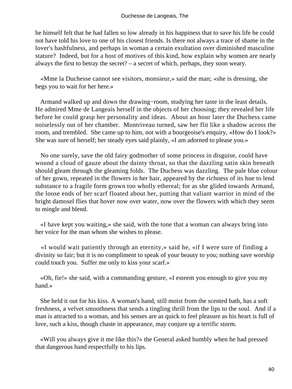he himself felt that he had fallen so low already in his happiness that to save his life he could not have told his love to one of his closest friends. Is there not always a trace of shame in the lover's bashfulness, and perhaps in woman a certain exultation over diminished masculine stature? Indeed, but for a host of motives of this kind, how explain why women are nearly always the first to betray the secret? – a secret of which, perhaps, they soon weary.

 «Mme la Duchesse cannot see visitors, monsieur,» said the man; «she is dressing, she begs you to wait for her here.»

 Armand walked up and down the drawing−room, studying her taste in the least details. He admired Mme de Langeais herself in the objects of her choosing; they revealed her life before he could grasp her personality and ideas. About an hour later the Duchess came noiselessly out of her chamber. Montriveau turned, saw her flit like a shadow across the room, and trembled. She came up to him, not with a bourgeoise's enquiry, «How do I look?» She was sure of herself; her steady eyes said plainly, «I am adorned to please you.»

 No one surely, save the old fairy godmother of some princess in disguise, could have wound a cloud of gauze about the dainty throat, so that the dazzling satin skin beneath should gleam through the gleaming folds. The Duchess was dazzling. The pale blue colour of her gown, repeated in the flowers in her hair, appeared by the richness of its hue to lend substance to a fragile form grown too wholly ethereal; for as she glided towards Armand, the loose ends of her scarf floated about her, putting that valiant warrior in mind of the bright damosel flies that hover now over water, now over the flowers with which they seem to mingle and blend.

 «I have kept you waiting,» she said, with the tone that a woman can always bring into her voice for the man whom she wishes to please.

 «I would wait patiently through an eternity,» said he, «if I were sure of finding a divinity so fair; but it is no compliment to speak of your beauty to you; nothing save worship could touch you. Suffer me only to kiss your scarf.»

 «Oh, fie!» she said, with a commanding gesture, «I esteem you enough to give you my hand.»

 She held it out for his kiss. A woman's hand, still moist from the scented bath, has a soft freshness, a velvet smoothness that sends a tingling thrill from the lips to the soul. And if a man is attracted to a woman, and his senses are as quick to feel pleasure as his heart is full of love, such a kiss, though chaste in appearance, may conjure up a terrific storm.

 «Will you always give it me like this?» the General asked humbly when he had pressed that dangerous hand respectfully to his lips.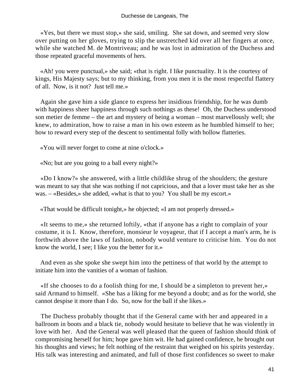«Yes, but there we must stop,» she said, smiling. She sat down, and seemed very slow over putting on her gloves, trying to slip the unstretched kid over all her fingers at once, while she watched M. de Montriveau; and he was lost in admiration of the Duchess and those repeated graceful movements of hers.

 «Ah! you were punctual,» she said; «that is right. I like punctuality. It is the courtesy of kings, His Majesty says; but to my thinking, from you men it is the most respectful flattery of all. Now, is it not? Just tell me.»

 Again she gave him a side glance to express her insidious friendship, for he was dumb with happiness sheer happiness through such nothings as these! Oh, the Duchess understood son metier de femme – the art and mystery of being a woman – most marvellously well; she knew, to admiration, how to raise a man in his own esteem as he humbled himself to her; how to reward every step of the descent to sentimental folly with hollow flatteries.

«You will never forget to come at nine o'clock.»

«No; but are you going to a ball every night?»

 «Do I know?» she answered, with a little childlike shrug of the shoulders; the gesture was meant to say that she was nothing if not capricious, and that a lover must take her as she was. – «Besides,» she added, «what is that to you? You shall be my escort.»

«That would be difficult tonight,» he objected; «I am not properly dressed.»

 «It seems to me,» she returned loftily, «that if anyone has a right to complain of your costume, it is I. Know, therefore, monsieur le voyageur, that if I accept a man's arm, he is forthwith above the laws of fashion, nobody would venture to criticise him. You do not know the world, I see; I like you the better for it.»

 And even as she spoke she swept him into the pettiness of that world by the attempt to initiate him into the vanities of a woman of fashion.

 «If she chooses to do a foolish thing for me, I should be a simpleton to prevent her,» said Armand to himself. «She has a liking for me beyond a doubt; and as for the world, she cannot despise it more than I do. So, now for the ball if she likes.»

 The Duchess probably thought that if the General came with her and appeared in a ballroom in boots and a black tie, nobody would hesitate to believe that he was violently in love with her. And the General was well pleased that the queen of fashion should think of compromising herself for him; hope gave him wit. He had gained confidence, he brought out his thoughts and views; he felt nothing of the restraint that weighed on his spirits yesterday. His talk was interesting and animated, and full of those first confidences so sweet to make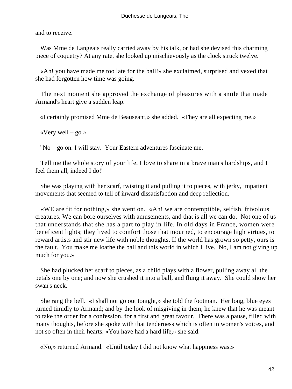and to receive.

 Was Mme de Langeais really carried away by his talk, or had she devised this charming piece of coquetry? At any rate, she looked up mischievously as the clock struck twelve.

 «Ah! you have made me too late for the ball!» she exclaimed, surprised and vexed that she had forgotten how time was going.

 The next moment she approved the exchange of pleasures with a smile that made Armand's heart give a sudden leap.

«I certainly promised Mme de Beauseant,» she added. «They are all expecting me.»

«Very well – go.»

"No – go on. I will stay. Your Eastern adventures fascinate me.

 Tell me the whole story of your life. I love to share in a brave man's hardships, and I feel them all, indeed I do!"

 She was playing with her scarf, twisting it and pulling it to pieces, with jerky, impatient movements that seemed to tell of inward dissatisfaction and deep reflection.

 «WE are fit for nothing,» she went on. «Ah! we are contemptible, selfish, frivolous creatures. We can bore ourselves with amusements, and that is all we can do. Not one of us that understands that she has a part to play in life. In old days in France, women were beneficent lights; they lived to comfort those that mourned, to encourage high virtues, to reward artists and stir new life with noble thoughts. If the world has grown so petty, ours is the fault. You make me loathe the ball and this world in which I live. No, I am not giving up much for you.»

 She had plucked her scarf to pieces, as a child plays with a flower, pulling away all the petals one by one; and now she crushed it into a ball, and flung it away. She could show her swan's neck.

 She rang the bell. «I shall not go out tonight,» she told the footman. Her long, blue eyes turned timidly to Armand; and by the look of misgiving in them, he knew that he was meant to take the order for a confession, for a first and great favour. There was a pause, filled with many thoughts, before she spoke with that tenderness which is often in women's voices, and not so often in their hearts. «You have had a hard life,» she said.

«No,» returned Armand. «Until today I did not know what happiness was.»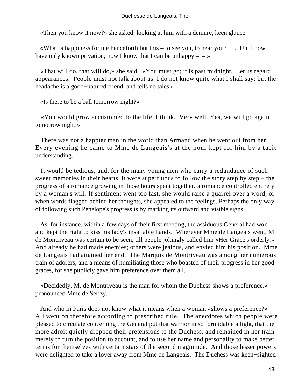«Then you know it now?» she asked, looking at him with a demure, keen glance.

 «What is happiness for me henceforth but this – to see you, to hear you? . . . Until now I have only known privation; now I know that I can be unhappy  $-\rightarrow \infty$ 

 «That will do, that will do,» she said. «You must go; it is past midnight. Let us regard appearances. People must not talk about us. I do not know quite what I shall say; but the headache is a good−natured friend, and tells no tales.»

«Is there to be a ball tomorrow night?»

 «You would grow accustomed to the life, I think. Very well. Yes, we will go again tomorrow night.»

 There was not a happier man in the world than Armand when he went out from her. Every evening he came to Mme de Langeais's at the hour kept for him by a tacit understanding.

 It would be tedious, and, for the many young men who carry a redundance of such sweet memories in their hearts, it were superfluous to follow the story step by step – the progress of a romance growing in those hours spent together, a romance controlled entirely by a woman's will. If sentiment went too fast, she would raise a quarrel over a word, or when words flagged behind her thoughts, she appealed to the feelings. Perhaps the only way of following such Penelope's progress is by marking its outward and visible signs.

 As, for instance, within a few days of their first meeting, the assiduous General had won and kept the right to kiss his lady's insatiable hands. Wherever Mme de Langeais went, M. de Montriveau was certain to be seen, till people jokingly called him «Her Grace's orderly.» And already he had made enemies; others were jealous, and envied him his position. Mme de Langeais had attained her end. The Marquis de Montriveau was among her numerous train of adorers, and a means of humiliating those who boasted of their progress in her good graces, for she publicly gave him preference over them all.

 «Decidedly, M. de Montriveau is the man for whom the Duchess shows a preference,» pronounced Mme de Serizy.

 And who in Paris does not know what it means when a woman «shows a preference?» All went on therefore according to prescribed rule. The anecdotes which people were pleased to circulate concerning the General put that warrior in so formidable a light, that the more adroit quietly dropped their pretensions to the Duchess, and remained in her train merely to turn the position to account, and to use her name and personality to make better terms for themselves with certain stars of the second magnitude. And those lesser powers were delighted to take a lover away from Mme de Langeais. The Duchess was keen−sighted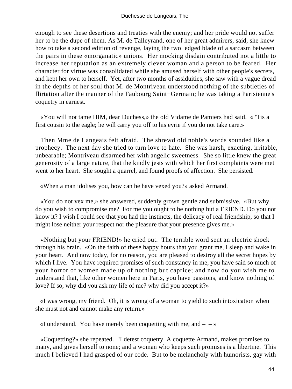enough to see these desertions and treaties with the enemy; and her pride would not suffer her to be the dupe of them. As M. de Talleyrand, one of her great admirers, said, she knew how to take a second edition of revenge, laying the two−edged blade of a sarcasm between the pairs in these «morganatic» unions. Her mocking disdain contributed not a little to increase her reputation as an extremely clever woman and a person to be feared. Her character for virtue was consolidated while she amused herself with other people's secrets, and kept her own to herself. Yet, after two months of assiduities, she saw with a vague dread in the depths of her soul that M. de Montriveau understood nothing of the subtleties of flirtation after the manner of the Faubourg Saint−Germain; he was taking a Parisienne's coquetry in earnest.

 «You will not tame HIM, dear Duchess,» the old Vidame de Pamiers had said. « 'Tis a first cousin to the eagle; he will carry you off to his eyrie if you do not take care.»

 Then Mme de Langeais felt afraid. The shrewd old noble's words sounded like a prophecy. The next day she tried to turn love to hate. She was harsh, exacting, irritable, unbearable; Montriveau disarmed her with angelic sweetness. She so little knew the great generosity of a large nature, that the kindly jests with which her first complaints were met went to her heart. She sought a quarrel, and found proofs of affection. She persisted.

«When a man idolises you, how can he have vexed you?» asked Armand.

 «You do not vex me,» she answered, suddenly grown gentle and submissive. «But why do you wish to compromise me? For me you ought to be nothing but a FRIEND. Do you not know it? I wish I could see that you had the instincts, the delicacy of real friendship, so that I might lose neither your respect nor the pleasure that your presence gives me.»

 «Nothing but your FRIEND!» he cried out. The terrible word sent an electric shock through his brain. «On the faith of these happy hours that you grant me, I sleep and wake in your heart. And now today, for no reason, you are pleased to destroy all the secret hopes by which I live. You have required promises of such constancy in me, you have said so much of your horror of women made up of nothing but caprice; and now do you wish me to understand that, like other women here in Paris, you have passions, and know nothing of love? If so, why did you ask my life of me? why did you accept it?»

 «I was wrong, my friend. Oh, it is wrong of a woman to yield to such intoxication when she must not and cannot make any return.»

«I understand. You have merely been coquetting with me, and  $- \rightarrow \infty$ 

 «Coquetting?» she repeated. "I detest coquetry. A coquette Armand, makes promises to many, and gives herself to none; and a woman who keeps such promises is a libertine. This much I believed I had grasped of our code. But to be melancholy with humorists, gay with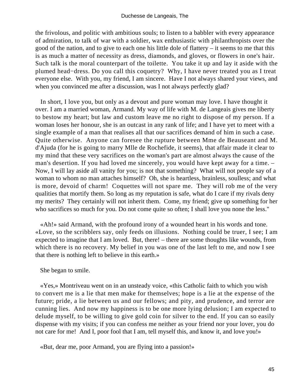the frivolous, and politic with ambitious souls; to listen to a babbler with every appearance of admiration, to talk of war with a soldier, wax enthusiastic with philanthropists over the good of the nation, and to give to each one his little dole of flattery – it seems to me that this is as much a matter of necessity as dress, diamonds, and gloves, or flowers in one's hair. Such talk is the moral counterpart of the toilette. You take it up and lay it aside with the plumed head−dress. Do you call this coquetry? Why, I have never treated you as I treat everyone else. With you, my friend, I am sincere. Have I not always shared your views, and when you convinced me after a discussion, was I not always perfectly glad?

 In short, I love you, but only as a devout and pure woman may love. I have thought it over. I am a married woman, Armand. My way of life with M. de Langeais gives me liberty to bestow my heart; but law and custom leave me no right to dispose of my person. If a woman loses her honour, she is an outcast in any rank of life; and I have yet to meet with a single example of a man that realises all that our sacrifices demand of him in such a case. Quite otherwise. Anyone can foresee the rupture between Mme de Beauseant and M. d'Ajuda (for he is going to marry Mlle de Rochefide, it seems), that affair made it clear to my mind that these very sacrifices on the woman's part are almost always the cause of the man's desertion. If you had loved me sincerely, you would have kept away for a time. – Now, I will lay aside all vanity for you; is not that something? What will not people say of a woman to whom no man attaches himself? Oh, she is heartless, brainless, soulless; and what is more, devoid of charm! Coquettes will not spare me. They will rob me of the very qualities that mortify them. So long as my reputation is safe, what do I care if my rivals deny my merits? They certainly will not inherit them. Come, my friend; give up something for her who sacrifices so much for you. Do not come quite so often; I shall love you none the less."

 «Ah!» said Armand, with the profound irony of a wounded heart in his words and tone. «Love, so the scribblers say, only feeds on illusions. Nothing could be truer, I see; I am expected to imagine that I am loved. But, there! – there are some thoughts like wounds, from which there is no recovery. My belief in you was one of the last left to me, and now I see that there is nothing left to believe in this earth.»

## She began to smile.

 «Yes,» Montriveau went on in an unsteady voice, «this Catholic faith to which you wish to convert me is a lie that men make for themselves; hope is a lie at the expense of the future; pride, a lie between us and our fellows; and pity, and prudence, and terror are cunning lies. And now my happiness is to be one more lying delusion; I am expected to delude myself, to be willing to give gold coin for silver to the end. If you can so easily dispense with my visits; if you can confess me neither as your friend nor your lover, you do not care for me! And I, poor fool that I am, tell myself this, and know it, and love you!»

«But, dear me, poor Armand, you are flying into a passion!»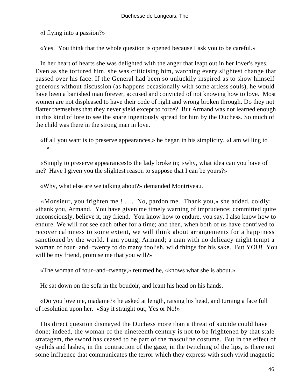«I flying into a passion?»

«Yes. You think that the whole question is opened because I ask you to be careful.»

 In her heart of hearts she was delighted with the anger that leapt out in her lover's eyes. Even as she tortured him, she was criticising him, watching every slightest change that passed over his face. If the General had been so unluckily inspired as to show himself generous without discussion (as happens occasionally with some artless souls), he would have been a banished man forever, accused and convicted of not knowing how to love. Most women are not displeased to have their code of right and wrong broken through. Do they not flatter themselves that they never yield except to force? But Armand was not learned enough in this kind of lore to see the snare ingeniously spread for him by the Duchess. So much of the child was there in the strong man in love.

 «If all you want is to preserve appearances,» he began in his simplicity, «I am willing to  $- - \rightarrow$ 

 «Simply to preserve appearances!» the lady broke in; «why, what idea can you have of me? Have I given you the slightest reason to suppose that I can be yours?»

«Why, what else are we talking about?» demanded Montriveau.

 «Monsieur, you frighten me ! . . . No, pardon me. Thank you,» she added, coldly; «thank you, Armand. You have given me timely warning of imprudence; committed quite unconsciously, believe it, my friend. You know how to endure, you say. I also know how to endure. We will not see each other for a time; and then, when both of us have contrived to recover calmness to some extent, we will think about arrangements for a happiness sanctioned by the world. I am young, Armand; a man with no delicacy might tempt a woman of four−and−twenty to do many foolish, wild things for his sake. But YOU! You will be my friend, promise me that you will?»

«The woman of four−and−twenty,» returned he, «knows what she is about.»

He sat down on the sofa in the boudoir, and leant his head on his hands.

 «Do you love me, madame?» he asked at length, raising his head, and turning a face full of resolution upon her. «Say it straight out; Yes or No!»

 His direct question dismayed the Duchess more than a threat of suicide could have done; indeed, the woman of the nineteenth century is not to be frightened by that stale stratagem, the sword has ceased to be part of the masculine costume. But in the effect of eyelids and lashes, in the contraction of the gaze, in the twitching of the lips, is there not some influence that communicates the terror which they express with such vivid magnetic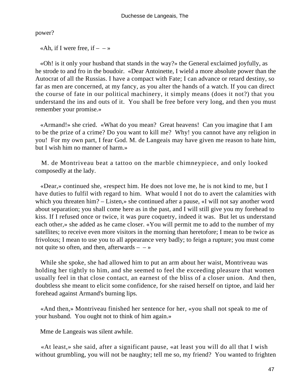power?

«Ah, if I were free, if  $- \rightarrow \infty$ 

 «Oh! is it only your husband that stands in the way?» the General exclaimed joyfully, as he strode to and fro in the boudoir. «Dear Antoinette, I wield a more absolute power than the Autocrat of all the Russias. I have a compact with Fate; I can advance or retard destiny, so far as men are concerned, at my fancy, as you alter the hands of a watch. If you can direct the course of fate in our political machinery, it simply means (does it not?) that you understand the ins and outs of it. You shall be free before very long, and then you must remember your promise.»

 «Armand!» she cried. «What do you mean? Great heavens! Can you imagine that I am to be the prize of a crime? Do you want to kill me? Why! you cannot have any religion in you! For my own part, I fear God. M. de Langeais may have given me reason to hate him, but I wish him no manner of harm.»

 M. de Montriveau beat a tattoo on the marble chimneypiece, and only looked composedly at the lady.

 «Dear,» continued she, «respect him. He does not love me, he is not kind to me, but I have duties to fulfil with regard to him. What would I not do to avert the calamities with which you threaten him? – Listen,» she continued after a pause, «I will not say another word about separation; you shall come here as in the past, and I will still give you my forehead to kiss. If I refused once or twice, it was pure coquetry, indeed it was. But let us understand each other,» she added as he came closer. «You will permit me to add to the number of my satellites; to receive even more visitors in the morning than heretofore; I mean to be twice as frivolous; I mean to use you to all appearance very badly; to feign a rupture; you must come not quite so often, and then, afterwards  $- \rightarrow \infty$ 

 While she spoke, she had allowed him to put an arm about her waist, Montriveau was holding her tightly to him, and she seemed to feel the exceeding pleasure that women usually feel in that close contact, an earnest of the bliss of a closer union. And then, doubtless she meant to elicit some confidence, for she raised herself on tiptoe, and laid her forehead against Armand's burning lips.

 «And then,» Montriveau finished her sentence for her, «you shall not speak to me of your husband. You ought not to think of him again.»

Mme de Langeais was silent awhile.

 «At least,» she said, after a significant pause, «at least you will do all that I wish without grumbling, you will not be naughty; tell me so, my friend? You wanted to frighten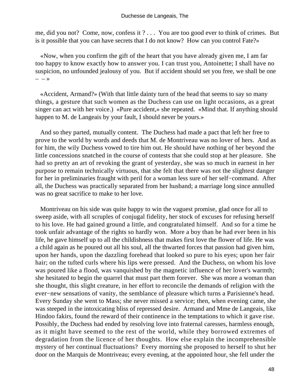me, did you not? Come, now, confess it ? . . . You are too good ever to think of crimes. But is it possible that you can have secrets that I do not know? How can you control Fate?»

 «Now, when you confirm the gift of the heart that you have already given me, I am far too happy to know exactly how to answer you. I can trust you, Antoinette; I shall have no suspicion, no unfounded jealousy of you. But if accident should set you free, we shall be one  $- - \infty$ 

 «Accident, Armand?» (With that little dainty turn of the head that seems to say so many things, a gesture that such women as the Duchess can use on light occasions, as a great singer can act with her voice.) «Pure accident,» she repeated. «Mind that. If anything should happen to M. de Langeais by your fault, I should never be yours.»

 And so they parted, mutually content. The Duchess had made a pact that left her free to prove to the world by words and deeds that M. de Montriveau was no lover of hers. And as for him, the wily Duchess vowed to tire him out. He should have nothing of her beyond the little concessions snatched in the course of contests that she could stop at her pleasure. She had so pretty an art of revoking the grant of yesterday, she was so much in earnest in her purpose to remain technically virtuous, that she felt that there was not the slightest danger for her in preliminaries fraught with peril for a woman less sure of her self−command. After all, the Duchess was practically separated from her husband; a marriage long since annulled was no great sacrifice to make to her love.

 Montriveau on his side was quite happy to win the vaguest promise, glad once for all to sweep aside, with all scruples of conjugal fidelity, her stock of excuses for refusing herself to his love. He had gained ground a little, and congratulated himself. And so for a time he took unfair advantage of the rights so hardly won. More a boy than he had ever been in his life, he gave himself up to all the childishness that makes first love the flower of life. He was a child again as he poured out all his soul, all the thwarted forces that passion had given him, upon her hands, upon the dazzling forehead that looked so pure to his eyes; upon her fair hair; on the tufted curls where his lips were pressed. And the Duchess, on whom his love was poured like a flood, was vanquished by the magnetic influence of her lover's warmth; she hesitated to begin the quarrel that must part them forever. She was more a woman than she thought, this slight creature, in her effort to reconcile the demands of religion with the ever−new sensations of vanity, the semblance of pleasure which turns a Parisienne's head. Every Sunday she went to Mass; she never missed a service; then, when evening came, she was steeped in the intoxicating bliss of repressed desire. Armand and Mme de Langeais, like Hindoo fakirs, found the reward of their continence in the temptations to which it gave rise. Possibly, the Duchess had ended by resolving love into fraternal caresses, harmless enough, as it might have seemed to the rest of the world, while they borrowed extremes of degradation from the licence of her thoughts. How else explain the incomprehensible mystery of her continual fluctuations? Every morning she proposed to herself to shut her door on the Marquis de Montriveau; every evening, at the appointed hour, she fell under the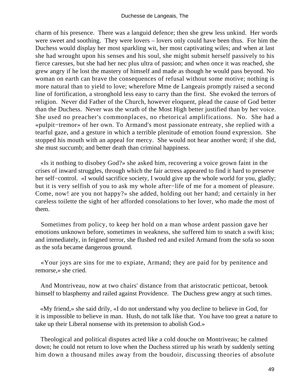charm of his presence. There was a languid defence; then she grew less unkind. Her words were sweet and soothing. They were lovers – lovers only could have been thus. For him the Duchess would display her most sparkling wit, her most captivating wiles; and when at last she had wrought upon his senses and his soul, she might submit herself passively to his fierce caresses, but she had her nec plus ultra of passion; and when once it was reached, she grew angry if he lost the mastery of himself and made as though he would pass beyond. No woman on earth can brave the consequences of refusal without some motive; nothing is more natural than to yield to love; wherefore Mme de Langeais promptly raised a second line of fortification, a stronghold less easy to carry than the first. She evoked the terrors of religion. Never did Father of the Church, however eloquent, plead the cause of God better than the Duchess. Never was the wrath of the Most High better justified than by her voice. She used no preacher's commonplaces, no rhetorical amplifications. No. She had a «pulpit−tremor» of her own. To Armand's most passionate entreaty, she replied with a tearful gaze, and a gesture in which a terrible plenitude of emotion found expression. She stopped his mouth with an appeal for mercy. She would not hear another word; if she did, she must succumb; and better death than criminal happiness.

 «Is it nothing to disobey God?» she asked him, recovering a voice grown faint in the crises of inward struggles, through which the fair actress appeared to find it hard to preserve her self−control. «I would sacrifice society, I would give up the whole world for you, gladly; but it is very selfish of you to ask my whole after−life of me for a moment of pleasure. Come, now! are you not happy?» she added, holding out her hand; and certainly in her careless toilette the sight of her afforded consolations to her lover, who made the most of them.

 Sometimes from policy, to keep her hold on a man whose ardent passion gave her emotions unknown before, sometimes in weakness, she suffered him to snatch a swift kiss; and immediately, in feigned terror, she flushed red and exiled Armand from the sofa so soon as the sofa became dangerous ground.

 «Your joys are sins for me to expiate, Armand; they are paid for by penitence and remorse,» she cried.

 And Montriveau, now at two chairs' distance from that aristocratic petticoat, betook himself to blasphemy and railed against Providence. The Duchess grew angry at such times.

 «My friend,» she said drily, «I do not understand why you decline to believe in God, for it is impossible to believe in man. Hush, do not talk like that. You have too great a nature to take up their Liberal nonsense with its pretension to abolish God.»

 Theological and political disputes acted like a cold douche on Montriveau; he calmed down; he could not return to love when the Duchess stirred up his wrath by suddenly setting him down a thousand miles away from the boudoir, discussing theories of absolute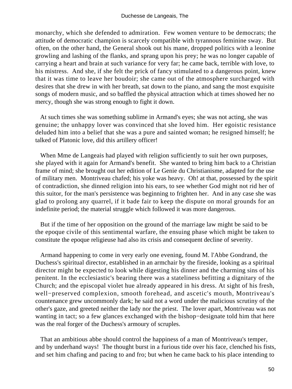monarchy, which she defended to admiration. Few women venture to be democrats; the attitude of democratic champion is scarcely compatible with tyrannous feminine sway. But often, on the other hand, the General shook out his mane, dropped politics with a leonine growling and lashing of the flanks, and sprang upon his prey; he was no longer capable of carrying a heart and brain at such variance for very far; he came back, terrible with love, to his mistress. And she, if she felt the prick of fancy stimulated to a dangerous point, knew that it was time to leave her boudoir; she came out of the atmosphere surcharged with desires that she drew in with her breath, sat down to the piano, and sang the most exquisite songs of modern music, and so baffled the physical attraction which at times showed her no mercy, though she was strong enough to fight it down.

 At such times she was something sublime in Armand's eyes; she was not acting, she was genuine; the unhappy lover was convinced that she loved him. Her egoistic resistance deluded him into a belief that she was a pure and sainted woman; he resigned himself; he talked of Platonic love, did this artillery officer!

 When Mme de Langeais had played with religion sufficiently to suit her own purposes, she played with it again for Armand's benefit. She wanted to bring him back to a Christian frame of mind; she brought out her edition of Le Genie du Christianisme, adapted for the use of military men. Montriveau chafed; his yoke was heavy. Oh! at that, possessed by the spirit of contradiction, she dinned religion into his ears, to see whether God might not rid her of this suitor, for the man's persistence was beginning to frighten her. And in any case she was glad to prolong any quarrel, if it bade fair to keep the dispute on moral grounds for an indefinite period; the material struggle which followed it was more dangerous.

 But if the time of her opposition on the ground of the marriage law might be said to be the epoque civile of this sentimental warfare, the ensuing phase which might be taken to constitute the epoque religieuse had also its crisis and consequent decline of severity.

 Armand happening to come in very early one evening, found M. l'Abbe Gondrand, the Duchess's spiritual director, established in an armchair by the fireside, looking as a spiritual director might be expected to look while digesting his dinner and the charming sins of his penitent. In the ecclesiastic's bearing there was a stateliness befitting a dignitary of the Church; and the episcopal violet hue already appeared in his dress. At sight of his fresh, well−preserved complexion, smooth forehead, and ascetic's mouth, Montriveau's countenance grew uncommonly dark; he said not a word under the malicious scrutiny of the other's gaze, and greeted neither the lady nor the priest. The lover apart, Montriveau was not wanting in tact; so a few glances exchanged with the bishop−designate told him that here was the real forger of the Duchess's armoury of scruples.

 That an ambitious abbe should control the happiness of a man of Montriveau's temper, and by underhand ways! The thought burst in a furious tide over his face, clenched his fists, and set him chafing and pacing to and fro; but when he came back to his place intending to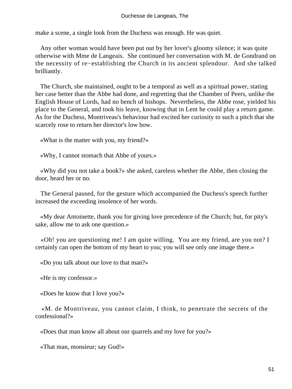make a scene, a single look from the Duchess was enough. He was quiet.

 Any other woman would have been put out by her lover's gloomy silence; it was quite otherwise with Mme de Langeais. She continued her conversation with M. de Gondrand on the necessity of re−establishing the Church in its ancient splendour. And she talked brilliantly.

 The Church, she maintained, ought to be a temporal as well as a spiritual power, stating her case better than the Abbe had done, and regretting that the Chamber of Peers, unlike the English House of Lords, had no bench of bishops. Nevertheless, the Abbe rose, yielded his place to the General, and took his leave, knowing that in Lent he could play a return game. As for the Duchess, Montriveau's behaviour had excited her curiosity to such a pitch that she scarcely rose to return her director's low bow.

«What is the matter with you, my friend?»

«Why, I cannot stomach that Abbe of yours.»

 «Why did you not take a book?» she asked, careless whether the Abbe, then closing the door, heard her or no.

 The General paused, for the gesture which accompanied the Duchess's speech further increased the exceeding insolence of her words.

 «My dear Antoinette, thank you for giving love precedence of the Church; but, for pity's sake, allow me to ask one question.»

 «Oh! you are questioning me! I am quite willing. You are my friend, are you not? I certainly can open the bottom of my heart to you; you will see only one image there.»

«Do you talk about our love to that man?»

«He is my confessor.»

«Does he know that I love you?»

 «M. de Montriveau, you cannot claim, I think, to penetrate the secrets of the confessional?»

«Does that man know all about our quarrels and my love for you?»

«That man, monsieur; say God!»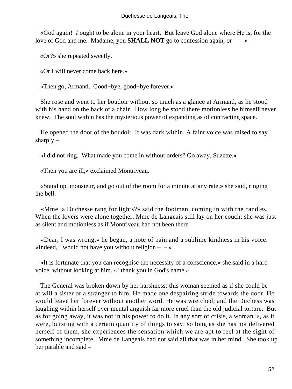«God again! *I* ought to be alone in your heart. But leave God alone where He is, for the love of God and me. Madame, you **SHALL NOT** go to confession again, or  $-\rightarrow \infty$ 

«Or?» she repeated sweetly.

«Or I will never come back here.»

«Then go, Armand. Good−bye, good−bye forever.»

 She rose and went to her boudoir without so much as a glance at Armand, as he stood with his hand on the back of a chair. How long he stood there motionless he himself never knew. The soul within has the mysterious power of expanding as of contracting space.

 He opened the door of the boudoir. It was dark within. A faint voice was raised to say sharply –

«I did not ring. What made you come in without orders? Go away, Suzette.»

«Then you are ill,» exclaimed Montriveau.

 «Stand up, monsieur, and go out of the room for a minute at any rate,» she said, ringing the bell.

 «Mme la Duchesse rang for lights?» said the footman, coming in with the candles. When the lovers were alone together, Mme de Langeais still lay on her couch; she was just as silent and motionless as if Montriveau had not been there.

 «Dear, I was wrong,» he began, a note of pain and a sublime kindness in his voice. «Indeed, I would not have you without religion  $- - \infty$ 

 «It is fortunate that you can recognise the necessity of a conscience,» she said in a hard voice, without looking at him. «I thank you in God's name.»

 The General was broken down by her harshness; this woman seemed as if she could be at will a sister or a stranger to him. He made one despairing stride towards the door. He would leave her forever without another word. He was wretched; and the Duchess was laughing within herself over mental anguish far more cruel than the old judicial torture. But as for going away, it was not in his power to do it. In any sort of crisis, a woman is, as it were, bursting with a certain quantity of things to say; so long as she has not delivered herself of them, she experiences the sensation which we are apt to feel at the sight of something incomplete. Mme de Langeais had not said all that was in her mind. She took up her parable and said –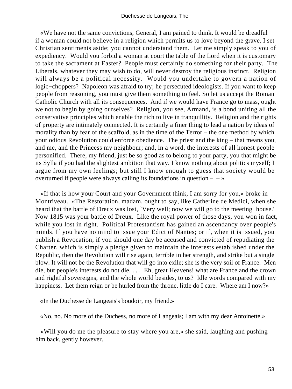«We have not the same convictions, General, I am pained to think. It would be dreadful if a woman could not believe in a religion which permits us to love beyond the grave. I set Christian sentiments aside; you cannot understand them. Let me simply speak to you of expediency. Would you forbid a woman at court the table of the Lord when it is customary to take the sacrament at Easter? People must certainly do something for their party. The Liberals, whatever they may wish to do, will never destroy the religious instinct. Religion will always be a political necessity. Would you undertake to govern a nation of logic−choppers? Napoleon was afraid to try; he persecuted ideologists. If you want to keep people from reasoning, you must give them something to feel. So let us accept the Roman Catholic Church with all its consequences. And if we would have France go to mass, ought we not to begin by going ourselves? Religion, you see, Armand, is a bond uniting all the conservative principles which enable the rich to live in tranquillity. Religion and the rights of property are intimately connected. It is certainly a finer thing to lead a nation by ideas of morality than by fear of the scaffold, as in the time of the Terror – the one method by which your odious Revolution could enforce obedience. The priest and the king – that means you, and me, and the Princess my neighbour; and, in a word, the interests of all honest people personified. There, my friend, just be so good as to belong to your party, you that might be its Sylla if you had the slightest ambition that way. I know nothing about politics myself; I argue from my own feelings; but still I know enough to guess that society would be overturned if people were always calling its foundations in question  $-\rightarrow \infty$ 

 «If that is how your Court and your Government think, I am sorry for you,» broke in Montriveau. «The Restoration, madam, ought to say, like Catherine de Medici, when she heard that the battle of Dreux was lost, `Very well; now we will go to the meeting−house.' Now 1815 was your battle of Dreux. Like the royal power of those days, you won in fact, while you lost in right. Political Protestantism has gained an ascendancy over people's minds. If you have no mind to issue your Edict of Nantes; or if, when it is issued, you publish a Revocation; if you should one day be accused and convicted of repudiating the Charter, which is simply a pledge given to maintain the interests established under the Republic, then the Revolution will rise again, terrible in her strength, and strike but a single blow. It will not be the Revolution that will go into exile; she is the very soil of France. Men die, but people's interests do not die. . . . Eh, great Heavens! what are France and the crown and rightful sovereigns, and the whole world besides, to us? Idle words compared with my happiness. Let them reign or be hurled from the throne, little do I care. Where am I now?»

«In the Duchesse de Langeais's boudoir, my friend.»

«No, no. No more of the Duchess, no more of Langeais; I am with my dear Antoinette.»

 «Will you do me the pleasure to stay where you are,» she said, laughing and pushing him back, gently however.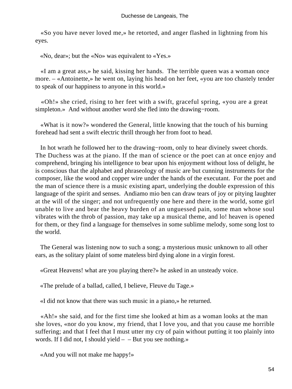«So you have never loved me,» he retorted, and anger flashed in lightning from his eyes.

«No, dear»; but the «No» was equivalent to «Yes.»

 «I am a great ass,» he said, kissing her hands. The terrible queen was a woman once more. – «Antoinette,» he went on, laying his head on her feet, «you are too chastely tender to speak of our happiness to anyone in this world.»

 «Oh!» she cried, rising to her feet with a swift, graceful spring, «you are a great simpleton.» And without another word she fled into the drawing−room.

 «What is it now?» wondered the General, little knowing that the touch of his burning forehead had sent a swift electric thrill through her from foot to head.

 In hot wrath he followed her to the drawing−room, only to hear divinely sweet chords. The Duchess was at the piano. If the man of science or the poet can at once enjoy and comprehend, bringing his intelligence to bear upon his enjoyment without loss of delight, he is conscious that the alphabet and phraseology of music are but cunning instruments for the composer, like the wood and copper wire under the hands of the executant. For the poet and the man of science there is a music existing apart, underlying the double expression of this language of the spirit and senses. Andiamo mio ben can draw tears of joy or pitying laughter at the will of the singer; and not unfrequently one here and there in the world, some girl unable to live and bear the heavy burden of an unguessed pain, some man whose soul vibrates with the throb of passion, may take up a musical theme, and lo! heaven is opened for them, or they find a language for themselves in some sublime melody, some song lost to the world.

 The General was listening now to such a song; a mysterious music unknown to all other ears, as the solitary plaint of some mateless bird dying alone in a virgin forest.

«Great Heavens! what are you playing there?» he asked in an unsteady voice.

«The prelude of a ballad, called, I believe, Fleuve du Tage.»

«I did not know that there was such music in a piano,» he returned.

 «Ah!» she said, and for the first time she looked at him as a woman looks at the man she loves, «nor do you know, my friend, that I love you, and that you cause me horrible suffering; and that I feel that I must utter my cry of pain without putting it too plainly into words. If I did not, I should yield – – But you see nothing.»

«And you will not make me happy!»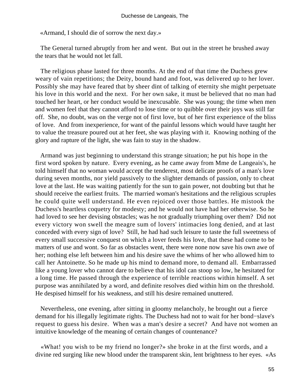«Armand, I should die of sorrow the next day.»

 The General turned abruptly from her and went. But out in the street he brushed away the tears that he would not let fall.

 The religious phase lasted for three months. At the end of that time the Duchess grew weary of vain repetitions; the Deity, bound hand and foot, was delivered up to her lover. Possibly she may have feared that by sheer dint of talking of eternity she might perpetuate his love in this world and the next. For her own sake, it must be believed that no man had touched her heart, or her conduct would be inexcusable. She was young; the time when men and women feel that they cannot afford to lose time or to quibble over their joys was still far off. She, no doubt, was on the verge not of first love, but of her first experience of the bliss of love. And from inexperience, for want of the painful lessons which would have taught her to value the treasure poured out at her feet, she was playing with it. Knowing nothing of the glory and rapture of the light, she was fain to stay in the shadow.

 Armand was just beginning to understand this strange situation; he put his hope in the first word spoken by nature. Every evening, as he came away from Mme de Langeais's, he told himself that no woman would accept the tenderest, most delicate proofs of a man's love during seven months, nor yield passively to the slighter demands of passion, only to cheat love at the last. He was waiting patiently for the sun to gain power, not doubting but that he should receive the earliest fruits. The married woman's hesitations and the religious scruples he could quite well understand. He even rejoiced over those battles. He mistook the Duchess's heartless coquetry for modesty; and he would not have had her otherwise. So he had loved to see her devising obstacles; was he not gradually triumphing over them? Did not every victory won swell the meagre sum of lovers' intimacies long denied, and at last conceded with every sign of love? Still, he had had such leisure to taste the full sweetness of every small successive conquest on which a lover feeds his love, that these had come to be matters of use and wont. So far as obstacles went, there were none now save his own awe of her; nothing else left between him and his desire save the whims of her who allowed him to call her Antoinette. So he made up his mind to demand more, to demand all. Embarrassed like a young lover who cannot dare to believe that his idol can stoop so low, he hesitated for a long time. He passed through the experience of terrible reactions within himself. A set purpose was annihilated by a word, and definite resolves died within him on the threshold. He despised himself for his weakness, and still his desire remained unuttered.

 Nevertheless, one evening, after sitting in gloomy melancholy, he brought out a fierce demand for his illegally legitimate rights. The Duchess had not to wait for her bond−slave's request to guess his desire. When was a man's desire a secret? And have not women an intuitive knowledge of the meaning of certain changes of countenance?

 «What! you wish to be my friend no longer?» she broke in at the first words, and a divine red surging like new blood under the transparent skin, lent brightness to her eyes. «As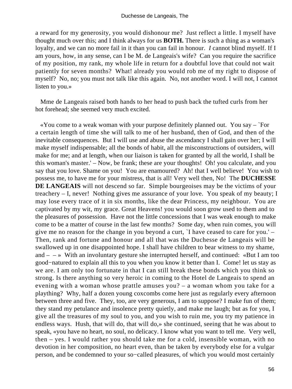a reward for my generosity, you would dishonour me? Just reflect a little. I myself have thought much over this; and I think always for us **BOTH.** There is such a thing as a woman's loyalty, and we can no more fail in it than you can fail in honour. *I* cannot blind myself. If I am yours, how, in any sense, can I be M. de Langeais's wife? Can you require the sacrifice of my position, my rank, my whole life in return for a doubtful love that could not wait patiently for seven months? What! already you would rob me of my right to dispose of myself? No, no; you must not talk like this again. No, not another word. I will not, I cannot listen to you.»

 Mme de Langeais raised both hands to her head to push back the tufted curls from her hot forehead; she seemed very much excited.

 «You come to a weak woman with your purpose definitely planned out. You say – `For a certain length of time she will talk to me of her husband, then of God, and then of the inevitable consequences. But I will use and abuse the ascendancy I shall gain over her; I will make myself indispensable; all the bonds of habit, all the misconstructions of outsiders, will make for me; and at length, when our liaison is taken for granted by all the world, I shall be this woman's master.' – Now, be frank; these are your thoughts! Oh! you calculate, and you say that you love. Shame on you! You are enamoured? Ah! that I well believe! You wish to possess me, to have me for your mistress, that is all! Very well then, No! The **DUCHESSE DE LANGEAIS** will not descend so far. Simple bourgeoises may be the victims of your treachery – I, never! Nothing gives me assurance of your love. You speak of my beauty; I may lose every trace of it in six months, like the dear Princess, my neighbour. You are captivated by my wit, my grace. Great Heavens! you would soon grow used to them and to the pleasures of possession. Have not the little concessions that I was weak enough to make come to be a matter of course in the last few months? Some day, when ruin comes, you will give me no reason for the change in you beyond a curt, `I have ceased to care for you.' – Then, rank and fortune and honour and all that was the Duchesse de Langeais will be swallowed up in one disappointed hope. I shall have children to bear witness to my shame, and  $- \rightarrow$  With an involuntary gesture she interrupted herself, and continued: «But I am too good−natured to explain all this to you when you know it better than I. Come! let us stay as we are. I am only too fortunate in that I can still break these bonds which you think so strong. Is there anything so very heroic in coming to the Hotel de Langeais to spend an evening with a woman whose prattle amuses you? – a woman whom you take for a plaything? Why, half a dozen young coxcombs come here just as regularly every afternoon between three and five. They, too, are very generous, I am to suppose? I make fun of them; they stand my petulance and insolence pretty quietly, and make me laugh; but as for you, I give all the treasures of my soul to you, and you wish to ruin me, you try my patience in endless ways. Hush, that will do, that will do,» she continued, seeing that he was about to speak, «you have no heart, no soul, no delicacy. I know what you want to tell me. Very well, then – yes. I would rather you should take me for a cold, insensible woman, with no devotion in her composition, no heart even, than be taken by everybody else for a vulgar person, and be condemned to your so−called pleasures, of which you would most certainly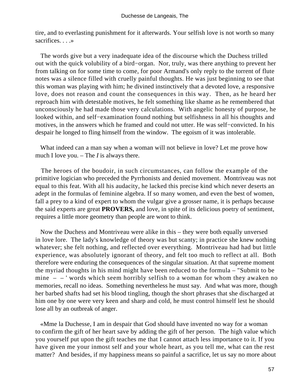tire, and to everlasting punishment for it afterwards. Your selfish love is not worth so many sacrifices. . . . »

 The words give but a very inadequate idea of the discourse which the Duchess trilled out with the quick volubility of a bird−organ. Nor, truly, was there anything to prevent her from talking on for some time to come, for poor Armand's only reply to the torrent of flute notes was a silence filled with cruelly painful thoughts. He was just beginning to see that this woman was playing with him; he divined instinctively that a devoted love, a responsive love, does not reason and count the consequences in this way. Then, as he heard her reproach him with detestable motives, he felt something like shame as he remembered that unconsciously he had made those very calculations. With angelic honesty of purpose, he looked within, and self−examination found nothing but selfishness in all his thoughts and motives, in the answers which he framed and could not utter. He was self−convicted. In his despair he longed to fling himself from the window. The egoism of it was intolerable.

 What indeed can a man say when a woman will not believe in love? Let me prove how much I love you. – The *I* is always there.

 The heroes of the boudoir, in such circumstances, can follow the example of the primitive logician who preceded the Pyrrhonists and denied movement. Montriveau was not equal to this feat. With all his audacity, he lacked this precise kind which never deserts an adept in the formulas of feminine algebra. If so many women, and even the best of women, fall a prey to a kind of expert to whom the vulgar give a grosser name, it is perhaps because the said experts are great **PROVERS,** and love, in spite of its delicious poetry of sentiment, requires a little more geometry than people are wont to think.

 Now the Duchess and Montriveau were alike in this – they were both equally unversed in love lore. The lady's knowledge of theory was but scanty; in practice she knew nothing whatever; she felt nothing, and reflected over everything. Montriveau had had but little experience, was absolutely ignorant of theory, and felt too much to reflect at all. Both therefore were enduring the consequences of the singular situation. At that supreme moment the myriad thoughts in his mind might have been reduced to the formula – "Submit to be mine  $-$  – ' words which seem horribly selfish to a woman for whom they awaken no memories, recall no ideas. Something nevertheless he must say. And what was more, though her barbed shafts had set his blood tingling, though the short phrases that she discharged at him one by one were very keen and sharp and cold, he must control himself lest he should lose all by an outbreak of anger.

 «Mme la Duchesse, I am in despair that God should have invented no way for a woman to confirm the gift of her heart save by adding the gift of her person. The high value which you yourself put upon the gift teaches me that I cannot attach less importance to it. If you have given me your inmost self and your whole heart, as you tell me, what can the rest matter? And besides, if my happiness means so painful a sacrifice, let us say no more about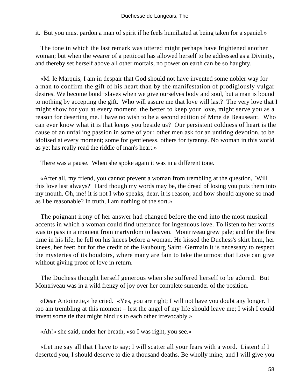it. But you must pardon a man of spirit if he feels humiliated at being taken for a spaniel.»

 The tone in which the last remark was uttered might perhaps have frightened another woman; but when the wearer of a petticoat has allowed herself to be addressed as a Divinity, and thereby set herself above all other mortals, no power on earth can be so haughty.

 «M. le Marquis, I am in despair that God should not have invented some nobler way for a man to confirm the gift of his heart than by the manifestation of prodigiously vulgar desires. We become bond−slaves when we give ourselves body and soul, but a man is bound to nothing by accepting the gift. Who will assure me that love will last? The very love that I might show for you at every moment, the better to keep your love, might serve you as a reason for deserting me. I have no wish to be a second edition of Mme de Beauseant. Who can ever know what it is that keeps you beside us? Our persistent coldness of heart is the cause of an unfailing passion in some of you; other men ask for an untiring devotion, to be idolised at every moment; some for gentleness, others for tyranny. No woman in this world as yet has really read the riddle of man's heart.»

There was a pause. When she spoke again it was in a different tone.

 «After all, my friend, you cannot prevent a woman from trembling at the question, `Will this love last always?' Hard though my words may be, the dread of losing you puts them into my mouth. Oh, me! it is not I who speaks, dear, it is reason; and how should anyone so mad as I be reasonable? In truth, I am nothing of the sort.»

 The poignant irony of her answer had changed before the end into the most musical accents in which a woman could find utterance for ingenuous love. To listen to her words was to pass in a moment from martyrdom to heaven. Montriveau grew pale; and for the first time in his life, he fell on his knees before a woman. He kissed the Duchess's skirt hem, her knees, her feet; but for the credit of the Faubourg Saint−Germain it is necessary to respect the mysteries of its boudoirs, where many are fain to take the utmost that Love can give without giving proof of love in return.

 The Duchess thought herself generous when she suffered herself to be adored. But Montriveau was in a wild frenzy of joy over her complete surrender of the position.

 «Dear Antoinette,» he cried. «Yes, you are right; I will not have you doubt any longer. I too am trembling at this moment – lest the angel of my life should leave me; I wish I could invent some tie that might bind us to each other irrevocably.»

«Ah!» she said, under her breath, «so I was right, you see.»

 «Let me say all that I have to say; I will scatter all your fears with a word. Listen! if I deserted you, I should deserve to die a thousand deaths. Be wholly mine, and I will give you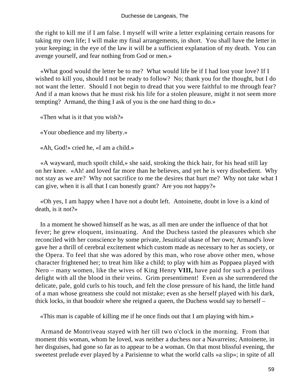the right to kill me if I am false. I myself will write a letter explaining certain reasons for taking my own life; I will make my final arrangements, in short. You shall have the letter in your keeping; in the eye of the law it will be a sufficient explanation of my death. You can avenge yourself, and fear nothing from God or men.»

 «What good would the letter be to me? What would life be if I had lost your love? If I wished to kill you, should I not be ready to follow? No; thank you for the thought, but I do not want the letter. Should I not begin to dread that you were faithful to me through fear? And if a man knows that he must risk his life for a stolen pleasure, might it not seem more tempting? Armand, the thing I ask of you is the one hard thing to do.»

«Then what is it that you wish?»

«Your obedience and my liberty.»

«Ah, God!» cried he, «I am a child.»

 «A wayward, much spoilt child,» she said, stroking the thick hair, for his head still lay on her knee. «Ah! and loved far more than he believes, and yet he is very disobedient. Why not stay as we are? Why not sacrifice to me the desires that hurt me? Why not take what I can give, when it is all that I can honestly grant? Are you not happy?»

 «Oh yes, I am happy when I have not a doubt left. Antoinette, doubt in love is a kind of death, is it not?»

 In a moment he showed himself as he was, as all men are under the influence of that hot fever; he grew eloquent, insinuating. And the Duchess tasted the pleasures which she reconciled with her conscience by some private, Jesuitical ukase of her own; Armand's love gave her a thrill of cerebral excitement which custom made as necessary to her as society, or the Opera. To feel that she was adored by this man, who rose above other men, whose character frightened her; to treat him like a child; to play with him as Poppaea played with Nero – many women, like the wives of King Henry **VIII,** have paid for such a perilous delight with all the blood in their veins. Grim presentiment! Even as she surrendered the delicate, pale, gold curls to his touch, and felt the close pressure of his hand, the little hand of a man whose greatness she could not mistake; even as she herself played with his dark, thick locks, in that boudoir where she reigned a queen, the Duchess would say to herself –

«This man is capable of killing me if he once finds out that I am playing with him.»

 Armand de Montriveau stayed with her till two o'clock in the morning. From that moment this woman, whom he loved, was neither a duchess nor a Navarreins; Antoinette, in her disguises, had gone so far as to appear to be a woman. On that most blissful evening, the sweetest prelude ever played by a Parisienne to what the world calls «a slip»; in spite of all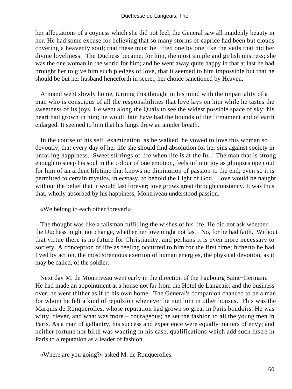her affectations of a coyness which she did not feel, the General saw all maidenly beauty in her. He had some excuse for believing that so many storms of caprice had been but clouds covering a heavenly soul; that these must be lifted one by one like the veils that hid her divine loveliness. The Duchess became, for him, the most simple and girlish mistress; she was the one woman in the world for him; and he went away quite happy in that at last he had brought her to give him such pledges of love, that it seemed to him impossible but that he should be but her husband henceforth in secret, her choice sanctioned by Heaven.

 Armand went slowly home, turning this thought in his mind with the impartiality of a man who is conscious of all the responsibilities that love lays on him while he tastes the sweetness of its joys. He went along the Quais to see the widest possible space of sky; his heart had grown in him; he would fain have had the bounds of the firmament and of earth enlarged. It seemed to him that his lungs drew an ampler breath.

 In the course of his self−examination, as he walked, he vowed to love this woman so devoutly, that every day of her life she should find absolution for her sins against society in unfailing happiness. Sweet stirrings of life when life is at the full! The man that is strong enough to steep his soul in the colour of one emotion, feels infinite joy as glimpses open out for him of an ardent lifetime that knows no diminution of passion to the end; even so it is permitted to certain mystics, in ecstasy, to behold the Light of God. Love would be naught without the belief that it would last forever; love grows great through constancy. It was thus that, wholly absorbed by his happiness, Montriveau understood passion.

«We belong to each other forever!»

 The thought was like a talisman fulfilling the wishes of his life. He did not ask whether the Duchess might not change, whether her love might not last. No, for he had faith. Without that virtue there is no future for Christianity, and perhaps it is even more necessary to society. A conception of life as feeling occurred to him for the first time; hitherto he had lived by action, the most strenuous exertion of human energies, the physical devotion, as it may be called, of the soldier.

 Next day M. de Montriveau went early in the direction of the Faubourg Saint−Germain. He had made an appointment at a house not far from the Hotel de Langeais; and the business over, he went thither as if to his own home. The General's companion chanced to be a man for whom he felt a kind of repulsion whenever he met him in other houses. This was the Marquis de Ronquerolles, whose reputation had grown so great in Paris boudoirs. He was witty, clever, and what was more – courageous; he set the fashion to all the young men in Paris. As a man of gallantry, his success and experience were equally matters of envy; and neither fortune nor birth was wanting in his case, qualifications which add such lustre in Paris to a reputation as a leader of fashion.

«Where are you going?» asked M. de Ronquerolles.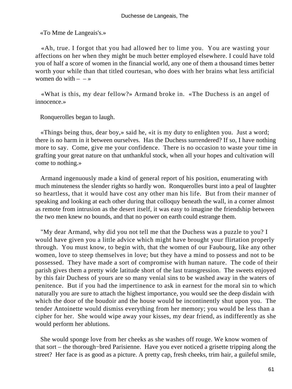«To Mme de Langeais's.»

 «Ah, true. I forgot that you had allowed her to lime you. You are wasting your affections on her when they might be much better employed elsewhere. I could have told you of half a score of women in the financial world, any one of them a thousand times better worth your while than that titled courtesan, who does with her brains what less artificial women do with  $-$  – »

 «What is this, my dear fellow?» Armand broke in. «The Duchess is an angel of innocence.»

Ronquerolles began to laugh.

 «Things being thus, dear boy,» said he, «it is my duty to enlighten you. Just a word; there is no harm in it between ourselves. Has the Duchess surrendered? If so, I have nothing more to say. Come, give me your confidence. There is no occasion to waste your time in grafting your great nature on that unthankful stock, when all your hopes and cultivation will come to nothing.»

 Armand ingenuously made a kind of general report of his position, enumerating with much minuteness the slender rights so hardly won. Ronquerolles burst into a peal of laughter so heartless, that it would have cost any other man his life. But from their manner of speaking and looking at each other during that colloquy beneath the wall, in a corner almost as remote from intrusion as the desert itself, it was easy to imagine the friendship between the two men knew no bounds, and that no power on earth could estrange them.

 "My dear Armand, why did you not tell me that the Duchess was a puzzle to you? I would have given you a little advice which might have brought your flirtation properly through. You must know, to begin with, that the women of our Faubourg, like any other women, love to steep themselves in love; but they have a mind to possess and not to be possessed. They have made a sort of compromise with human nature. The code of their parish gives them a pretty wide latitude short of the last transgression. The sweets enjoyed by this fair Duchess of yours are so many venial sins to be washed away in the waters of penitence. But if you had the impertinence to ask in earnest for the moral sin to which naturally you are sure to attach the highest importance, you would see the deep disdain with which the door of the boudoir and the house would be incontinently shut upon you. The tender Antoinette would dismiss everything from her memory; you would be less than a cipher for her. She would wipe away your kisses, my dear friend, as indifferently as she would perform her ablutions.

 She would sponge love from her cheeks as she washes off rouge. We know women of that sort – the thorough−bred Parisienne. Have you ever noticed a grisette tripping along the street? Her face is as good as a picture. A pretty cap, fresh cheeks, trim hair, a guileful smile,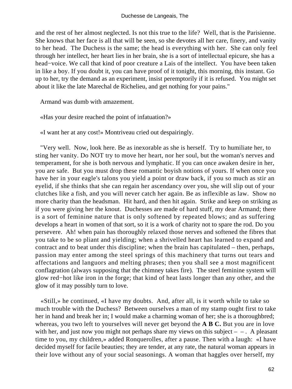and the rest of her almost neglected. Is not this true to the life? Well, that is the Parisienne. She knows that her face is all that will be seen, so she devotes all her care, finery, and vanity to her head. The Duchess is the same; the head is everything with her. She can only feel through her intellect, her heart lies in her brain, she is a sort of intellectual epicure, she has a head−voice. We call that kind of poor creature a Lais of the intellect. You have been taken in like a boy. If you doubt it, you can have proof of it tonight, this morning, this instant. Go up to her, try the demand as an experiment, insist peremptorily if it is refused. You might set about it like the late Marechal de Richelieu, and get nothing for your pains."

Armand was dumb with amazement.

«Has your desire reached the point of infatuation?»

«I want her at any cost!» Montriveau cried out despairingly.

 "Very well. Now, look here. Be as inexorable as she is herself. Try to humiliate her, to sting her vanity. Do NOT try to move her heart, nor her soul, but the woman's nerves and temperament, for she is both nervous and lymphatic. If you can once awaken desire in her, you are safe. But you must drop these romantic boyish notions of yours. If when once you have her in your eagle's talons you yield a point or draw back, if you so much as stir an eyelid, if she thinks that she can regain her ascendancy over you, she will slip out of your clutches like a fish, and you will never catch her again. Be as inflexible as law. Show no more charity than the headsman. Hit hard, and then hit again. Strike and keep on striking as if you were giving her the knout. Duchesses are made of hard stuff, my dear Armand; there is a sort of feminine nature that is only softened by repeated blows; and as suffering develops a heart in women of that sort, so it is a work of charity not to spare the rod. Do you persevere. Ah! when pain has thoroughly relaxed those nerves and softened the fibres that you take to be so pliant and yielding; when a shrivelled heart has learned to expand and contract and to beat under this discipline; when the brain has capitulated – then, perhaps, passion may enter among the steel springs of this machinery that turns out tears and affectations and languors and melting phrases; then you shall see a most magnificent conflagration (always supposing that the chimney takes fire). The steel feminine system will glow red−hot like iron in the forge; that kind of heat lasts longer than any other, and the glow of it may possibly turn to love.

 «Still,» he continued, «I have my doubts. And, after all, is it worth while to take so much trouble with the Duchess? Between ourselves a man of my stamp ought first to take her in hand and break her in; I would make a charming woman of her; she is a thoroughbred; whereas, you two left to yourselves will never get beyond the **A B C.** But you are in love with her, and just now you might not perhaps share my views on this subject  $- -$ . A pleasant time to you, my children,» added Ronquerolles, after a pause. Then with a laugh: «I have decided myself for facile beauties; they are tender, at any rate, the natural woman appears in their love without any of your social seasonings. A woman that haggles over herself, my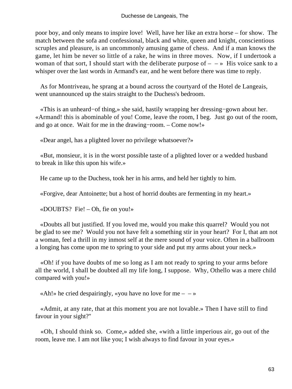poor boy, and only means to inspire love! Well, have her like an extra horse – for show. The match between the sofa and confessional, black and white, queen and knight, conscientious scruples and pleasure, is an uncommonly amusing game of chess. And if a man knows the game, let him be never so little of a rake, he wins in three moves. Now, if I undertook a woman of that sort, I should start with the deliberate purpose of  $- \rightarrow$  His voice sank to a whisper over the last words in Armand's ear, and he went before there was time to reply.

 As for Montriveau, he sprang at a bound across the courtyard of the Hotel de Langeais, went unannounced up the stairs straight to the Duchess's bedroom.

 «This is an unheard−of thing,» she said, hastily wrapping her dressing−gown about her. «Armand! this is abominable of you! Come, leave the room, I beg. Just go out of the room, and go at once. Wait for me in the drawing−room. – Come now!»

«Dear angel, has a plighted lover no privilege whatsoever?»

 «But, monsieur, it is in the worst possible taste of a plighted lover or a wedded husband to break in like this upon his wife.»

He came up to the Duchess, took her in his arms, and held her tightly to him.

«Forgive, dear Antoinette; but a host of horrid doubts are fermenting in my heart.»

«DOUBTS? Fie! – Oh, fie on you!»

 «Doubts all but justified. If you loved me, would you make this quarrel? Would you not be glad to see me? Would you not have felt a something stir in your heart? For I, that am not a woman, feel a thrill in my inmost self at the mere sound of your voice. Often in a ballroom a longing has come upon me to spring to your side and put my arms about your neck.»

 «Oh! if you have doubts of me so long as I am not ready to spring to your arms before all the world, I shall be doubted all my life long, I suppose. Why, Othello was a mere child compared with you!»

«Ah!» he cried despairingly, «you have no love for me  $- \rightarrow \infty$ 

 «Admit, at any rate, that at this moment you are not lovable.» Then I have still to find favour in your sight?"

 «Oh, I should think so. Come,» added she, «with a little imperious air, go out of the room, leave me. I am not like you; I wish always to find favour in your eyes.»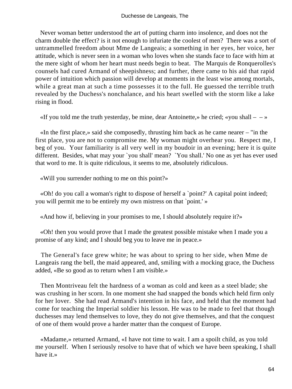Never woman better understood the art of putting charm into insolence, and does not the charm double the effect? is it not enough to infuriate the coolest of men? There was a sort of untrammelled freedom about Mme de Langeais; a something in her eyes, her voice, her attitude, which is never seen in a woman who loves when she stands face to face with him at the mere sight of whom her heart must needs begin to beat. The Marquis de Ronquerolles's counsels had cured Armand of sheepishness; and further, there came to his aid that rapid power of intuition which passion will develop at moments in the least wise among mortals, while a great man at such a time possesses it to the full. He guessed the terrible truth revealed by the Duchess's nonchalance, and his heart swelled with the storm like a lake rising in flood.

«If you told me the truth yesterday, be mine, dear Antoinette,» he cried; «you shall  $- \rightarrow \infty$ 

 «In the first place,» said she composedly, thrusting him back as he came nearer – "in the first place, you are not to compromise me. My woman might overhear you. Respect me, I beg of you. Your familiarity is all very well in my boudoir in an evening; here it is quite different. Besides, what may your `you shall' mean? `You shall.' No one as yet has ever used that word to me. It is quite ridiculous, it seems to me, absolutely ridiculous.

«Will you surrender nothing to me on this point?»

 «Oh! do you call a woman's right to dispose of herself a `point?' A capital point indeed; you will permit me to be entirely my own mistress on that `point.' »

«And how if, believing in your promises to me, I should absolutely require it?»

 «Oh! then you would prove that I made the greatest possible mistake when I made you a promise of any kind; and I should beg you to leave me in peace.»

 The General's face grew white; he was about to spring to her side, when Mme de Langeais rang the bell, the maid appeared, and, smiling with a mocking grace, the Duchess added, «Be so good as to return when I am visible.»

 Then Montriveau felt the hardness of a woman as cold and keen as a steel blade; she was crushing in her scorn. In one moment she had snapped the bonds which held firm only for her lover. She had read Armand's intention in his face, and held that the moment had come for teaching the Imperial soldier his lesson. He was to be made to feel that though duchesses may lend themselves to love, they do not give themselves, and that the conquest of one of them would prove a harder matter than the conquest of Europe.

 «Madame,» returned Armand, «I have not time to wait. I am a spoilt child, as you told me yourself. When I seriously resolve to have that of which we have been speaking, I shall have it.»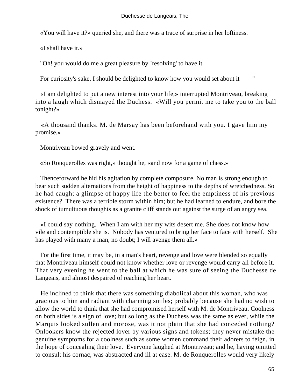«You will have it?» queried she, and there was a trace of surprise in her loftiness.

«I shall have it.»

"Oh! you would do me a great pleasure by `resolving' to have it.

For curiosity's sake, I should be delighted to know how you would set about it  $-$  "

 «I am delighted to put a new interest into your life,» interrupted Montriveau, breaking into a laugh which dismayed the Duchess. «Will you permit me to take you to the ball tonight?»

 «A thousand thanks. M. de Marsay has been beforehand with you. I gave him my promise.»

Montriveau bowed gravely and went.

«So Ronquerolles was right,» thought he, «and now for a game of chess.»

 Thenceforward he hid his agitation by complete composure. No man is strong enough to bear such sudden alternations from the height of happiness to the depths of wretchedness. So he had caught a glimpse of happy life the better to feel the emptiness of his previous existence? There was a terrible storm within him; but he had learned to endure, and bore the shock of tumultuous thoughts as a granite cliff stands out against the surge of an angry sea.

 «I could say nothing. When I am with her my wits desert me. She does not know how vile and contemptible she is. Nobody has ventured to bring her face to face with herself. She has played with many a man, no doubt; I will avenge them all.»

 For the first time, it may be, in a man's heart, revenge and love were blended so equally that Montriveau himself could not know whether love or revenge would carry all before it. That very evening he went to the ball at which he was sure of seeing the Duchesse de Langeais, and almost despaired of reaching her heart.

 He inclined to think that there was something diabolical about this woman, who was gracious to him and radiant with charming smiles; probably because she had no wish to allow the world to think that she had compromised herself with M. de Montriveau. Coolness on both sides is a sign of love; but so long as the Duchess was the same as ever, while the Marquis looked sullen and morose, was it not plain that she had conceded nothing? Onlookers know the rejected lover by various signs and tokens; they never mistake the genuine symptoms for a coolness such as some women command their adorers to feign, in the hope of concealing their love. Everyone laughed at Montriveau; and he, having omitted to consult his cornac, was abstracted and ill at ease. M. de Ronquerolles would very likely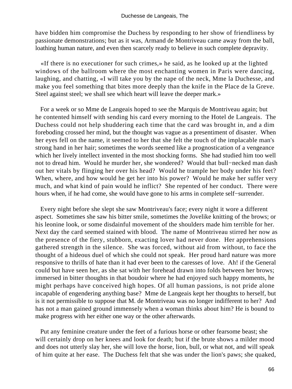have bidden him compromise the Duchess by responding to her show of friendliness by passionate demonstrations; but as it was, Armand de Montriveau came away from the ball, loathing human nature, and even then scarcely ready to believe in such complete depravity.

 «If there is no executioner for such crimes,» he said, as he looked up at the lighted windows of the ballroom where the most enchanting women in Paris were dancing, laughing, and chatting, «I will take you by the nape of the neck, Mme la Duchesse, and make you feel something that bites more deeply than the knife in the Place de la Greve. Steel against steel; we shall see which heart will leave the deeper mark.»

 For a week or so Mme de Langeais hoped to see the Marquis de Montriveau again; but he contented himself with sending his card every morning to the Hotel de Langeais. The Duchess could not help shuddering each time that the card was brought in, and a dim foreboding crossed her mind, but the thought was vague as a presentiment of disaster. When her eyes fell on the name, it seemed to her that she felt the touch of the implacable man's strong hand in her hair; sometimes the words seemed like a prognostication of a vengeance which her lively intellect invented in the most shocking forms. She had studied him too well not to dread him. Would he murder her, she wondered? Would that bull−necked man dash out her vitals by flinging her over his head? Would he trample her body under his feet? When, where, and how would he get her into his power? Would he make her suffer very much, and what kind of pain would he inflict? She repented of her conduct. There were hours when, if he had come, she would have gone to his arms in complete self−surrender.

 Every night before she slept she saw Montriveau's face; every night it wore a different aspect. Sometimes she saw his bitter smile, sometimes the Jovelike knitting of the brows; or his leonine look, or some disdainful movement of the shoulders made him terrible for her. Next day the card seemed stained with blood. The name of Montriveau stirred her now as the presence of the fiery, stubborn, exacting lover had never done. Her apprehensions gathered strength in the silence. She was forced, without aid from without, to face the thought of a hideous duel of which she could not speak. Her proud hard nature was more responsive to thrills of hate than it had ever been to the caresses of love. Ah! if the General could but have seen her, as she sat with her forehead drawn into folds between her brows; immersed in bitter thoughts in that boudoir where he had enjoyed such happy moments, he might perhaps have conceived high hopes. Of all human passions, is not pride alone incapable of engendering anything base? Mme de Langeais kept her thoughts to herself, but is it not permissible to suppose that M. de Montriveau was no longer indifferent to her? And has not a man gained ground immensely when a woman thinks about him? He is bound to make progress with her either one way or the other afterwards.

 Put any feminine creature under the feet of a furious horse or other fearsome beast; she will certainly drop on her knees and look for death; but if the brute shows a milder mood and does not utterly slay her, she will love the horse, lion, bull, or what not, and will speak of him quite at her ease. The Duchess felt that she was under the lion's paws; she quaked,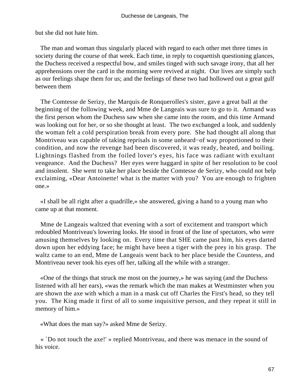but she did not hate him.

 The man and woman thus singularly placed with regard to each other met three times in society during the course of that week. Each time, in reply to coquettish questioning glances, the Duchess received a respectful bow, and smiles tinged with such savage irony, that all her apprehensions over the card in the morning were revived at night. Our lives are simply such as our feelings shape them for us; and the feelings of these two had hollowed out a great gulf between them

 The Comtesse de Serizy, the Marquis de Ronquerolles's sister, gave a great ball at the beginning of the following week, and Mme de Langeais was sure to go to it. Armand was the first person whom the Duchess saw when she came into the room, and this time Armand was looking out for her, or so she thought at least. The two exchanged a look, and suddenly the woman felt a cold perspiration break from every pore. She had thought all along that Montriveau was capable of taking reprisals in some unheard−of way proportioned to their condition, and now the revenge had been discovered, it was ready, heated, and boiling. Lightnings flashed from the foiled lover's eyes, his face was radiant with exultant vengeance. And the Duchess? Her eyes were haggard in spite of her resolution to be cool and insolent. She went to take her place beside the Comtesse de Serizy, who could not help exclaiming, «Dear Antoinette! what is the matter with you? You are enough to frighten one.»

 «I shall be all right after a quadrille,» she answered, giving a hand to a young man who came up at that moment.

 Mme de Langeais waltzed that evening with a sort of excitement and transport which redoubled Montriveau's lowering looks. He stood in front of the line of spectators, who were amusing themselves by looking on. Every time that SHE came past him, his eyes darted down upon her eddying face; he might have been a tiger with the prey in his grasp. The waltz came to an end, Mme de Langeais went back to her place beside the Countess, and Montriveau never took his eyes off her, talking all the while with a stranger.

 «One of the things that struck me most on the journey,» he was saying (and the Duchess listened with all her ears), «was the remark which the man makes at Westminster when you are shown the axe with which a man in a mask cut off Charles the First's head, so they tell you. The King made it first of all to some inquisitive person, and they repeat it still in memory of him.»

«What does the man say?» asked Mme de Serizy.

 « `Do not touch the axe!' » replied Montriveau, and there was menace in the sound of his voice.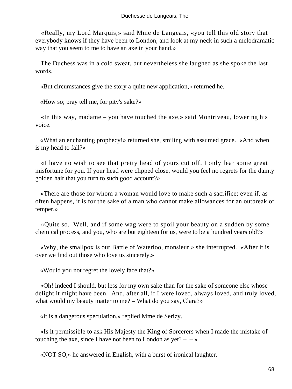«Really, my Lord Marquis,» said Mme de Langeais, «you tell this old story that everybody knows if they have been to London, and look at my neck in such a melodramatic way that you seem to me to have an axe in your hand.»

 The Duchess was in a cold sweat, but nevertheless she laughed as she spoke the last words.

«But circumstances give the story a quite new application,» returned he.

«How so; pray tell me, for pity's sake?»

 «In this way, madame – you have touched the axe,» said Montriveau, lowering his voice.

 «What an enchanting prophecy!» returned she, smiling with assumed grace. «And when is my head to fall?»

 «I have no wish to see that pretty head of yours cut off. I only fear some great misfortune for you. If your head were clipped close, would you feel no regrets for the dainty golden hair that you turn to such good account?»

 «There are those for whom a woman would love to make such a sacrifice; even if, as often happens, it is for the sake of a man who cannot make allowances for an outbreak of temper.»

 «Quite so. Well, and if some wag were to spoil your beauty on a sudden by some chemical process, and you, who are but eighteen for us, were to be a hundred years old?»

 «Why, the smallpox is our Battle of Waterloo, monsieur,» she interrupted. «After it is over we find out those who love us sincerely.»

«Would you not regret the lovely face that?»

 «Oh! indeed I should, but less for my own sake than for the sake of someone else whose delight it might have been. And, after all, if I were loved, always loved, and truly loved, what would my beauty matter to me? – What do you say, Clara?»

«It is a dangerous speculation,» replied Mme de Serizy.

 «Is it permissible to ask His Majesty the King of Sorcerers when I made the mistake of touching the axe, since I have not been to London as  $yet? - -\n$ 

«NOT SO,» he answered in English, with a burst of ironical laughter.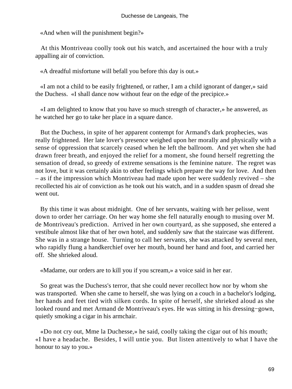«And when will the punishment begin?»

 At this Montriveau coolly took out his watch, and ascertained the hour with a truly appalling air of conviction.

«A dreadful misfortune will befall you before this day is out.»

 «I am not a child to be easily frightened, or rather, I am a child ignorant of danger,» said the Duchess. «I shall dance now without fear on the edge of the precipice.»

 «I am delighted to know that you have so much strength of character,» he answered, as he watched her go to take her place in a square dance.

 But the Duchess, in spite of her apparent contempt for Armand's dark prophecies, was really frightened. Her late lover's presence weighed upon her morally and physically with a sense of oppression that scarcely ceased when he left the ballroom. And yet when she had drawn freer breath, and enjoyed the relief for a moment, she found herself regretting the sensation of dread, so greedy of extreme sensations is the feminine nature. The regret was not love, but it was certainly akin to other feelings which prepare the way for love. And then – as if the impression which Montriveau had made upon her were suddenly revived – she recollected his air of conviction as he took out his watch, and in a sudden spasm of dread she went out.

 By this time it was about midnight. One of her servants, waiting with her pelisse, went down to order her carriage. On her way home she fell naturally enough to musing over M. de Montriveau's prediction. Arrived in her own courtyard, as she supposed, she entered a vestibule almost like that of her own hotel, and suddenly saw that the staircase was different. She was in a strange house. Turning to call her servants, she was attacked by several men, who rapidly flung a handkerchief over her mouth, bound her hand and foot, and carried her off. She shrieked aloud.

«Madame, our orders are to kill you if you scream,» a voice said in her ear.

 So great was the Duchess's terror, that she could never recollect how nor by whom she was transported. When she came to herself, she was lying on a couch in a bachelor's lodging, her hands and feet tied with silken cords. In spite of herself, she shrieked aloud as she looked round and met Armand de Montriveau's eyes. He was sitting in his dressing−gown, quietly smoking a cigar in his armchair.

 «Do not cry out, Mme la Duchesse,» he said, coolly taking the cigar out of his mouth; «I have a headache. Besides, I will untie you. But listen attentively to what I have the honour to say to you.»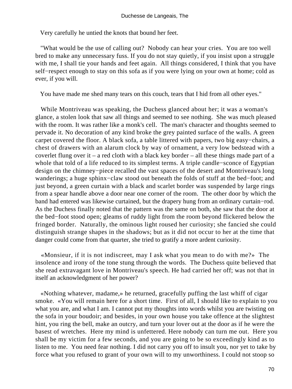Very carefully he untied the knots that bound her feet.

 "What would be the use of calling out? Nobody can hear your cries. You are too well bred to make any unnecessary fuss. If you do not stay quietly, if you insist upon a struggle with me, I shall tie your hands and feet again. All things considered, I think that you have self−respect enough to stay on this sofa as if you were lying on your own at home; cold as ever, if you will.

You have made me shed many tears on this couch, tears that I hid from all other eyes."

 While Montriveau was speaking, the Duchess glanced about her; it was a woman's glance, a stolen look that saw all things and seemed to see nothing. She was much pleased with the room. It was rather like a monk's cell. The man's character and thoughts seemed to pervade it. No decoration of any kind broke the grey painted surface of the walls. A green carpet covered the floor. A black sofa, a table littered with papers, two big easy−chairs, a chest of drawers with an alarum clock by way of ornament, a very low bedstead with a coverlet flung over it – a red cloth with a black key border – all these things made part of a whole that told of a life reduced to its simplest terms. A triple candle−sconce of Egyptian design on the chimney−piece recalled the vast spaces of the desert and Montriveau's long wanderings; a huge sphinx−claw stood out beneath the folds of stuff at the bed−foot; and just beyond, a green curtain with a black and scarlet border was suspended by large rings from a spear handle above a door near one corner of the room. The other door by which the band had entered was likewise curtained, but the drapery hung from an ordinary curtain−rod. As the Duchess finally noted that the pattern was the same on both, she saw that the door at the bed−foot stood open; gleams of ruddy light from the room beyond flickered below the fringed border. Naturally, the ominous light roused her curiosity; she fancied she could distinguish strange shapes in the shadows; but as it did not occur to her at the time that danger could come from that quarter, she tried to gratify a more ardent curiosity.

 «Monsieur, if it is not indiscreet, may I ask what you mean to do with me?» The insolence and irony of the tone stung through the words. The Duchess quite believed that she read extravagant love in Montriveau's speech. He had carried her off; was not that in itself an acknowledgment of her power?

 «Nothing whatever, madame,» he returned, gracefully puffing the last whiff of cigar smoke. «You will remain here for a short time. First of all, I should like to explain to you what you are, and what I am. I cannot put my thoughts into words whilst you are twisting on the sofa in your boudoir; and besides, in your own house you take offence at the slightest hint, you ring the bell, make an outcry, and turn your lover out at the door as if he were the basest of wretches. Here my mind is unfettered. Here nobody can turn me out. Here you shall be my victim for a few seconds, and you are going to be so exceedingly kind as to listen to me. You need fear nothing. I did not carry you off to insult you, nor yet to take by force what you refused to grant of your own will to my unworthiness. I could not stoop so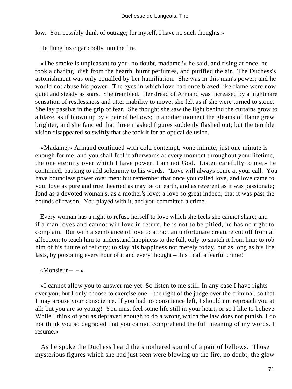low. You possibly think of outrage; for myself, I have no such thoughts.»

He flung his cigar coolly into the fire.

 «The smoke is unpleasant to you, no doubt, madame?» he said, and rising at once, he took a chafing−dish from the hearth, burnt perfumes, and purified the air. The Duchess's astonishment was only equalled by her humiliation. She was in this man's power; and he would not abuse his power. The eyes in which love had once blazed like flame were now quiet and steady as stars. She trembled. Her dread of Armand was increased by a nightmare sensation of restlessness and utter inability to move; she felt as if she were turned to stone. She lay passive in the grip of fear. She thought she saw the light behind the curtains grow to a blaze, as if blown up by a pair of bellows; in another moment the gleams of flame grew brighter, and she fancied that three masked figures suddenly flashed out; but the terrible vision disappeared so swiftly that she took it for an optical delusion.

 «Madame,» Armand continued with cold contempt, «one minute, just one minute is enough for me, and you shall feel it afterwards at every moment throughout your lifetime, the one eternity over which I have power. I am not God. Listen carefully to me,» he continued, pausing to add solemnity to his words. "Love will always come at your call. You have boundless power over men: but remember that once you called love, and love came to you; love as pure and true−hearted as may be on earth, and as reverent as it was passionate; fond as a devoted woman's, as a mother's love; a love so great indeed, that it was past the bounds of reason. You played with it, and you committed a crime.

 Every woman has a right to refuse herself to love which she feels she cannot share; and if a man loves and cannot win love in return, he is not to be pitied, he has no right to complain. But with a semblance of love to attract an unfortunate creature cut off from all affection; to teach him to understand happiness to the full, only to snatch it from him; to rob him of his future of felicity; to slay his happiness not merely today, but as long as his life lasts, by poisoning every hour of it and every thought – this I call a fearful crime!"

«Monsieur –  $-\infty$ 

 «I cannot allow you to answer me yet. So listen to me still. In any case I have rights over you; but I only choose to exercise one – the right of the judge over the criminal, so that I may arouse your conscience. If you had no conscience left, I should not reproach you at all; but you are so young! You must feel some life still in your heart; or so I like to believe. While I think of you as depraved enough to do a wrong which the law does not punish, I do not think you so degraded that you cannot comprehend the full meaning of my words. I resume.»

 As he spoke the Duchess heard the smothered sound of a pair of bellows. Those mysterious figures which she had just seen were blowing up the fire, no doubt; the glow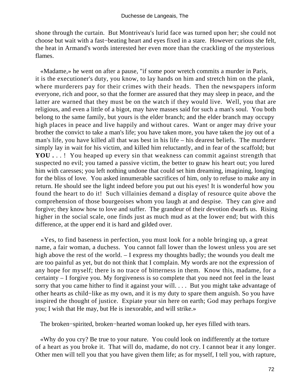shone through the curtain. But Montriveau's lurid face was turned upon her; she could not choose but wait with a fast−beating heart and eyes fixed in a stare. However curious she felt, the heat in Armand's words interested her even more than the crackling of the mysterious flames.

 «Madame,» he went on after a pause, "if some poor wretch commits a murder in Paris, it is the executioner's duty, you know, to lay hands on him and stretch him on the plank, where murderers pay for their crimes with their heads. Then the newspapers inform everyone, rich and poor, so that the former are assured that they may sleep in peace, and the latter are warned that they must be on the watch if they would live. Well, you that are religious, and even a little of a bigot, may have masses said for such a man's soul. You both belong to the same family, but yours is the elder branch; and the elder branch may occupy high places in peace and live happily and without cares. Want or anger may drive your brother the convict to take a man's life; you have taken more, you have taken the joy out of a man's life, you have killed all that was best in his life – his dearest beliefs. The murderer simply lay in wait for his victim, and killed him reluctantly, and in fear of the scaffold; but **YOU .** . . ! You heaped up every sin that weakness can commit against strength that suspected no evil; you tamed a passive victim, the better to gnaw his heart out; you lured him with caresses; you left nothing undone that could set him dreaming, imagining, longing for the bliss of love. You asked innumerable sacrifices of him, only to refuse to make any in return. He should see the light indeed before you put out his eyes! It is wonderful how you found the heart to do it! Such villainies demand a display of resource quite above the comprehension of those bourgeoises whom you laugh at and despise. They can give and forgive; they know how to love and suffer. The grandeur of their devotion dwarfs us. Rising higher in the social scale, one finds just as much mud as at the lower end; but with this difference, at the upper end it is hard and gilded over.

 «Yes, to find baseness in perfection, you must look for a noble bringing up, a great name, a fair woman, a duchess. You cannot fall lower than the lowest unless you are set high above the rest of the world. – I express my thoughts badly; the wounds you dealt me are too painful as yet, but do not think that I complain. My words are not the expression of any hope for myself; there is no trace of bitterness in them. Know this, madame, for a certainty – I forgive you. My forgiveness is so complete that you need not feel in the least sorry that you came hither to find it against your will. . . . But you might take advantage of other hearts as child−like as my own, and it is my duty to spare them anguish. So you have inspired the thought of justice. Expiate your sin here on earth; God may perhaps forgive you; I wish that He may, but He is inexorable, and will strike.»

The broken−spirited, broken−hearted woman looked up, her eyes filled with tears.

 «Why do you cry? Be true to your nature. You could look on indifferently at the torture of a heart as you broke it. That will do, madame, do not cry. I cannot bear it any longer. Other men will tell you that you have given them life; as for myself, I tell you, with rapture,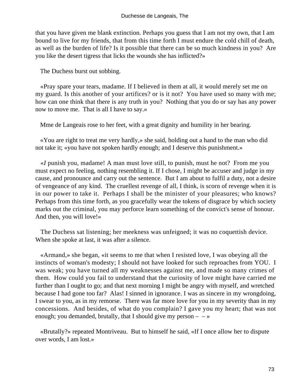that you have given me blank extinction. Perhaps you guess that I am not my own, that I am bound to live for my friends, that from this time forth I must endure the cold chill of death, as well as the burden of life? Is it possible that there can be so much kindness in you? Are you like the desert tigress that licks the wounds she has inflicted?»

The Duchess burst out sobbing.

 «Pray spare your tears, madame. If I believed in them at all, it would merely set me on my guard. Is this another of your artifices? or is it not? You have used so many with me; how can one think that there is any truth in you? Nothing that you do or say has any power now to move me. That is all I have to say.»

Mme de Langeais rose to her feet, with a great dignity and humility in her bearing.

 «You are right to treat me very hardly,» she said, holding out a hand to the man who did not take it; «you have not spoken hardly enough; and I deserve this punishment.»

 «*I* punish you, madame! A man must love still, to punish, must he not? From me you must expect no feeling, nothing resembling it. If I chose, I might be accuser and judge in my cause, and pronounce and carry out the sentence. But I am about to fulfil a duty, not a desire of vengeance of any kind. The cruellest revenge of all, I think, is scorn of revenge when it is in our power to take it. Perhaps I shall be the minister of your pleasures; who knows? Perhaps from this time forth, as you gracefully wear the tokens of disgrace by which society marks out the criminal, you may perforce learn something of the convict's sense of honour. And then, you will love!»

 The Duchess sat listening; her meekness was unfeigned; it was no coquettish device. When she spoke at last, it was after a silence.

 «Armand,» she began, «it seems to me that when I resisted love, I was obeying all the instincts of woman's modesty; I should not have looked for such reproaches from YOU. I was weak; you have turned all my weaknesses against me, and made so many crimes of them. How could you fail to understand that the curiosity of love might have carried me further than I ought to go; and that next morning I might be angry with myself, and wretched because I had gone too far? Alas! I sinned in ignorance. I was as sincere in my wrongdoing, I swear to you, as in my remorse. There was far more love for you in my severity than in my concessions. And besides, of what do you complain? I gave you my heart; that was not enough; you demanded, brutally, that I should give my person  $-\rightarrow \infty$ 

 «Brutally?» repeated Montriveau. But to himself he said, «If I once allow her to dispute over words, I am lost.»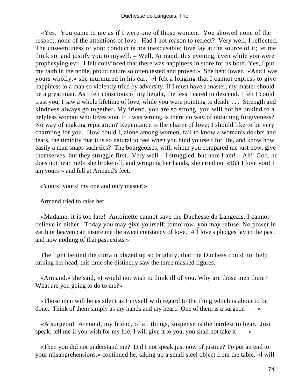«Yes. You came to me as if I were one of those women. You showed none of the respect, none of the attentions of love. Had I not reason to reflect? Very well, I reflected. The unseemliness of your conduct is not inexcusable; love lay at the source of it; let me think so, and justify you to myself. – Well, Armand, this evening, even while you were prophesying evil, I felt convinced that there was happiness in store for us both. Yes, I put my faith in the noble, proud nature so often tested and proved.» She bent lower. «And I was yours wholly,» she murmured in his ear. «I felt a longing that I cannot express to give happiness to a man so violently tried by adversity. If I must have a master, my master should be a great man. As I felt conscious of my height, the less I cared to descend. I felt I could trust you, I saw a whole lifetime of love, while you were pointing to death. . . . Strength and kindness always go together. My friend, you are so strong, you will not be unkind to a helpless woman who loves you. If I was wrong, is there no way of obtaining forgiveness? No way of making reparation? Repentance is the charm of love; I should like to be very charming for you. How could I, alone among women, fail to know a woman's doubts and fears, the timidity that it is so natural to feel when you bind yourself for life, and know how easily a man snaps such ties? The bourgeoises, with whom you compared me just now, give themselves, but they struggle first. Very well – I struggled; but here I am! – Ah! God, he does not hear me!» she broke off, and wringing her hands, she cried out «But I love you! I am yours!» and fell at Armand's feet.

«Yours! yours! my one and only master!»

Armand tried to raise her.

 «Madame, it is too late! Antoinette cannot save the Duchesse de Langeais. I cannot believe in either. Today you may give yourself; tomorrow, you may refuse. No power in earth or heaven can insure me the sweet constancy of love. All love's pledges lay in the past; and now nothing of that past exists.»

 The light behind the curtain blazed up so brightly, that the Duchess could not help turning her head; this time she distinctly saw the three masked figures.

 «Armand,» she said, «I would not wish to think ill of you. Why are those men there? What are you going to do to me?»

 «Those men will be as silent as I myself with regard to the thing which is about to be done. Think of them simply as my hands and my heart. One of them is a surgeon  $-\rightarrow \infty$ 

 «A surgeon! Armand, my friend, of all things, suspense is the hardest to bear. Just speak; tell me if you wish for my life; I will give it to you, you shall not take it  $- \rightarrow \infty$ 

 «Then you did not understand me? Did I not speak just now of justice? To put an end to your misapprehensions,» continued he, taking up a small steel object from the table, «I will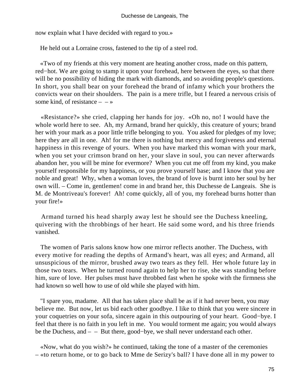now explain what I have decided with regard to you.»

He held out a Lorraine cross, fastened to the tip of a steel rod.

 «Two of my friends at this very moment are heating another cross, made on this pattern, red−hot. We are going to stamp it upon your forehead, here between the eyes, so that there will be no possibility of hiding the mark with diamonds, and so avoiding people's questions. In short, you shall bear on your forehead the brand of infamy which your brothers the convicts wear on their shoulders. The pain is a mere trifle, but I feared a nervous crisis of some kind, of resistance  $- - \infty$ 

 «Resistance?» she cried, clapping her hands for joy. «Oh no, no! I would have the whole world here to see. Ah, my Armand, brand her quickly, this creature of yours; brand her with your mark as a poor little trifle belonging to you. You asked for pledges of my love; here they are all in one. Ah! for me there is nothing but mercy and forgiveness and eternal happiness in this revenge of yours. When you have marked this woman with your mark, when you set your crimson brand on her, your slave in soul, you can never afterwards abandon her, you will be mine for evermore? When you cut me off from my kind, you make yourself responsible for my happiness, or you prove yourself base; and I know that you are noble and great! Why, when a woman loves, the brand of love is burnt into her soul by her own will. – Come in, gentlemen! come in and brand her, this Duchesse de Langeais. She is M. de Montriveau's forever! Ah! come quickly, all of you, my forehead burns hotter than your fire!»

 Armand turned his head sharply away lest he should see the Duchess kneeling, quivering with the throbbings of her heart. He said some word, and his three friends vanished.

 The women of Paris salons know how one mirror reflects another. The Duchess, with every motive for reading the depths of Armand's heart, was all eyes; and Armand, all unsuspicious of the mirror, brushed away two tears as they fell. Her whole future lay in those two tears. When he turned round again to help her to rise, she was standing before him, sure of love. Her pulses must have throbbed fast when he spoke with the firmness she had known so well how to use of old while she played with him.

 "I spare you, madame. All that has taken place shall be as if it had never been, you may believe me. But now, let us bid each other goodbye. I like to think that you were sincere in your coquetries on your sofa, sincere again in this outpouring of your heart. Good−bye. I feel that there is no faith in you left in me. You would torment me again; you would always be the Duchess, and – – But there, good−bye, we shall never understand each other.

 «Now, what do you wish?» he continued, taking the tone of a master of the ceremonies – «to return home, or to go back to Mme de Serizy's ball? I have done all in my power to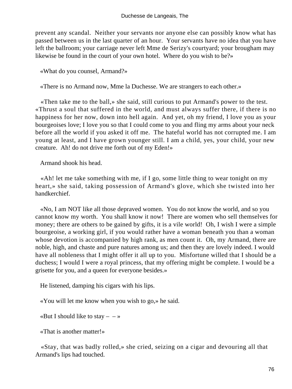prevent any scandal. Neither your servants nor anyone else can possibly know what has passed between us in the last quarter of an hour. Your servants have no idea that you have left the ballroom; your carriage never left Mme de Serizy's courtyard; your brougham may likewise be found in the court of your own hotel. Where do you wish to be?»

«What do you counsel, Armand?»

«There is no Armand now, Mme la Duchesse. We are strangers to each other.»

 «Then take me to the ball,» she said, still curious to put Armand's power to the test. «Thrust a soul that suffered in the world, and must always suffer there, if there is no happiness for her now, down into hell again. And yet, oh my friend, I love you as your bourgeoises love; I love you so that I could come to you and fling my arms about your neck before all the world if you asked it off me. The hateful world has not corrupted me. I am young at least, and I have grown younger still. I am a child, yes, your child, your new creature. Ah! do not drive me forth out of my Eden!»

Armand shook his head.

 «Ah! let me take something with me, if I go, some little thing to wear tonight on my heart,» she said, taking possession of Armand's glove, which she twisted into her handkerchief.

 «No, I am NOT like all those depraved women. You do not know the world, and so you cannot know my worth. You shall know it now! There are women who sell themselves for money; there are others to be gained by gifts, it is a vile world! Oh, I wish I were a simple bourgeoise, a working girl, if you would rather have a woman beneath you than a woman whose devotion is accompanied by high rank, as men count it. Oh, my Armand, there are noble, high, and chaste and pure natures among us; and then they are lovely indeed. I would have all nobleness that I might offer it all up to you. Misfortune willed that I should be a duchess; I would I were a royal princess, that my offering might be complete. I would be a grisette for you, and a queen for everyone besides.»

He listened, damping his cigars with his lips.

«You will let me know when you wish to go,» he said.

«But I should like to stay  $- \rightarrow \infty$ 

«That is another matter!»

 «Stay, that was badly rolled,» she cried, seizing on a cigar and devouring all that Armand's lips had touched.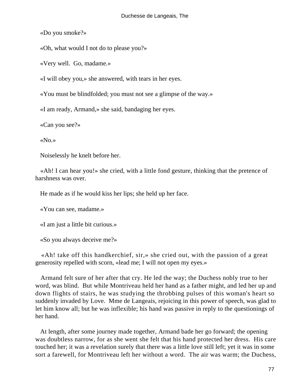«Do you smoke?»

«Oh, what would I not do to please you?»

«Very well. Go, madame.»

«I will obey you,» she answered, with tears in her eyes.

«You must be blindfolded; you must not see a glimpse of the way.»

«I am ready, Armand,» she said, bandaging her eyes.

«Can you see?»

«No.»

Noiselessly he knelt before her.

 «Ah! I can hear you!» she cried, with a little fond gesture, thinking that the pretence of harshness was over.

He made as if he would kiss her lips; she held up her face.

«You can see, madame.»

«I am just a little bit curious.»

«So you always deceive me?»

 «Ah! take off this handkerchief, sir,» she cried out, with the passion of a great generosity repelled with scorn, «lead me; I will not open my eyes.»

 Armand felt sure of her after that cry. He led the way; the Duchess nobly true to her word, was blind. But while Montriveau held her hand as a father might, and led her up and down flights of stairs, he was studying the throbbing pulses of this woman's heart so suddenly invaded by Love. Mme de Langeais, rejoicing in this power of speech, was glad to let him know all; but he was inflexible; his hand was passive in reply to the questionings of her hand.

 At length, after some journey made together, Armand bade her go forward; the opening was doubtless narrow, for as she went she felt that his hand protected her dress. His care touched her; it was a revelation surely that there was a little love still left; yet it was in some sort a farewell, for Montriveau left her without a word. The air was warm; the Duchess,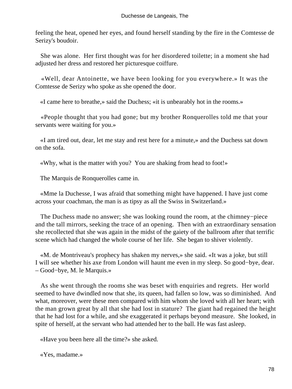feeling the heat, opened her eyes, and found herself standing by the fire in the Comtesse de Serizy's boudoir.

 She was alone. Her first thought was for her disordered toilette; in a moment she had adjusted her dress and restored her picturesque coiffure.

 «Well, dear Antoinette, we have been looking for you everywhere.» It was the Comtesse de Serizy who spoke as she opened the door.

«I came here to breathe,» said the Duchess; «it is unbearably hot in the rooms.»

 «People thought that you had gone; but my brother Ronquerolles told me that your servants were waiting for you.»

 «I am tired out, dear, let me stay and rest here for a minute,» and the Duchess sat down on the sofa.

«Why, what is the matter with you? You are shaking from head to foot!»

The Marquis de Ronquerolles came in.

 «Mme la Duchesse, I was afraid that something might have happened. I have just come across your coachman, the man is as tipsy as all the Swiss in Switzerland.»

 The Duchess made no answer; she was looking round the room, at the chimney−piece and the tall mirrors, seeking the trace of an opening. Then with an extraordinary sensation she recollected that she was again in the midst of the gaiety of the ballroom after that terrific scene which had changed the whole course of her life. She began to shiver violently.

 «M. de Montriveau's prophecy has shaken my nerves,» she said. «It was a joke, but still I will see whether his axe from London will haunt me even in my sleep. So good−bye, dear. – Good−bye, M. le Marquis.»

 As she went through the rooms she was beset with enquiries and regrets. Her world seemed to have dwindled now that she, its queen, had fallen so low, was so diminished. And what, moreover, were these men compared with him whom she loved with all her heart; with the man grown great by all that she had lost in stature? The giant had regained the height that he had lost for a while, and she exaggerated it perhaps beyond measure. She looked, in spite of herself, at the servant who had attended her to the ball. He was fast asleep.

«Have you been here all the time?» she asked.

«Yes, madame.»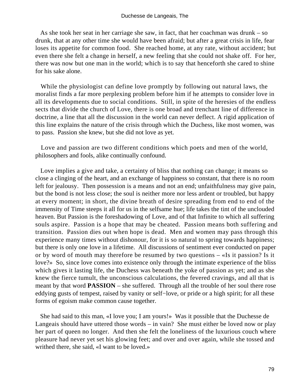As she took her seat in her carriage she saw, in fact, that her coachman was drunk – so drunk, that at any other time she would have been afraid; but after a great crisis in life, fear loses its appetite for common food. She reached home, at any rate, without accident; but even there she felt a change in herself, a new feeling that she could not shake off. For her, there was now but one man in the world; which is to say that henceforth she cared to shine for his sake alone.

 While the physiologist can define love promptly by following out natural laws, the moralist finds a far more perplexing problem before him if he attempts to consider love in all its developments due to social conditions. Still, in spite of the heresies of the endless sects that divide the church of Love, there is one broad and trenchant line of difference in doctrine, a line that all the discussion in the world can never deflect. A rigid application of this line explains the nature of the crisis through which the Duchess, like most women, was to pass. Passion she knew, but she did not love as yet.

 Love and passion are two different conditions which poets and men of the world, philosophers and fools, alike continually confound.

 Love implies a give and take, a certainty of bliss that nothing can change; it means so close a clinging of the heart, and an exchange of happiness so constant, that there is no room left for jealousy. Then possession is a means and not an end; unfaithfulness may give pain, but the bond is not less close; the soul is neither more nor less ardent or troubled, but happy at every moment; in short, the divine breath of desire spreading from end to end of the immensity of Time steeps it all for us in the selfsame hue; life takes the tint of the unclouded heaven. But Passion is the foreshadowing of Love, and of that Infinite to which all suffering souls aspire. Passion is a hope that may be cheated. Passion means both suffering and transition. Passion dies out when hope is dead. Men and women may pass through this experience many times without dishonour, for it is so natural to spring towards happiness; but there is only one love in a lifetime. All discussions of sentiment ever conducted on paper or by word of mouth may therefore be resumed by two questions – «Is it passion? Is it love?» So, since love comes into existence only through the intimate experience of the bliss which gives it lasting life, the Duchess was beneath the yoke of passion as yet; and as she knew the fierce tumult, the unconscious calculations, the fevered cravings, and all that is meant by that word **PASSION** – she suffered. Through all the trouble of her soul there rose eddying gusts of tempest, raised by vanity or self−love, or pride or a high spirit; for all these forms of egoism make common cause together.

 She had said to this man, «I love you; I am yours!» Was it possible that the Duchesse de Langeais should have uttered those words – in vain? She must either be loved now or play her part of queen no longer. And then she felt the loneliness of the luxurious couch where pleasure had never yet set his glowing feet; and over and over again, while she tossed and writhed there, she said, «I want to be loved.»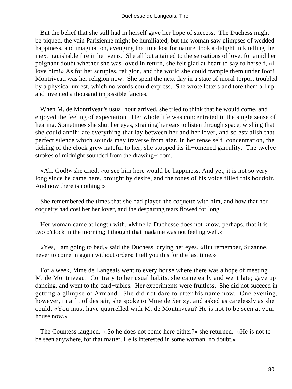But the belief that she still had in herself gave her hope of success. The Duchess might be piqued, the vain Parisienne might be humiliated; but the woman saw glimpses of wedded happiness, and imagination, avenging the time lost for nature, took a delight in kindling the inextinguishable fire in her veins. She all but attained to the sensations of love; for amid her poignant doubt whether she was loved in return, she felt glad at heart to say to herself, «I love him!» As for her scruples, religion, and the world she could trample them under foot! Montriveau was her religion now. She spent the next day in a state of moral torpor, troubled by a physical unrest, which no words could express. She wrote letters and tore them all up, and invented a thousand impossible fancies.

 When M. de Montriveau's usual hour arrived, she tried to think that he would come, and enjoyed the feeling of expectation. Her whole life was concentrated in the single sense of hearing. Sometimes she shut her eyes, straining her ears to listen through space, wishing that she could annihilate everything that lay between her and her lover, and so establish that perfect silence which sounds may traverse from afar. In her tense self−concentration, the ticking of the clock grew hateful to her; she stopped its ill−omened garrulity. The twelve strokes of midnight sounded from the drawing−room.

 «Ah, God!» she cried, «to see him here would be happiness. And yet, it is not so very long since he came here, brought by desire, and the tones of his voice filled this boudoir. And now there is nothing.»

 She remembered the times that she had played the coquette with him, and how that her coquetry had cost her her lover, and the despairing tears flowed for long.

 Her woman came at length with, «Mme la Duchesse does not know, perhaps, that it is two o'clock in the morning; I thought that madame was not feeling well.»

 «Yes, I am going to bed,» said the Duchess, drying her eyes. «But remember, Suzanne, never to come in again without orders; I tell you this for the last time.»

 For a week, Mme de Langeais went to every house where there was a hope of meeting M. de Montriveau. Contrary to her usual habits, she came early and went late; gave up dancing, and went to the card−tables. Her experiments were fruitless. She did not succeed in getting a glimpse of Armand. She did not dare to utter his name now. One evening, however, in a fit of despair, she spoke to Mme de Serizy, and asked as carelessly as she could, «You must have quarrelled with M. de Montriveau? He is not to be seen at your house now.»

 The Countess laughed. «So he does not come here either?» she returned. «He is not to be seen anywhere, for that matter. He is interested in some woman, no doubt.»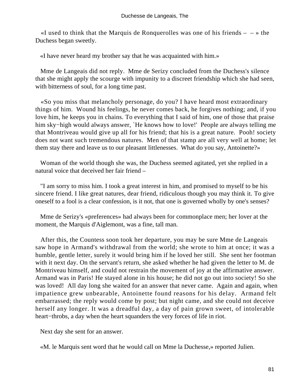«I used to think that the Marquis de Ronquerolles was one of his friends  $- \rightarrow$  the Duchess began sweetly.

«I have never heard my brother say that he was acquainted with him.»

 Mme de Langeais did not reply. Mme de Serizy concluded from the Duchess's silence that she might apply the scourge with impunity to a discreet friendship which she had seen, with bitterness of soul, for a long time past.

 «So you miss that melancholy personage, do you? I have heard most extraordinary things of him. Wound his feelings, he never comes back, he forgives nothing; and, if you love him, he keeps you in chains. To everything that I said of him, one of those that praise him sky−high would always answer, `He knows how to love!' People are always telling me that Montriveau would give up all for his friend; that his is a great nature. Pooh! society does not want such tremendous natures. Men of that stamp are all very well at home; let them stay there and leave us to our pleasant littlenesses. What do you say, Antoinette?»

 Woman of the world though she was, the Duchess seemed agitated, yet she replied in a natural voice that deceived her fair friend –

 "I am sorry to miss him. I took a great interest in him, and promised to myself to be his sincere friend. I like great natures, dear friend, ridiculous though you may think it. To give oneself to a fool is a clear confession, is it not, that one is governed wholly by one's senses?

 Mme de Serizy's «preferences» had always been for commonplace men; her lover at the moment, the Marquis d'Aiglemont, was a fine, tall man.

 After this, the Countess soon took her departure, you may be sure Mme de Langeais saw hope in Armand's withdrawal from the world; she wrote to him at once; it was a humble, gentle letter, surely it would bring him if he loved her still. She sent her footman with it next day. On the servant's return, she asked whether he had given the letter to M. de Montriveau himself, and could not restrain the movement of joy at the affirmative answer. Armand was in Paris! He stayed alone in his house; he did not go out into society! So she was loved! All day long she waited for an answer that never came. Again and again, when impatience grew unbearable, Antoinette found reasons for his delay. Armand felt embarrassed; the reply would come by post; but night came, and she could not deceive herself any longer. It was a dreadful day, a day of pain grown sweet, of intolerable heart−throbs, a day when the heart squanders the very forces of life in riot.

Next day she sent for an answer.

«M. le Marquis sent word that he would call on Mme la Duchesse,» reported Julien.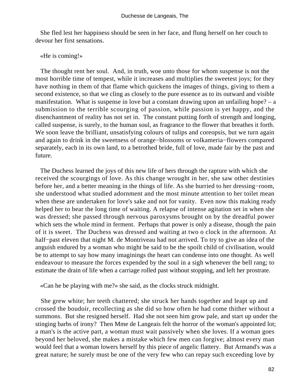She fled lest her happiness should be seen in her face, and flung herself on her couch to devour her first sensations.

## «He is coming!»

 The thought rent her soul. And, in truth, woe unto those for whom suspense is not the most horrible time of tempest, while it increases and multiplies the sweetest joys; for they have nothing in them of that flame which quickens the images of things, giving to them a second existence, so that we cling as closely to the pure essence as to its outward and visible manifestation. What is suspense in love but a constant drawing upon an unfailing hope? – a submission to the terrible scourging of passion, while passion is yet happy, and the disenchantment of reality has not set in. The constant putting forth of strength and longing, called suspense, is surely, to the human soul, as fragrance to the flower that breathes it forth. We soon leave the brilliant, unsatisfying colours of tulips and coreopsis, but we turn again and again to drink in the sweetness of orange−blossoms or volkameria−flowers compared separately, each in its own land, to a betrothed bride, full of love, made fair by the past and future.

 The Duchess learned the joys of this new life of hers through the rapture with which she received the scourgings of love. As this change wrought in her, she saw other destinies before her, and a better meaning in the things of life. As she hurried to her dressing−room, she understood what studied adornment and the most minute attention to her toilet mean when these are undertaken for love's sake and not for vanity. Even now this making ready helped her to bear the long time of waiting. A relapse of intense agitation set in when she was dressed; she passed through nervous paroxysms brought on by the dreadful power which sets the whole mind in ferment. Perhaps that power is only a disease, though the pain of it is sweet. The Duchess was dressed and waiting at two o clock in the afternoon. At half−past eleven that night M. de Montriveau had not arrived. To try to give an idea of the anguish endured by a woman who might be said to be the spoilt child of civilisation, would be to attempt to say how many imaginings the heart can condense into one thought. As well endeavour to measure the forces expended by the soul in a sigh whenever the bell rang; to estimate the drain of life when a carriage rolled past without stopping, and left her prostrate.

«Can he be playing with me?» she said, as the clocks struck midnight.

 She grew white; her teeth chattered; she struck her hands together and leapt up and crossed the boudoir, recollecting as she did so how often he had come thither without a summons. But she resigned herself. Had she not seen him grow pale, and start up under the stinging barbs of irony? Then Mme de Langeais felt the horror of the woman's appointed lot; a man's is the active part, a woman must wait passively when she loves. If a woman goes beyond her beloved, she makes a mistake which few men can forgive; almost every man would feel that a woman lowers herself by this piece of angelic flattery. But Armand's was a great nature; he surely must be one of the very few who can repay such exceeding love by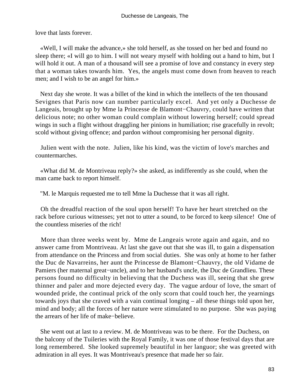love that lasts forever.

 «Well, I will make the advance,» she told herself, as she tossed on her bed and found no sleep there; «I will go to him. I will not weary myself with holding out a hand to him, but I will hold it out. A man of a thousand will see a promise of love and constancy in every step that a woman takes towards him. Yes, the angels must come down from heaven to reach men; and I wish to be an angel for him.»

 Next day she wrote. It was a billet of the kind in which the intellects of the ten thousand Sevignes that Paris now can number particularly excel. And yet only a Duchesse de Langeais, brought up by Mme la Princesse de Blamont−Chauvry, could have written that delicious note; no other woman could complain without lowering herself; could spread wings in such a flight without draggling her pinions in humiliation; rise gracefully in revolt; scold without giving offence; and pardon without compromising her personal dignity.

 Julien went with the note. Julien, like his kind, was the victim of love's marches and countermarches.

 «What did M. de Montriveau reply?» she asked, as indifferently as she could, when the man came back to report himself.

"M. le Marquis requested me to tell Mme la Duchesse that it was all right.

 Oh the dreadful reaction of the soul upon herself! To have her heart stretched on the rack before curious witnesses; yet not to utter a sound, to be forced to keep silence! One of the countless miseries of the rich!

 More than three weeks went by. Mme de Langeais wrote again and again, and no answer came from Montriveau. At last she gave out that she was ill, to gain a dispensation from attendance on the Princess and from social duties. She was only at home to her father the Duc de Navarreins, her aunt the Princesse de Blamont−Chauvry, the old Vidame de Pamiers (her maternal great−uncle), and to her husband's uncle, the Duc de Grandlieu. These persons found no difficulty in believing that the Duchess was ill, seeing that she grew thinner and paler and more dejected every day. The vague ardour of love, the smart of wounded pride, the continual prick of the only scorn that could touch her, the yearnings towards joys that she craved with a vain continual longing – all these things told upon her, mind and body; all the forces of her nature were stimulated to no purpose. She was paying the arrears of her life of make−believe.

 She went out at last to a review. M. de Montriveau was to be there. For the Duchess, on the balcony of the Tuileries with the Royal Family, it was one of those festival days that are long remembered. She looked supremely beautiful in her languor; she was greeted with admiration in all eyes. It was Montriveau's presence that made her so fair.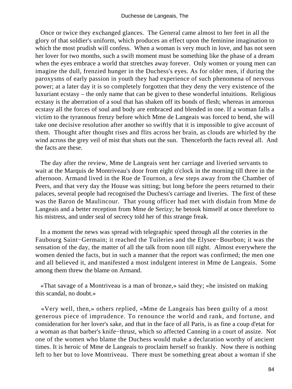Once or twice they exchanged glances. The General came almost to her feet in all the glory of that soldier's uniform, which produces an effect upon the feminine imagination to which the most prudish will confess. When a woman is very much in love, and has not seen her lover for two months, such a swift moment must be something like the phase of a dream when the eyes embrace a world that stretches away forever. Only women or young men can imagine the dull, frenzied hunger in the Duchess's eyes. As for older men, if during the paroxysms of early passion in youth they had experience of such phenomena of nervous power; at a later day it is so completely forgotten that they deny the very existence of the luxuriant ecstasy – the only name that can be given to these wonderful intuitions. Religious ecstasy is the aberration of a soul that has shaken off its bonds of flesh; whereas in amorous ecstasy all the forces of soul and body are embraced and blended in one. If a woman falls a victim to the tyrannous frenzy before which Mme de Langeais was forced to bend, she will take one decisive resolution after another so swiftly that it is impossible to give account of them. Thought after thought rises and flits across her brain, as clouds are whirled by the wind across the grey veil of mist that shuts out the sun. Thenceforth the facts reveal all. And the facts are these.

 The day after the review, Mme de Langeais sent her carriage and liveried servants to wait at the Marquis de Montriveau's door from eight o'clock in the morning till three in the afternoon. Armand lived in the Rue de Tournon, a few steps away from the Chamber of Peers, and that very day the House was sitting; but long before the peers returned to their palaces, several people had recognised the Duchess's carriage and liveries. The first of these was the Baron de Maulincour. That young officer had met with disdain from Mme de Langeais and a better reception from Mme de Serizy; he betook himself at once therefore to his mistress, and under seal of secrecy told her of this strange freak.

 In a moment the news was spread with telegraphic speed through all the coteries in the Faubourg Saint−Germain; it reached the Tuileries and the Elysee−Bourbon; it was the sensation of the day, the matter of all the talk from noon till night. Almost everywhere the women denied the facts, but in such a manner that the report was confirmed; the men one and all believed it, and manifested a most indulgent interest in Mme de Langeais. Some among them threw the blame on Armand.

 «That savage of a Montriveau is a man of bronze,» said they; «he insisted on making this scandal, no doubt.»

 «Very well, then,» others replied, «Mme de Langeais has been guilty of a most generous piece of imprudence. To renounce the world and rank, and fortune, and consideration for her lover's sake, and that in the face of all Paris, is as fine a coup d'etat for a woman as that barber's knife−thrust, which so affected Canning in a court of assize. Not one of the women who blame the Duchess would make a declaration worthy of ancient times. It is heroic of Mme de Langeais to proclaim herself so frankly. Now there is nothing left to her but to love Montriveau. There must be something great about a woman if she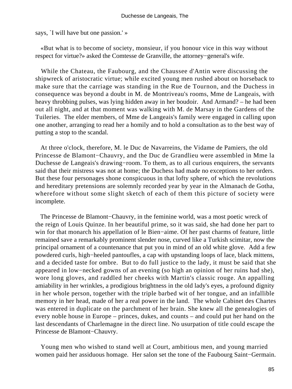says, `I will have but one passion.' »

 «But what is to become of society, monsieur, if you honour vice in this way without respect for virtue?» asked the Comtesse de Granville, the attorney−general's wife.

 While the Chateau, the Faubourg, and the Chaussee d'Antin were discussing the shipwreck of aristocratic virtue; while excited young men rushed about on horseback to make sure that the carriage was standing in the Rue de Tournon, and the Duchess in consequence was beyond a doubt in M. de Montriveau's rooms, Mme de Langeais, with heavy throbbing pulses, was lying hidden away in her boudoir. And Armand? – he had been out all night, and at that moment was walking with M. de Marsay in the Gardens of the Tuileries. The elder members, of Mme de Langeais's family were engaged in calling upon one another, arranging to read her a homily and to hold a consultation as to the best way of putting a stop to the scandal.

 At three o'clock, therefore, M. le Duc de Navarreins, the Vidame de Pamiers, the old Princesse de Blamont−Chauvry, and the Duc de Grandlieu were assembled in Mme la Duchesse de Langeais's drawing−room. To them, as to all curious enquirers, the servants said that their mistress was not at home; the Duchess had made no exceptions to her orders. But these four personages shone conspicuous in that lofty sphere, of which the revolutions and hereditary pretensions are solemnly recorded year by year in the Almanach de Gotha, wherefore without some slight sketch of each of them this picture of society were incomplete.

 The Princesse de Blamont−Chauvry, in the feminine world, was a most poetic wreck of the reign of Louis Quinze. In her beautiful prime, so it was said, she had done her part to win for that monarch his appellation of le Bien−aime. Of her past charms of feature, little remained save a remarkably prominent slender nose, curved like a Turkish scimitar, now the principal ornament of a countenance that put you in mind of an old white glove. Add a few powdered curls, high−heeled pantoufles, a cap with upstanding loops of lace, black mittens, and a decided taste for ombre. But to do full justice to the lady, it must be said that she appeared in low−necked gowns of an evening (so high an opinion of her ruins had she), wore long gloves, and raddled her cheeks with Martin's classic rouge. An appalling amiability in her wrinkles, a prodigious brightness in the old lady's eyes, a profound dignity in her whole person, together with the triple barbed wit of her tongue, and an infallible memory in her head, made of her a real power in the land. The whole Cabinet des Chartes was entered in duplicate on the parchment of her brain. She knew all the genealogies of every noble house in Europe – princes, dukes, and counts – and could put her hand on the last descendants of Charlemagne in the direct line. No usurpation of title could escape the Princesse de Blamont−Chauvry.

 Young men who wished to stand well at Court, ambitious men, and young married women paid her assiduous homage. Her salon set the tone of the Faubourg Saint−Germain.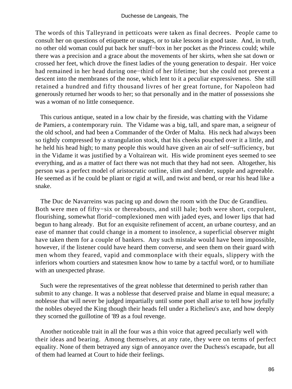The words of this Talleyrand in petticoats were taken as final decrees. People came to consult her on questions of etiquette or usages, or to take lessons in good taste. And, in truth, no other old woman could put back her snuff−box in her pocket as the Princess could; while there was a precision and a grace about the movements of her skirts, when she sat down or crossed her feet, which drove the finest ladies of the young generation to despair. Her voice had remained in her head during one−third of her lifetime; but she could not prevent a descent into the membranes of the nose, which lent to it a peculiar expressiveness. She still retained a hundred and fifty thousand livres of her great fortune, for Napoleon had generously returned her woods to her; so that personally and in the matter of possessions she was a woman of no little consequence.

 This curious antique, seated in a low chair by the fireside, was chatting with the Vidame de Pamiers, a contemporary ruin. The Vidame was a big, tall, and spare man, a seigneur of the old school, and had been a Commander of the Order of Malta. His neck had always been so tightly compressed by a strangulation stock, that his cheeks pouched over it a little, and he held his head high; to many people this would have given an air of self−sufficiency, but in the Vidame it was justified by a Voltairean wit. His wide prominent eyes seemed to see everything, and as a matter of fact there was not much that they had not seen. Altogether, his person was a perfect model of aristocratic outline, slim and slender, supple and agreeable. He seemed as if he could be pliant or rigid at will, and twist and bend, or rear his head like a snake.

 The Duc de Navarreins was pacing up and down the room with the Duc de Grandlieu. Both were men of fifty−six or thereabouts, and still hale; both were short, corpulent, flourishing, somewhat florid−complexioned men with jaded eyes, and lower lips that had begun to hang already. But for an exquisite refinement of accent, an urbane courtesy, and an ease of manner that could change in a moment to insolence, a superficial observer might have taken them for a couple of bankers. Any such mistake would have been impossible, however, if the listener could have heard them converse, and seen them on their guard with men whom they feared, vapid and commonplace with their equals, slippery with the inferiors whom courtiers and statesmen know how to tame by a tactful word, or to humiliate with an unexpected phrase.

 Such were the representatives of the great noblesse that determined to perish rather than submit to any change. It was a noblesse that deserved praise and blame in equal measure; a noblesse that will never be judged impartially until some poet shall arise to tell how joyfully the nobles obeyed the King though their heads fell under a Richelieu's axe, and how deeply they scorned the guillotine of '89 as a foul revenge.

 Another noticeable trait in all the four was a thin voice that agreed peculiarly well with their ideas and bearing. Among themselves, at any rate, they were on terms of perfect equality. None of them betrayed any sign of annoyance over the Duchess's escapade, but all of them had learned at Court to hide their feelings.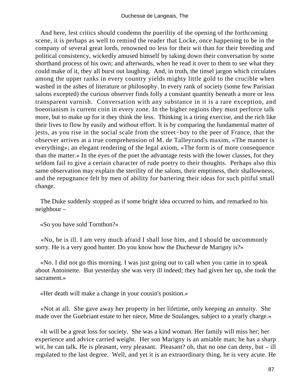And here, lest critics should condemn the puerility of the opening of the forthcoming scene, it is perhaps as well to remind the reader that Locke, once happening to be in the company of several great lords, renowned no less for their wit than for their breeding and political consistency, wickedly amused himself by taking down their conversation by some shorthand process of his own; and afterwards, when he read it over to them to see what they could make of it, they all burst out laughing. And, in truth, the tinsel jargon which circulates among the upper ranks in every country yields mighty little gold to the crucible when washed in the ashes of literature or philosophy. In every rank of society (some few Parisian salons excepted) the curious observer finds folly a constant quantity beneath a more or less transparent varnish. Conversation with any substance in it is a rare exception, and boeotianism is current coin in every zone. In the higher regions they must perforce talk more, but to make up for it they think the less. Thinking is a tiring exercise, and the rich like their lives to flow by easily and without effort. It is by comparing the fundamental matter of jests, as you rise in the social scale from the street−boy to the peer of France, that the observer arrives at a true comprehension of M. de Talleyrand's maxim, «The manner is everything»; an elegant rendering of the legal axiom, «The form is of more consequence than the matter.» In the eyes of the poet the advantage rests with the lower classes, for they seldom fail to give a certain character of rude poetry to their thoughts. Perhaps also this same observation may explain the sterility of the salons, their emptiness, their shallowness, and the repugnance felt by men of ability for bartering their ideas for such pitiful small change.

 The Duke suddenly stopped as if some bright idea occurred to him, and remarked to his neighbour –

«So you have sold Tornthon?»

 «No, he is ill. I am very much afraid I shall lose him, and I should be uncommonly sorry. He is a very good hunter. Do you know how the Duchesse de Marigny is?»

 «No. I did not go this morning. I was just going out to call when you came in to speak about Antoinette. But yesterday she was very ill indeed; they had given her up, she took the sacrament.»

«Her death will make a change in your cousin's position.»

 «Not at all. She gave away her property in her lifetime, only keeping an annuity. She made over the Guebriant estate to her niece, Mme de Soulanges, subject to a yearly charge.»

 «It will be a great loss for society. She was a kind woman. Her family will miss her; her experience and advice carried weight. Her son Marigny is an amiable man; he has a sharp wit, he can talk. He is pleasant, very pleasant. Pleasant? oh, that no one can deny, but – ill regulated to the last degree. Well, and yet it is an extraordinary thing, he is very acute. He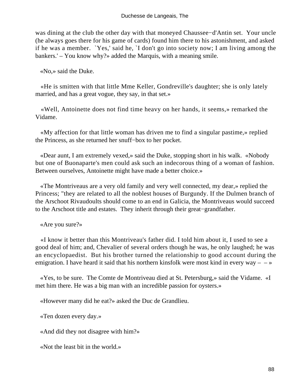was dining at the club the other day with that moneyed Chaussee−d'Antin set. Your uncle (he always goes there for his game of cards) found him there to his astonishment, and asked if he was a member. `Yes,' said he, `I don't go into society now; I am living among the bankers.' – You know why?» added the Marquis, with a meaning smile.

«No,» said the Duke.

 «He is smitten with that little Mme Keller, Gondreville's daughter; she is only lately married, and has a great vogue, they say, in that set.»

 «Well, Antoinette does not find time heavy on her hands, it seems,» remarked the Vidame.

 «My affection for that little woman has driven me to find a singular pastime,» replied the Princess, as she returned her snuff−box to her pocket.

 «Dear aunt, I am extremely vexed,» said the Duke, stopping short in his walk. «Nobody but one of Buonaparte's men could ask such an indecorous thing of a woman of fashion. Between ourselves, Antoinette might have made a better choice.»

 «The Montriveaus are a very old family and very well connected, my dear,» replied the Princess; "they are related to all the noblest houses of Burgundy. If the Dulmen branch of the Arschoot Rivaudoults should come to an end in Galicia, the Montriveaus would succeed to the Arschoot title and estates. They inherit through their great−grandfather.

«Are you sure?»

 «I know it better than this Montriveau's father did. I told him about it, I used to see a good deal of him; and, Chevalier of several orders though he was, he only laughed; he was an encyclopaedist. But his brother turned the relationship to good account during the emigration. I have heard it said that his northern kinsfolk were most kind in every way  $-\rightarrow$ 

 «Yes, to be sure. The Comte de Montriveau died at St. Petersburg,» said the Vidame. «I met him there. He was a big man with an incredible passion for oysters.»

«However many did he eat?» asked the Duc de Grandlieu.

«Ten dozen every day.»

«And did they not disagree with him?»

«Not the least bit in the world.»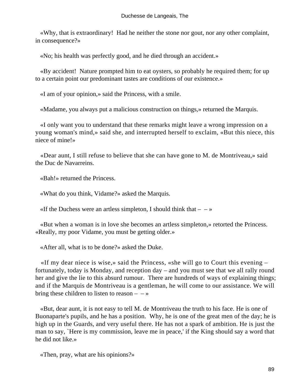«Why, that is extraordinary! Had he neither the stone nor gout, nor any other complaint, in consequence?»

«No; his health was perfectly good, and he died through an accident.»

 «By accident! Nature prompted him to eat oysters, so probably he required them; for up to a certain point our predominant tastes are conditions of our existence.»

«I am of your opinion,» said the Princess, with a smile.

«Madame, you always put a malicious construction on things,» returned the Marquis.

 «I only want you to understand that these remarks might leave a wrong impression on a young woman's mind,» said she, and interrupted herself to exclaim, «But this niece, this niece of mine!»

 «Dear aunt, I still refuse to believe that she can have gone to M. de Montriveau,» said the Duc de Navarreins.

«Bah!» returned the Princess.

«What do you think, Vidame?» asked the Marquis.

«If the Duchess were an artless simpleton, I should think that  $- \rightarrow \infty$ 

 «But when a woman is in love she becomes an artless simpleton,» retorted the Princess. «Really, my poor Vidame, you must be getting older.»

«After all, what is to be done?» asked the Duke.

 «If my dear niece is wise,» said the Princess, «she will go to Court this evening – fortunately, today is Monday, and reception day – and you must see that we all rally round her and give the lie to this absurd rumour. There are hundreds of ways of explaining things; and if the Marquis de Montriveau is a gentleman, he will come to our assistance. We will bring these children to listen to reason  $- - \infty$ 

 «But, dear aunt, it is not easy to tell M. de Montriveau the truth to his face. He is one of Buonaparte's pupils, and he has a position. Why, he is one of the great men of the day; he is high up in the Guards, and very useful there. He has not a spark of ambition. He is just the man to say, `Here is my commission, leave me in peace,' if the King should say a word that he did not like.»

«Then, pray, what are his opinions?»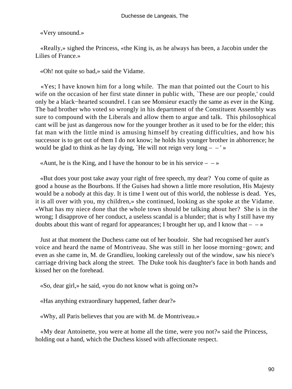«Very unsound.»

 «Really,» sighed the Princess, «the King is, as he always has been, a Jacobin under the Lilies of France.»

«Oh! not quite so bad,» said the Vidame.

 «Yes; I have known him for a long while. The man that pointed out the Court to his wife on the occasion of her first state dinner in public with, 'These are our people,' could only be a black−hearted scoundrel. I can see Monsieur exactly the same as ever in the King. The bad brother who voted so wrongly in his department of the Constituent Assembly was sure to compound with the Liberals and allow them to argue and talk. This philosophical cant will be just as dangerous now for the younger brother as it used to be for the elder; this fat man with the little mind is amusing himself by creating difficulties, and how his successor is to get out of them I do not know; he holds his younger brother in abhorrence; he would be glad to think as he lay dying, `He will not reign very  $\log - - \frac{1}{x}$ 

«Aunt, he is the King, and I have the honour to be in his service  $-\rightarrow \infty$ 

 «But does your post take away your right of free speech, my dear? You come of quite as good a house as the Bourbons. If the Guises had shown a little more resolution, His Majesty would be a nobody at this day. It is time I went out of this world, the noblesse is dead. Yes, it is all over with you, my children,» she continued, looking as she spoke at the Vidame. «What has my niece done that the whole town should be talking about her? She is in the wrong; I disapprove of her conduct, a useless scandal is a blunder; that is why I still have my doubts about this want of regard for appearances; I brought her up, and I know that  $-\rightarrow$ 

 Just at that moment the Duchess came out of her boudoir. She had recognised her aunt's voice and heard the name of Montriveau. She was still in her loose morning−gown; and even as she came in, M. de Grandlieu, looking carelessly out of the window, saw his niece's carriage driving back along the street. The Duke took his daughter's face in both hands and kissed her on the forehead.

«So, dear girl,» he said, «you do not know what is going on?»

«Has anything extraordinary happened, father dear?»

«Why, all Paris believes that you are with M. de Montriveau.»

 «My dear Antoinette, you were at home all the time, were you not?» said the Princess, holding out a hand, which the Duchess kissed with affectionate respect.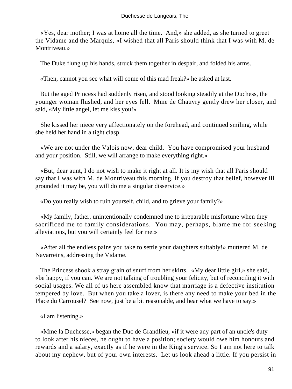«Yes, dear mother; I was at home all the time. And,» she added, as she turned to greet the Vidame and the Marquis, «I wished that all Paris should think that I was with M. de Montriveau.»

The Duke flung up his hands, struck them together in despair, and folded his arms.

«Then, cannot you see what will come of this mad freak?» he asked at last.

 But the aged Princess had suddenly risen, and stood looking steadily at the Duchess, the younger woman flushed, and her eyes fell. Mme de Chauvry gently drew her closer, and said, «My little angel, let me kiss you!»

 She kissed her niece very affectionately on the forehead, and continued smiling, while she held her hand in a tight clasp.

 «We are not under the Valois now, dear child. You have compromised your husband and your position. Still, we will arrange to make everything right.»

 «But, dear aunt, I do not wish to make it right at all. It is my wish that all Paris should say that I was with M. de Montriveau this morning. If you destroy that belief, however ill grounded it may be, you will do me a singular disservice.»

«Do you really wish to ruin yourself, child, and to grieve your family?»

 «My family, father, unintentionally condemned me to irreparable misfortune when they sacrificed me to family considerations. You may, perhaps, blame me for seeking alleviations, but you will certainly feel for me.»

 «After all the endless pains you take to settle your daughters suitably!» muttered M. de Navarreins, addressing the Vidame.

 The Princess shook a stray grain of snuff from her skirts. «My dear little girl,» she said, «be happy, if you can. We are not talking of troubling your felicity, but of reconciling it with social usages. We all of us here assembled know that marriage is a defective institution tempered by love. But when you take a lover, is there any need to make your bed in the Place du Carrousel? See now, just be a bit reasonable, and hear what we have to say.»

«I am listening.»

 «Mme la Duchesse,» began the Duc de Grandlieu, «if it were any part of an uncle's duty to look after his nieces, he ought to have a position; society would owe him honours and rewards and a salary, exactly as if he were in the King's service. So I am not here to talk about my nephew, but of your own interests. Let us look ahead a little. If you persist in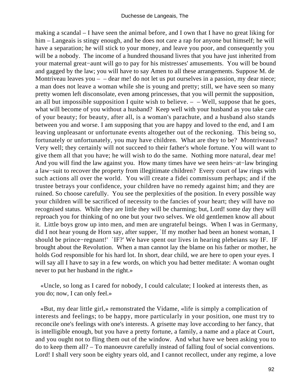making a scandal – I have seen the animal before, and I own that I have no great liking for him – Langeais is stingy enough, and he does not care a rap for anyone but himself; he will have a separation; he will stick to your money, and leave you poor, and consequently you will be a nobody. The income of a hundred thousand livres that you have just inherited from your maternal great−aunt will go to pay for his mistresses' amusements. You will be bound and gagged by the law; you will have to say Amen to all these arrangements. Suppose M. de Montriveau leaves you  $-$  – dear me! do not let us put ourselves in a passion, my dear niece; a man does not leave a woman while she is young and pretty; still, we have seen so many pretty women left disconsolate, even among princesses, that you will permit the supposition, an all but impossible supposition I quite wish to believe.  $-$  – Well, suppose that he goes, what will become of you without a husband? Keep well with your husband as you take care of your beauty; for beauty, after all, is a woman's parachute, and a husband also stands between you and worse. I am supposing that you are happy and loved to the end, and I am leaving unpleasant or unfortunate events altogether out of the reckoning. This being so, fortunately or unfortunately, you may have children. What are they to be? Montriveaus? Very well; they certainly will not succeed to their father's whole fortune. You will want to give them all that you have; he will wish to do the same. Nothing more natural, dear me! And you will find the law against you. How many times have we seen heirs−at−law bringing a law−suit to recover the property from illegitimate children? Every court of law rings with such actions all over the world. You will create a fidei commissum perhaps; and if the trustee betrays your confidence, your children have no remedy against him; and they are ruined. So choose carefully. You see the perplexities of the position. In every possible way your children will be sacrificed of necessity to the fancies of your heart; they will have no recognised status. While they are little they will be charming; but, Lord! some day they will reproach you for thinking of no one but your two selves. We old gentlemen know all about it. Little boys grow up into men, and men are ungrateful beings. When I was in Germany, did I not hear young de Horn say, after supper, `If my mother had been an honest woman, I should be prince−regnant!' `IF?' We have spent our lives in hearing plebeians say IF. IF brought about the Revolution. When a man cannot lay the blame on his father or mother, he holds God responsible for his hard lot. In short, dear child, we are here to open your eyes. I will say all I have to say in a few words, on which you had better meditate: A woman ought never to put her husband in the right.»

 «Uncle, so long as I cared for nobody, I could calculate; I looked at interests then, as you do; now, I can only feel.»

 «But, my dear little girl,» remonstrated the Vidame, «life is simply a complication of interests and feelings; to be happy, more particularly in your position, one must try to reconcile one's feelings with one's interests. A grisette may love according to her fancy, that is intelligible enough, but you have a pretty fortune, a family, a name and a place at Court, and you ought not to fling them out of the window. And what have we been asking you to do to keep them all? – To manoeuvre carefully instead of falling foul of social conventions. Lord! I shall very soon be eighty years old, and I cannot recollect, under any regime, a love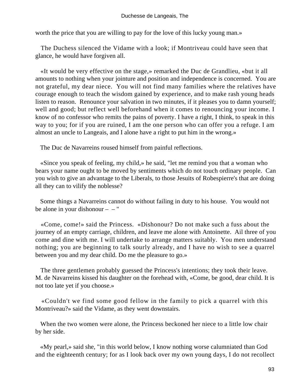worth the price that you are willing to pay for the love of this lucky young man.»

 The Duchess silenced the Vidame with a look; if Montriveau could have seen that glance, he would have forgiven all.

 «It would be very effective on the stage,» remarked the Duc de Grandlieu, «but it all amounts to nothing when your jointure and position and independence is concerned. You are not grateful, my dear niece. You will not find many families where the relatives have courage enough to teach the wisdom gained by experience, and to make rash young heads listen to reason. Renounce your salvation in two minutes, if it pleases you to damn yourself; well and good; but reflect well beforehand when it comes to renouncing your income. I know of no confessor who remits the pains of poverty. I have a right, I think, to speak in this way to you; for if you are ruined, I am the one person who can offer you a refuge. I am almost an uncle to Langeais, and I alone have a right to put him in the wrong.»

The Duc de Navarreins roused himself from painful reflections.

 «Since you speak of feeling, my child,» he said, "let me remind you that a woman who bears your name ought to be moved by sentiments which do not touch ordinary people. Can you wish to give an advantage to the Liberals, to those Jesuits of Robespierre's that are doing all they can to vilify the noblesse?

 Some things a Navarreins cannot do without failing in duty to his house. You would not be alone in your dishonour  $-$  – "

 «Come, come!» said the Princess. «Dishonour? Do not make such a fuss about the journey of an empty carriage, children, and leave me alone with Antoinette. Ail three of you come and dine with me. I will undertake to arrange matters suitably. You men understand nothing; you are beginning to talk sourly already, and I have no wish to see a quarrel between you and my dear child. Do me the pleasure to go.»

 The three gentlemen probably guessed the Princess's intentions; they took their leave. M. de Navarreins kissed his daughter on the forehead with, «Come, be good, dear child. It is not too late yet if you choose.»

 «Couldn't we find some good fellow in the family to pick a quarrel with this Montriveau?» said the Vidame, as they went downstairs.

 When the two women were alone, the Princess beckoned her niece to a little low chair by her side.

 «My pearl,» said she, "in this world below, I know nothing worse calumniated than God and the eighteenth century; for as I look back over my own young days, I do not recollect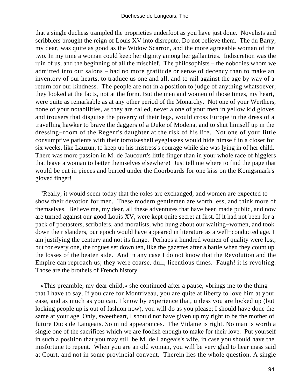that a single duchess trampled the proprieties underfoot as you have just done. Novelists and scribblers brought the reign of Louis XV into disrepute. Do not believe them. The du Barry, my dear, was quite as good as the Widow Scarron, and the more agreeable woman of the two. In my time a woman could keep her dignity among her gallantries. Indiscretion was the ruin of us, and the beginning of all the mischief. The philosophists – the nobodies whom we admitted into our salons – had no more gratitude or sense of decency than to make an inventory of our hearts, to traduce us one and all, and to rail against the age by way of a return for our kindness. The people are not in a position to judge of anything whatsoever; they looked at the facts, not at the form. But the men and women of those times, my heart, were quite as remarkable as at any other period of the Monarchy. Not one of your Werthers, none of your notabilities, as they are called, never a one of your men in yellow kid gloves and trousers that disguise the poverty of their legs, would cross Europe in the dress of a travelling hawker to brave the daggers of a Duke of Modena, and to shut himself up in the dressing−room of the Regent's daughter at the risk of his life. Not one of your little consumptive patients with their tortoiseshell eyeglasses would hide himself in a closet for six weeks, like Lauzun, to keep up his mistress's courage while she was lying in of her child. There was more passion in M. de Jaucourt's little finger than in your whole race of higglers that leave a woman to better themselves elsewhere! Just tell me where to find the page that would be cut in pieces and buried under the floorboards for one kiss on the Konigsmark's gloved finger!

 "Really, it would seem today that the roles are exchanged, and women are expected to show their devotion for men. These modern gentlemen are worth less, and think more of themselves. Believe me, my dear, all these adventures that have been made public, and now are turned against our good Louis XV, were kept quite secret at first. If it had not been for a pack of poetasters, scribblers, and moralists, who hung about our waiting−women, and took down their slanders, our epoch would have appeared in literature as a well−conducted age. I am justifying the century and not its fringe. Perhaps a hundred women of quality were lost; but for every one, the rogues set down ten, like the gazettes after a battle when they count up the losses of the beaten side. And in any case I do not know that the Revolution and the Empire can reproach us; they were coarse, dull, licentious times. Faugh! it is revolting. Those are the brothels of French history.

 «This preamble, my dear child,» she continued after a pause, «brings me to the thing that I have to say. If you care for Montriveau, you are quite at liberty to love him at your ease, and as much as you can. I know by experience that, unless you are locked up (but locking people up is out of fashion now), you will do as you please; I should have done the same at your age. Only, sweetheart, I should not have given up my right to be the mother of future Ducs de Langeais. So mind appearances. The Vidame is right. No man is worth a single one of the sacrifices which we are foolish enough to make for their love. Put yourself in such a position that you may still be M. de Langeais's wife, in case you should have the misfortune to repent. When you are an old woman, you will be very glad to hear mass said at Court, and not in some provincial convent. Therein lies the whole question. A single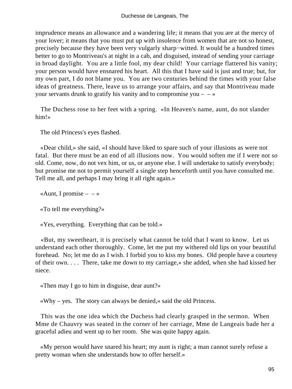imprudence means an allowance and a wandering life; it means that you are at the mercy of your lover; it means that you must put up with insolence from women that are not so honest, precisely because they have been very vulgarly sharp−witted. It would be a hundred times better to go to Montriveau's at night in a cab, and disguised, instead of sending your carriage in broad daylight. You are a little fool, my dear child! Your carriage flattered his vanity; your person would have ensnared his heart. All this that I have said is just and true; but, for my own part, I do not blame you. You are two centuries behind the times with your false ideas of greatness. There, leave us to arrange your affairs, and say that Montriveau made your servants drunk to gratify his vanity and to compromise you  $- \rightarrow \infty$ 

 The Duchess rose to her feet with a spring. «In Heaven's name, aunt, do not slander him!»

The old Princess's eyes flashed.

 «Dear child,» she said, «I should have liked to spare such of your illusions as were not fatal. But there must be an end of all illusions now. You would soften me if I were not so old. Come, now, do not vex him, or us, or anyone else. I will undertake to satisfy everybody; but promise me not to permit yourself a single step henceforth until you have consulted me. Tell me all, and perhaps I may bring it all right again.»

«Aunt, I promise  $- - \infty$ 

«To tell me everything?»

«Yes, everything. Everything that can be told.»

 «But, my sweetheart, it is precisely what cannot be told that I want to know. Let us understand each other thoroughly. Come, let me put my withered old lips on your beautiful forehead. No; let me do as I wish. I forbid you to kiss my bones. Old people have a courtesy of their own. . . . There, take me down to my carriage,» she added, when she had kissed her niece.

«Then may I go to him in disguise, dear aunt?»

«Why – yes. The story can always be denied,» said the old Princess.

 This was the one idea which the Duchess had clearly grasped in the sermon. When Mme de Chauvry was seated in the corner of her carriage, Mme de Langeais bade her a graceful adieu and went up to her room. She was quite happy again.

 «My person would have snared his heart; my aunt is right; a man cannot surely refuse a pretty woman when she understands how to offer herself.»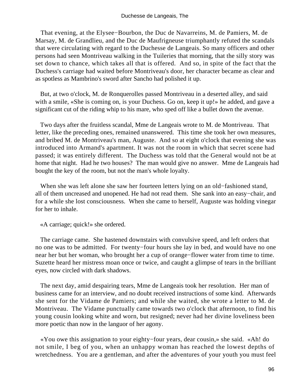That evening, at the Elysee−Bourbon, the Duc de Navarreins, M. de Pamiers, M. de Marsay, M. de Grandlieu, and the Duc de Maufrigneuse triumphantly refuted the scandals that were circulating with regard to the Duchesse de Langeais. So many officers and other persons had seen Montriveau walking in the Tuileries that morning, that the silly story was set down to chance, which takes all that is offered. And so, in spite of the fact that the Duchess's carriage had waited before Montriveau's door, her character became as clear and as spotless as Mambrino's sword after Sancho had polished it up.

 But, at two o'clock, M. de Ronquerolles passed Montriveau in a deserted alley, and said with a smile, «She is coming on, is your Duchess. Go on, keep it up!» he added, and gave a significant cut of the riding whip to his mare, who sped off like a bullet down the avenue.

 Two days after the fruitless scandal, Mme de Langeais wrote to M. de Montriveau. That letter, like the preceding ones, remained unanswered. This time she took her own measures, and bribed M. de Montriveau's man, Auguste. And so at eight o'clock that evening she was introduced into Armand's apartment. It was not the room in which that secret scene had passed; it was entirely different. The Duchess was told that the General would not be at home that night. Had he two houses? The man would give no answer. Mme de Langeais had bought the key of the room, but not the man's whole loyalty.

 When she was left alone she saw her fourteen letters lying on an old−fashioned stand, all of them uncreased and unopened. He had not read them. She sank into an easy−chair, and for a while she lost consciousness. When she came to herself, Auguste was holding vinegar for her to inhale.

«A carriage; quick!» she ordered.

 The carriage came. She hastened downstairs with convulsive speed, and left orders that no one was to be admitted. For twenty−four hours she lay in bed, and would have no one near her but her woman, who brought her a cup of orange−flower water from time to time. Suzette heard her mistress moan once or twice, and caught a glimpse of tears in the brilliant eyes, now circled with dark shadows.

 The next day, amid despairing tears, Mme de Langeais took her resolution. Her man of business came for an interview, and no doubt received instructions of some kind. Afterwards she sent for the Vidame de Pamiers; and while she waited, she wrote a letter to M. de Montriveau. The Vidame punctually came towards two o'clock that afternoon, to find his young cousin looking white and worn, but resigned; never had her divine loveliness been more poetic than now in the languor of her agony.

 «You owe this assignation to your eighty−four years, dear cousin,» she said. «Ah! do not smile, I beg of you, when an unhappy woman has reached the lowest depths of wretchedness. You are a gentleman, and after the adventures of your youth you must feel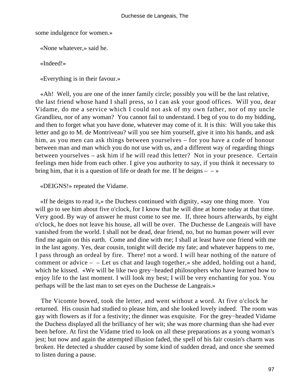some indulgence for women.»

«None whatever,» said he.

«Indeed!»

«Everything is in their favour.»

 «Ah! Well, you are one of the inner family circle; possibly you will be the last relative, the last friend whose hand I shall press, so I can ask your good offices. Will you, dear Vidame, do me a service which I could not ask of my own father, nor of my uncle Grandlieu, nor of any woman? You cannot fail to understand. I beg of you to do my bidding, and then to forget what you have done, whatever may come of it. It is this: Will you take this letter and go to M. de Montriveau? will you see him yourself, give it into his hands, and ask him, as you men can ask things between yourselves – for you have a code of honour between man and man which you do not use with us, and a different way of regarding things between yourselves – ask him if he will read this letter? Not in your presence. Certain feelings men hide from each other. I give you authority to say, if you think it necessary to bring him, that it is a question of life or death for me. If he deigns  $-\rightarrow$ 

«DEIGNS!» repeated the Vidame.

 «If he deigns to read it,» the Duchess continued with dignity, «say one thing more. You will go to see him about five o'clock, for I know that he will dine at home today at that time. Very good. By way of answer he must come to see me. If, three hours afterwards, by eight o'clock, he does not leave his house, all will be over. The Duchesse de Langeais will have vanished from the world. I shall not be dead, dear friend, no, but no human power will ever find me again on this earth. Come and dine with me; I shall at least have one friend with me in the last agony. Yes, dear cousin, tonight will decide my fate; and whatever happens to me, I pass through an ordeal by fire. There! not a word. I will hear nothing of the nature of comment or advice – – Let us chat and laugh together,» she added, holding out a hand, which he kissed. «We will be like two grey−headed philosophers who have learned how to enjoy life to the last moment. I will look my best; I will be very enchanting for you. You perhaps will be the last man to set eyes on the Duchesse de Langeais.»

 The Vicomte bowed, took the letter, and went without a word. At five o'clock he returned. His cousin had studied to please him, and she looked lovely indeed. The room was gay with flowers as if for a festivity; the dinner was exquisite. For the grey−headed Vidame the Duchess displayed all the brilliancy of her wit; she was more charming than she had ever been before. At first the Vidame tried to look on all these preparations as a young woman's jest; but now and again the attempted illusion faded, the spell of his fair cousin's charm was broken. He detected a shudder caused by some kind of sudden dread, and once she seemed to listen during a pause.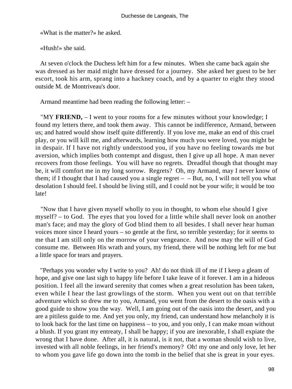«What is the matter?» he asked.

«Hush!» she said.

 At seven o'clock the Duchess left him for a few minutes. When she came back again she was dressed as her maid might have dressed for a journey. She asked her guest to be her escort, took his arm, sprang into a hackney coach, and by a quarter to eight they stood outside M. de Montriveau's door.

Armand meantime had been reading the following letter: –

 "MY **FRIEND,** – I went to your rooms for a few minutes without your knowledge; I found my letters there, and took them away. This cannot be indifference, Armand, between us; and hatred would show itself quite differently. If you love me, make an end of this cruel play, or you will kill me, and afterwards, learning how much you were loved, you might be in despair. If I have not rightly understood you, if you have no feeling towards me but aversion, which implies both contempt and disgust, then I give up all hope. A man never recovers from those feelings. You will have no regrets. Dreadful though that thought may be, it will comfort me in my long sorrow. Regrets? Oh, my Armand, may I never know of them; if I thought that I had caused you a single regret  $-$  – But, no, I will not tell you what desolation I should feel. I should be living still, and I could not be your wife; it would be too late!

 "Now that I have given myself wholly to you in thought, to whom else should I give myself? – to God. The eyes that you loved for a little while shall never look on another man's face; and may the glory of God blind them to all besides. I shall never hear human voices more since I heard yours – so gentle at the first, so terrible yesterday; for it seems to me that I am still only on the morrow of your vengeance. And now may the will of God consume me. Between His wrath and yours, my friend, there will be nothing left for me but a little space for tears and prayers.

 "Perhaps you wonder why I write to you? Ah! do not think ill of me if I keep a gleam of hope, and give one last sigh to happy life before I take leave of it forever. I am in a hideous position. I feel all the inward serenity that comes when a great resolution has been taken, even while I hear the last growlings of the storm. When you went out on that terrible adventure which so drew me to you, Armand, you went from the desert to the oasis with a good guide to show you the way. Well, I am going out of the oasis into the desert, and you are a pitiless guide to me. And yet you only, my friend, can understand how melancholy it is to look back for the last time on happiness – to you, and you only, I can make moan without a blush. If you grant my entreaty, I shall be happy; if you are inexorable, I shall expiate the wrong that I have done. After all, it is natural, is it not, that a woman should wish to live, invested with all noble feelings, in her friend's memory? Oh! my one and only love, let her to whom you gave life go down into the tomb in the belief that she is great in your eyes.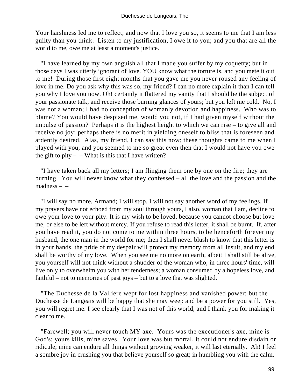Your harshness led me to reflect; and now that I love you so, it seems to me that I am less guilty than you think. Listen to my justification, I owe it to you; and you that are all the world to me, owe me at least a moment's justice.

 "I have learned by my own anguish all that I made you suffer by my coquetry; but in those days I was utterly ignorant of love. YOU know what the torture is, and you mete it out to me! During those first eight months that you gave me you never roused any feeling of love in me. Do you ask why this was so, my friend? I can no more explain it than I can tell you why I love you now. Oh! certainly it flattered my vanity that I should be the subject of your passionate talk, and receive those burning glances of yours; but you left me cold. No, I was not a woman; I had no conception of womanly devotion and happiness. Who was to blame? You would have despised me, would you not, if I had given myself without the impulse of passion? Perhaps it is the highest height to which we can rise – to give all and receive no joy; perhaps there is no merit in yielding oneself to bliss that is foreseen and ardently desired. Alas, my friend, I can say this now; these thoughts came to me when I played with you; and you seemed to me so great even then that I would not have you owe the gift to pity  $-$  – What is this that I have written?

 "I have taken back all my letters; I am flinging them one by one on the fire; they are burning. You will never know what they confessed – all the love and the passion and the  $m$ adness – –

 "I will say no more, Armand; I will stop. I will not say another word of my feelings. If my prayers have not echoed from my soul through yours, I also, woman that I am, decline to owe your love to your pity. It is my wish to be loved, because you cannot choose but love me, or else to be left without mercy. If you refuse to read this letter, it shall be burnt. If, after you have read it, you do not come to me within three hours, to be henceforth forever my husband, the one man in the world for me; then I shall never blush to know that this letter is in your hands, the pride of my despair will protect my memory from all insult, and my end shall be worthy of my love. When you see me no more on earth, albeit I shall still be alive, you yourself will not think without a shudder of the woman who, in three hours' time, will live only to overwhelm you with her tenderness; a woman consumed by a hopeless love, and faithful – not to memories of past joys – but to a love that was slighted.

 "The Duchesse de la Valliere wept for lost happiness and vanished power; but the Duchesse de Langeais will be happy that she may weep and be a power for you still. Yes, you will regret me. I see clearly that I was not of this world, and I thank you for making it clear to me.

 "Farewell; you will never touch MY axe. Yours was the executioner's axe, mine is God's; yours kills, mine saves. Your love was but mortal, it could not endure disdain or ridicule; mine can endure all things without growing weaker, it will last eternally. Ah! I feel a sombre joy in crushing you that believe yourself so great; in humbling you with the calm,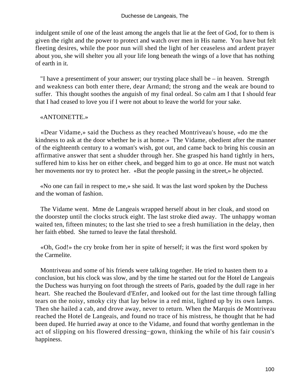indulgent smile of one of the least among the angels that lie at the feet of God, for to them is given the right and the power to protect and watch over men in His name. You have but felt fleeting desires, while the poor nun will shed the light of her ceaseless and ardent prayer about you, she will shelter you all your life long beneath the wings of a love that has nothing of earth in it.

 "I have a presentiment of your answer; our trysting place shall be – in heaven. Strength and weakness can both enter there, dear Armand; the strong and the weak are bound to suffer. This thought soothes the anguish of my final ordeal. So calm am I that I should fear that I had ceased to love you if I were not about to leave the world for your sake.

## «ANTOINETTE.»

 «Dear Vidame,» said the Duchess as they reached Montriveau's house, «do me the kindness to ask at the door whether he is at home.» The Vidame, obedient after the manner of the eighteenth century to a woman's wish, got out, and came back to bring his cousin an affirmative answer that sent a shudder through her. She grasped his hand tightly in hers, suffered him to kiss her on either cheek, and begged him to go at once. He must not watch her movements nor try to protect her. «But the people passing in the street,» he objected.

 «No one can fail in respect to me,» she said. It was the last word spoken by the Duchess and the woman of fashion.

 The Vidame went. Mme de Langeais wrapped herself about in her cloak, and stood on the doorstep until the clocks struck eight. The last stroke died away. The unhappy woman waited ten, fifteen minutes; to the last she tried to see a fresh humiliation in the delay, then her faith ebbed. She turned to leave the fatal threshold.

 «Oh, God!» the cry broke from her in spite of herself; it was the first word spoken by the Carmelite.

 Montriveau and some of his friends were talking together. He tried to hasten them to a conclusion, but his clock was slow, and by the time he started out for the Hotel de Langeais the Duchess was hurrying on foot through the streets of Paris, goaded by the dull rage in her heart. She reached the Boulevard d'Enfer, and looked out for the last time through falling tears on the noisy, smoky city that lay below in a red mist, lighted up by its own lamps. Then she hailed a cab, and drove away, never to return. When the Marquis de Montriveau reached the Hotel de Langeais, and found no trace of his mistress, he thought that he had been duped. He hurried away at once to the Vidame, and found that worthy gentleman in the act of slipping on his flowered dressing−gown, thinking the while of his fair cousin's happiness.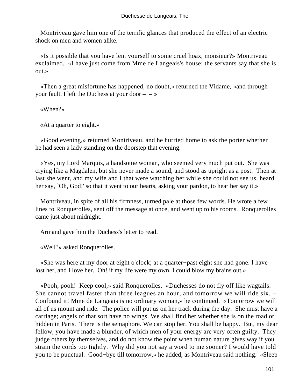Montriveau gave him one of the terrific glances that produced the effect of an electric shock on men and women alike.

 «Is it possible that you have lent yourself to some cruel hoax, monsieur?» Montriveau exclaimed. «I have just come from Mme de Langeais's house; the servants say that she is out.»

 «Then a great misfortune has happened, no doubt,» returned the Vidame, «and through your fault. I left the Duchess at your door  $- - \infty$ 

«When?»

«At a quarter to eight.»

 «Good evening,» returned Montriveau, and he hurried home to ask the porter whether he had seen a lady standing on the doorstep that evening.

 «Yes, my Lord Marquis, a handsome woman, who seemed very much put out. She was crying like a Magdalen, but she never made a sound, and stood as upright as a post. Then at last she went, and my wife and I that were watching her while she could not see us, heard her say, `Oh, God!' so that it went to our hearts, asking your pardon, to hear her say it.»

 Montriveau, in spite of all his firmness, turned pale at those few words. He wrote a few lines to Ronquerolles, sent off the message at once, and went up to his rooms. Ronquerolles came just about midnight.

Armand gave him the Duchess's letter to read.

«Well?» asked Ronquerolles.

 «She was here at my door at eight o'clock; at a quarter−past eight she had gone. I have lost her, and I love her. Oh! if my life were my own, I could blow my brains out.»

 «Pooh, pooh! Keep cool,» said Ronquerolles. «Duchesses do not fly off like wagtails. She cannot travel faster than three leagues an hour, and tomorrow we will ride six. – Confound it! Mme de Langeais is no ordinary woman,» he continued. «Tomorrow we will all of us mount and ride. The police will put us on her track during the day. She must have a carriage; angels of that sort have no wings. We shall find her whether she is on the road or hidden in Paris. There is the semaphore. We can stop her. You shall be happy. But, my dear fellow, you have made a blunder, of which men of your energy are very often guilty. They judge others by themselves, and do not know the point when human nature gives way if you strain the cords too tightly. Why did you not say a word to me sooner? I would have told you to be punctual. Good−bye till tomorrow,» he added, as Montriveau said nothing. «Sleep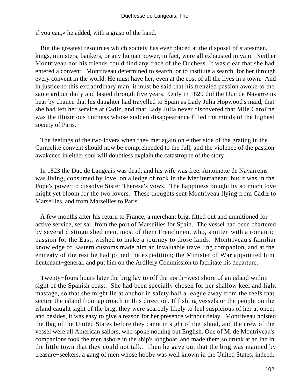if you can,» he added, with a grasp of the hand.

 But the greatest resources which society has ever placed at the disposal of statesmen, kings, ministers, bankers, or any human power, in fact, were all exhausted in vain. Neither Montriveau nor his friends could find any trace of the Duchess. It was clear that she had entered a convent. Montriveau determined to search, or to institute a search, for her through every convent in the world. He must have her, even at the cost of all the lives in a town. And in justice to this extraordinary man, it must be said that his frenzied passion awoke to the same ardour daily and lasted through five years. Only in 1829 did the Duc de Navarreins hear by chance that his daughter had travelled to Spain as Lady Julia Hopwood's maid, that she had left her service at Cadiz, and that Lady Julia never discovered that Mlle Caroline was the illustrious duchess whose sudden disappearance filled the minds of the highest society of Paris.

 The feelings of the two lovers when they met again on either side of the grating in the Carmelite convent should now be comprehended to the full, and the violence of the passion awakened in either soul will doubtless explain the catastrophe of the story.

 In 1823 the Duc de Langeais was dead, and his wife was free. Antoinette de Navarreins was living, consumed by love, on a ledge of rock in the Mediterranean; but it was in the Pope's power to dissolve Sister Theresa's vows. The happiness bought by so much love might yet bloom for the two lovers. These thoughts sent Montriveau flying from Cadiz to Marseilles, and from Marseilles to Paris.

 A few months after his return to France, a merchant brig, fitted out and munitioned for active service, set sail from the port of Marseilles for Spain. The vessel had been chartered by several distinguished men, most of them Frenchmen, who, smitten with a romantic passion for the East, wished to make a journey to those lands. Montriveau's familiar knowledge of Eastern customs made him an invaluable travelling companion, and at the entreaty of the rest he had joined the expedition; the Minister of War appointed him lieutenant−general, and put him on the Artillery Commission to facilitate his departure.

 Twenty−fours hours later the brig lay to off the north−west shore of an island within sight of the Spanish coast. She had been specially chosen for her shallow keel and light mastage, so that she might lie at anchor in safety half a league away from the reefs that secure the island from approach in this direction. If fishing vessels or the people on the island caught sight of the brig, they were scarcely likely to feel suspicious of her at once; and besides, it was easy to give a reason for her presence without delay. Montriveau hoisted the flag of the United States before they came in sight of the island, and the crew of the vessel were all American sailors, who spoke nothing but English. One of M. de Montriveau's companions took the men ashore in the ship's longboat, and made them so drunk at an inn in the little town that they could not talk. Then he gave out that the brig was manned by treasure−seekers, a gang of men whose hobby was well known in the United States; indeed,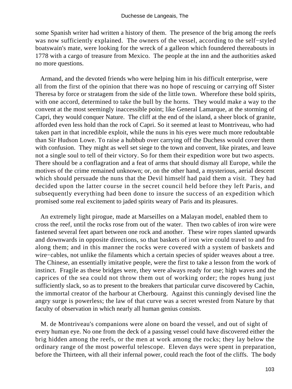some Spanish writer had written a history of them. The presence of the brig among the reefs was now sufficiently explained. The owners of the vessel, according to the self−styled boatswain's mate, were looking for the wreck of a galleon which foundered thereabouts in 1778 with a cargo of treasure from Mexico. The people at the inn and the authorities asked no more questions.

 Armand, and the devoted friends who were helping him in his difficult enterprise, were all from the first of the opinion that there was no hope of rescuing or carrying off Sister Theresa by force or stratagem from the side of the little town. Wherefore these bold spirits, with one accord, determined to take the bull by the horns. They would make a way to the convent at the most seemingly inaccessible point; like General Lamarque, at the storming of Capri, they would conquer Nature. The cliff at the end of the island, a sheer block of granite, afforded even less hold than the rock of Capri. So it seemed at least to Montriveau, who had taken part in that incredible exploit, while the nuns in his eyes were much more redoubtable than Sir Hudson Lowe. To raise a hubbub over carrying off the Duchess would cover them with confusion. They might as well set siege to the town and convent, like pirates, and leave not a single soul to tell of their victory. So for them their expedition wore but two aspects. There should be a conflagration and a feat of arms that should dismay all Europe, while the motives of the crime remained unknown; or, on the other hand, a mysterious, aerial descent which should persuade the nuns that the Devil himself had paid them a visit. They had decided upon the latter course in the secret council held before they left Paris, and subsequently everything had been done to insure the success of an expedition which promised some real excitement to jaded spirits weary of Paris and its pleasures.

 An extremely light pirogue, made at Marseilles on a Malayan model, enabled them to cross the reef, until the rocks rose from out of the water. Then two cables of iron wire were fastened several feet apart between one rock and another. These wire ropes slanted upwards and downwards in opposite directions, so that baskets of iron wire could travel to and fro along them; and in this manner the rocks were covered with a system of baskets and wire−cables, not unlike the filaments which a certain species of spider weaves about a tree. The Chinese, an essentially imitative people, were the first to take a lesson from the work of instinct. Fragile as these bridges were, they were always ready for use; high waves and the caprices of the sea could not throw them out of working order; the ropes hung just sufficiently slack, so as to present to the breakers that particular curve discovered by Cachin, the immortal creator of the harbour at Cherbourg. Against this cunningly devised line the angry surge is powerless; the law of that curve was a secret wrested from Nature by that faculty of observation in which nearly all human genius consists.

 M. de Montriveau's companions were alone on board the vessel, and out of sight of every human eye. No one from the deck of a passing vessel could have discovered either the brig hidden among the reefs, or the men at work among the rocks; they lay below the ordinary range of the most powerful telescope. Eleven days were spent in preparation, before the Thirteen, with all their infernal power, could reach the foot of the cliffs. The body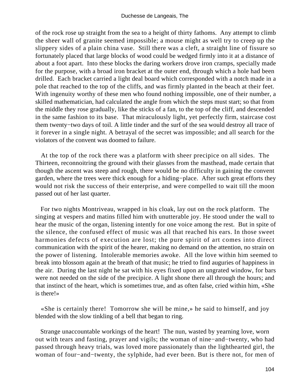of the rock rose up straight from the sea to a height of thirty fathoms. Any attempt to climb the sheer wall of granite seemed impossible; a mouse might as well try to creep up the slippery sides of a plain china vase. Still there was a cleft, a straight line of fissure so fortunately placed that large blocks of wood could be wedged firmly into it at a distance of about a foot apart. Into these blocks the daring workers drove iron cramps, specially made for the purpose, with a broad iron bracket at the outer end, through which a hole had been drilled. Each bracket carried a light deal board which corresponded with a notch made in a pole that reached to the top of the cliffs, and was firmly planted in the beach at their feet. With ingenuity worthy of these men who found nothing impossible, one of their number, a skilled mathematician, had calculated the angle from which the steps must start; so that from the middle they rose gradually, like the sticks of a fan, to the top of the cliff, and descended in the same fashion to its base. That miraculously light, yet perfectly firm, staircase cost them twenty−two days of toil. A little tinder and the surf of the sea would destroy all trace of it forever in a single night. A betrayal of the secret was impossible; and all search for the violators of the convent was doomed to failure.

 At the top of the rock there was a platform with sheer precipice on all sides. The Thirteen, reconnoitring the ground with their glasses from the masthead, made certain that though the ascent was steep and rough, there would be no difficulty in gaining the convent garden, where the trees were thick enough for a hiding−place. After such great efforts they would not risk the success of their enterprise, and were compelled to wait till the moon passed out of her last quarter.

 For two nights Montriveau, wrapped in his cloak, lay out on the rock platform. The singing at vespers and matins filled him with unutterable joy. He stood under the wall to hear the music of the organ, listening intently for one voice among the rest. But in spite of the silence, the confused effect of music was all that reached his ears. In those sweet harmonies defects of execution are lost; the pure spirit of art comes into direct communication with the spirit of the hearer, making no demand on the attention, no strain on the power of listening. Intolerable memories awoke. All the love within him seemed to break into blossom again at the breath of that music; he tried to find auguries of happiness in the air. During the last night he sat with his eyes fixed upon an ungrated window, for bars were not needed on the side of the precipice. A light shone there all through the hours; and that instinct of the heart, which is sometimes true, and as often false, cried within him, «She is there!»

 «She is certainly there! Tomorrow she will be mine,» he said to himself, and joy blended with the slow tinkling of a bell that began to ring.

 Strange unaccountable workings of the heart! The nun, wasted by yearning love, worn out with tears and fasting, prayer and vigils; the woman of nine−and−twenty, who had passed through heavy trials, was loved more passionately than the lighthearted girl, the woman of four−and−twenty, the sylphide, had ever been. But is there not, for men of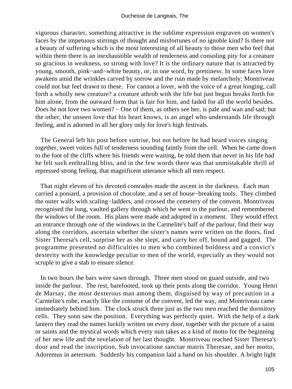vigorous character, something attractive in the sublime expression engraven on women's faces by the impetuous stirrings of thought and misfortunes of no ignoble kind? Is there not a beauty of suffering which is the most interesting of all beauty to those men who feel that within them there is an inexhaustible wealth of tenderness and consoling pity for a creature so gracious in weakness, so strong with love? It is the ordinary nature that is attracted by young, smooth, pink−and−white beauty, or, in one word, by prettiness. In some faces love awakens amid the wrinkles carved by sorrow and the ruin made by melancholy; Montriveau could not but feel drawn to these. For cannot a lover, with the voice of a great longing, call forth a wholly new creature? a creature athrob with the life but just begun breaks forth for him alone, from the outward form that is fair for him, and faded for all the world besides. Does he not love two women? – One of them, as others see her, is pale and wan and sad; but the other, the unseen love that his heart knows, is an angel who understands life through feeling, and is adorned in all her glory only for love's high festivals.

 The General left his post before sunrise, but not before he had heard voices singing together, sweet voices full of tenderness sounding faintly from the cell. When he came down to the foot of the cliffs where his friends were waiting, he told them that never in his life had he felt such enthralling bliss, and in the few words there was that unmistakable thrill of repressed strong feeling, that magnificent utterance which all men respect.

 That night eleven of his devoted comrades made the ascent in the darkness. Each man carried a poniard, a provision of chocolate, and a set of house−breaking tools. They climbed the outer walls with scaling−ladders, and crossed the cemetery of the convent. Montriveau recognised the long, vaulted gallery through which he went to the parlour, and remembered the windows of the room. His plans were made and adopted in a moment. They would effect an entrance through one of the windows in the Carmelite's half of the parlour, find their way along the corridors, ascertain whether the sister's names were written on the doors, find Sister Theresa's cell, surprise her as she slept, and carry her off, bound and gagged. The programme presented no difficulties to men who combined boldness and a convict's dexterity with the knowledge peculiar to men of the world, especially as they would not scruple to give a stab to ensure silence.

 In two hours the bars were sawn through. Three men stood on guard outside, and two inside the parlour. The rest, barefooted, took up their posts along the corridor. Young Henri de Marsay, the most dexterous man among them, disguised by way of precaution in a Carmelite's robe, exactly like the costume of the convent, led the way, and Montriveau came immediately behind him. The clock struck three just as the two men reached the dormitory cells. They soon saw the position. Everything was perfectly quiet. With the help of a dark lantern they read the names luckily written on every door, together with the picture of a saint or saints and the mystical words which every nun takes as a kind of motto for the beginning of her new life and the revelation of her last thought. Montriveau reached Sister Theresa's door and read the inscription, Sub invocatione sanctae matris Theresae, and her motto, Adoremus in aeternum. Suddenly his companion laid a hand on his shoulder. A bright light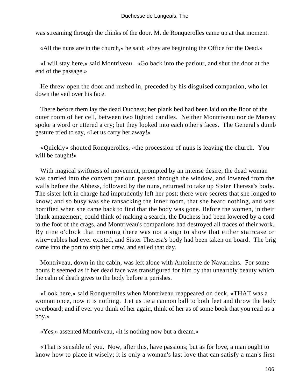was streaming through the chinks of the door. M. de Ronquerolles came up at that moment.

«All the nuns are in the church,» he said; «they are beginning the Office for the Dead.»

 «I will stay here,» said Montriveau. «Go back into the parlour, and shut the door at the end of the passage.»

 He threw open the door and rushed in, preceded by his disguised companion, who let down the veil over his face.

 There before them lay the dead Duchess; her plank bed had been laid on the floor of the outer room of her cell, between two lighted candles. Neither Montriveau nor de Marsay spoke a word or uttered a cry; but they looked into each other's faces. The General's dumb gesture tried to say, «Let us carry her away!»

 «Quickly» shouted Ronquerolles, «the procession of nuns is leaving the church. You will be caught!»

 With magical swiftness of movement, prompted by an intense desire, the dead woman was carried into the convent parlour, passed through the window, and lowered from the walls before the Abbess, followed by the nuns, returned to take up Sister Theresa's body. The sister left in charge had imprudently left her post; there were secrets that she longed to know; and so busy was she ransacking the inner room, that she heard nothing, and was horrified when she came back to find that the body was gone. Before the women, in their blank amazement, could think of making a search, the Duchess had been lowered by a cord to the foot of the crags, and Montriveau's companions had destroyed all traces of their work. By nine o'clock that morning there was not a sign to show that either staircase or wire−cables had ever existed, and Sister Theresa's body had been taken on board. The brig came into the port to ship her crew, and sailed that day.

 Montriveau, down in the cabin, was left alone with Antoinette de Navarreins. For some hours it seemed as if her dead face was transfigured for him by that unearthly beauty which the calm of death gives to the body before it perishes.

 «Look here,» said Ronquerolles when Montriveau reappeared on deck, «THAT was a woman once, now it is nothing. Let us tie a cannon ball to both feet and throw the body overboard; and if ever you think of her again, think of her as of some book that you read as a boy.»

«Yes,» assented Montriveau, «it is nothing now but a dream.»

 «That is sensible of you. Now, after this, have passions; but as for love, a man ought to know how to place it wisely; it is only a woman's last love that can satisfy a man's first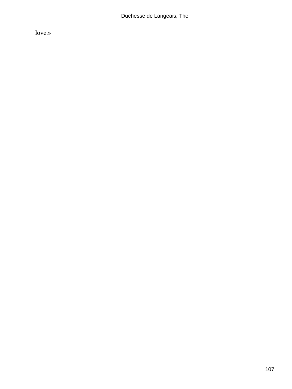love.»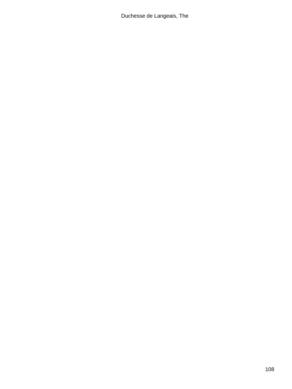Duchesse de Langeais, The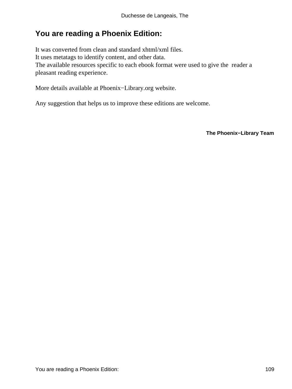## **You are reading a Phoenix Edition:**

It was converted from clean and standard xhtml/xml files. It uses metatags to identify content, and other data. The available resources specific to each ebook format were used to give the reader a pleasant reading experience.

More details available at Phoenix−Library.org website.

Any suggestion that helps us to improve these editions are welcome.

**The Phoenix−Library Team**